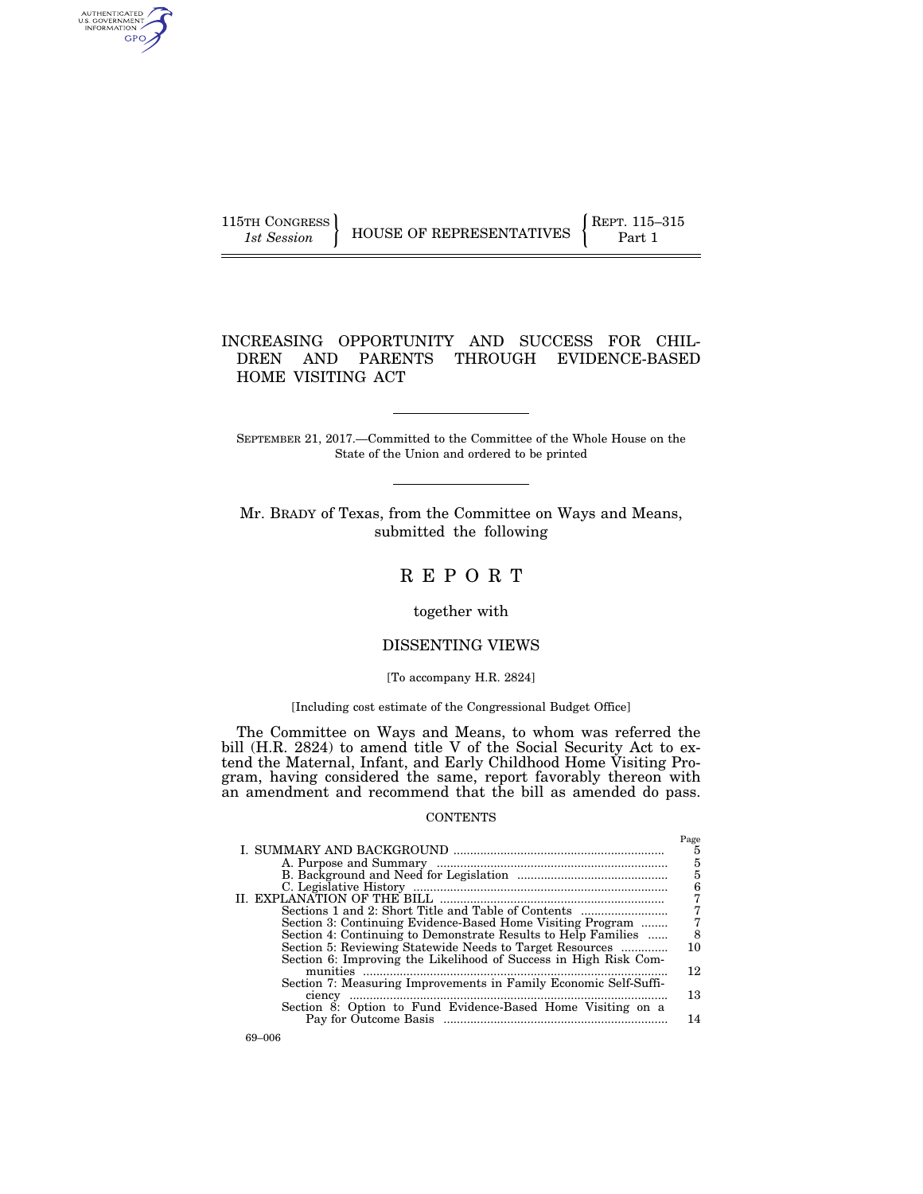| 115TH CONGRESS |                          | REPT. 115-315 |
|----------------|--------------------------|---------------|
| 1st Session    | HOUSE OF REPRESENTATIVES | Part 1        |

## INCREASING OPPORTUNITY AND SUCCESS FOR CHIL-DREN AND PARENTS THROUGH EVIDENCE-BASED HOME VISITING ACT

SEPTEMBER 21, 2017.—Committed to the Committee of the Whole House on the State of the Union and ordered to be printed

Mr. BRADY of Texas, from the Committee on Ways and Means, submitted the following

# R E P O R T

### together with

## DISSENTING VIEWS

#### [To accompany H.R. 2824]

### [Including cost estimate of the Congressional Budget Office]

The Committee on Ways and Means, to whom was referred the bill (H.R. 2824) to amend title V of the Social Security Act to extend the Maternal, Infant, and Early Childhood Home Visiting Program, having considered the same, report favorably thereon with an amendment and recommend that the bill as amended do pass.

#### CONTENTS

|                                                                  | Page |
|------------------------------------------------------------------|------|
|                                                                  | 5    |
|                                                                  | 5    |
|                                                                  | 5    |
|                                                                  | 6    |
| II. EXPLANATION OF THE BILL                                      |      |
|                                                                  |      |
| Sections 1 and 2: Short Title and Table of Contents              |      |
| Section 3: Continuing Evidence-Based Home Visiting Program       |      |
| Section 4: Continuing to Demonstrate Results to Help Families    | 8    |
| Section 5: Reviewing Statewide Needs to Target Resources         | 10   |
| Section 6: Improving the Likelihood of Success in High Risk Com- |      |
| munities                                                         | 12   |
| Section 7: Measuring Improvements in Family Economic Self-Suffi- |      |
| ciency                                                           | 13   |
| Section 8: Option to Fund Evidence-Based Home Visiting on a      |      |
|                                                                  | 14   |
|                                                                  |      |

AUTHENTICATED<br>U.S. GOVERNMENT<br>INFORMATION **GPO**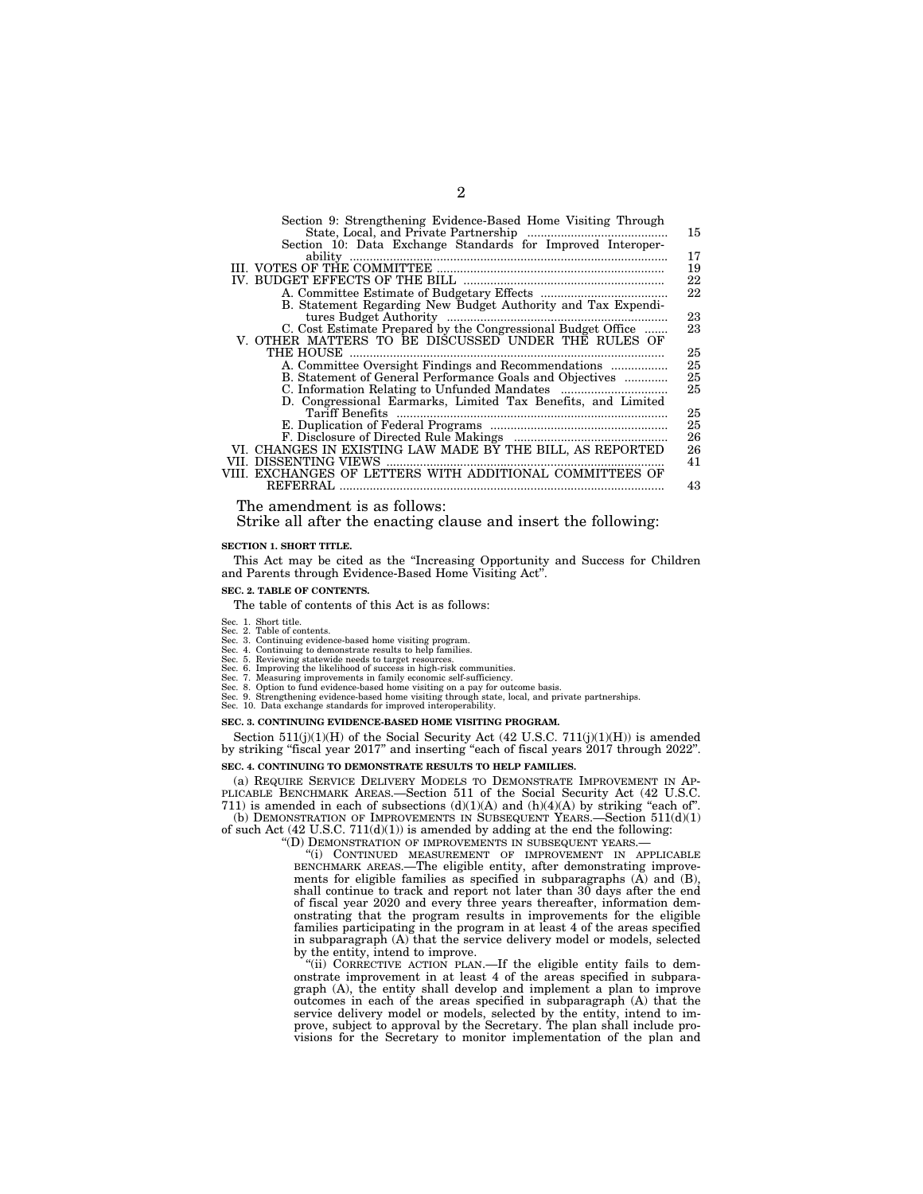| Section 9: Strengthening Evidence-Based Home Visiting Through                     |    |
|-----------------------------------------------------------------------------------|----|
|                                                                                   | 15 |
| Section 10: Data Exchange Standards for Improved Interoper-                       |    |
| ability                                                                           | 17 |
|                                                                                   | 19 |
|                                                                                   | 22 |
|                                                                                   | 22 |
| B. Statement Regarding New Budget Authority and Tax Expendi-                      |    |
| tures Budget Authority                                                            | 23 |
| C. Cost Estimate Prepared by the Congressional Budget Office                      | 23 |
| V. OTHER MATTERS TO BE DISCUSSED UNDER THE RULES OF                               |    |
| THE HOUSE                                                                         | 25 |
|                                                                                   | 25 |
| B. Statement of General Performance Goals and Objectives                          | 25 |
|                                                                                   | 25 |
| D. Congressional Earmarks, Limited Tax Benefits, and Limited                      |    |
| Tariff Benefits                                                                   | 25 |
|                                                                                   | 25 |
|                                                                                   | 26 |
| VI. CHANGES IN EXISTING LAW MADE BY THE BILL, AS REPORTED                         | 26 |
| VII. DISSENTING VIEWS<br>VIII. EXCHANGES OF LETTERS WITH ADDITIONAL COMMITTEES OF | 41 |
| <b>REFERRAL</b>                                                                   |    |
|                                                                                   | 43 |

The amendment is as follows:

Strike all after the enacting clause and insert the following:

#### **SECTION 1. SHORT TITLE.**

This Act may be cited as the ''Increasing Opportunity and Success for Children and Parents through Evidence-Based Home Visiting Act''.

#### **SEC. 2. TABLE OF CONTENTS.**

The table of contents of this Act is as follows:

- Sec. 1. Short title.
- Sec. 2. Table of contents. Sec. 3. Continuing evidence-based home visiting program.
- 
- 
- Sec. 4. Continuing to demonstrate results to help families.<br>Sec. 5. Reviewing statewide needs to target resources.<br>Sec. 6. Improving the likelihood of success in high-risk communities.<br>Sec. 7. Measuring improvements in fam
- 
- Sec. 8. Option to fund evidence-based home visiting on a pay for outcome basis. Sec. 9. Strengthening evidence-based home visiting through state, local, and private partnerships. Sec. 8. Option to fund evidence-based home visiting on a pay ior Sec. 8. Option to fund evidence-based home visiting through state.<br>Sec. 9. Strengthening evidence-based home visiting through interoperability.
- 

#### **SEC. 3. CONTINUING EVIDENCE-BASED HOME VISITING PROGRAM.**

Section  $511(j)(1)(H)$  of the Social Security Act (42 U.S.C.  $711(j)(1)(H)$ ) is amended by striking ''fiscal year 2017'' and inserting ''each of fiscal years 2017 through 2022''.

## **SEC. 4. CONTINUING TO DEMONSTRATE RESULTS TO HELP FAMILIES.**

(a) REQUIRE SERVICE DELIVERY MODELS TO DEMONSTRATE IMPROVEMENT IN AP-PLICABLE BENCHMARK AREAS.—Section 511 of the Social Security Act (42 U.S.C. 711) is amended in each of subsections  $(d)(1)(A)$  and  $(h)(4)(A)$  by striking "each of".

(b) DEMONSTRATION OF IMPROVEMENTS IN SUBSEQUENT YEARS.—Section 511(d)(1) of such Act  $(42 \text{ U.S.C. } 711\text{ (d)}(1))$  is amended by adding at the end the following:

"(D) DEMONSTRATION OF IMPROVEMENTS IN SUBSEQUENT YEARS.

"(i) CONTINUED MEASUREMENT OF IMPROVEMENT IN APPLICABLE BENCHMARK AREAS.—The eligible entity, after demonstrating improvements for eligible families as specified in subparagraphs  $(A)$  and  $(B)$ , shall continue to track and report not later than 30 days after the end of fiscal year 2020 and every three years thereafter, information demonstrating that the program results in improvements for the eligible families participating in the program in at least 4 of the areas specified in subparagraph (A) that the service delivery model or models, selected by the entity, intend to improve.

"(ii) CORRECTIVE ACTION PLAN.—If the eligible entity fails to demonstrate improvement in at least 4 of the areas specified in subparagraph (A), the entity shall develop and implement a plan to improve outcomes in each of the areas specified in subparagraph (A) that the service delivery model or models, selected by the entity, intend to improve, subject to approval by the Secretary. The plan shall include provisions for the Secretary to monitor implementation of the plan and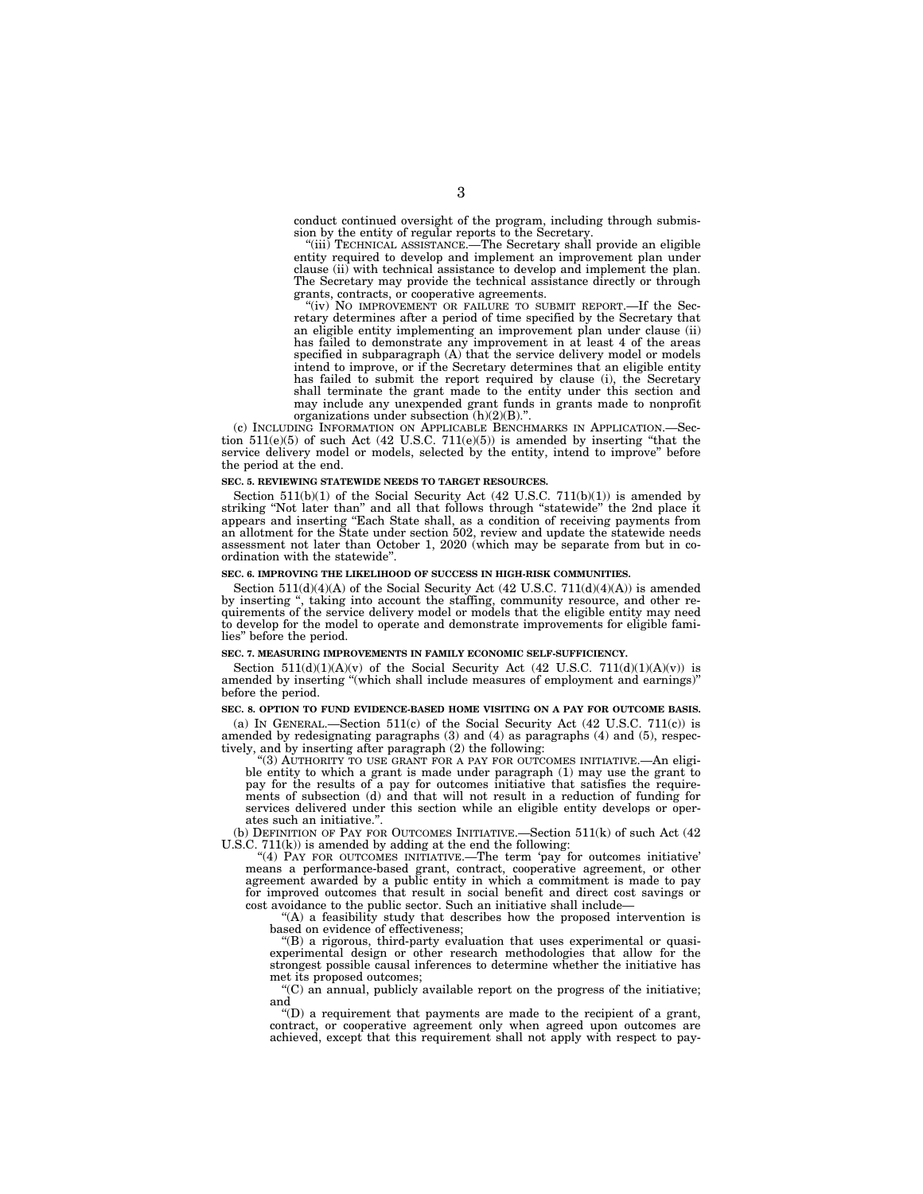conduct continued oversight of the program, including through submission by the entity of regular reports to the Secretary.

"(iii) TECHNICAL ASSISTANCE.—The Secretary shall provide an eligible entity required to develop and implement an improvement plan under clause (ii) with technical assistance to develop and implement the plan. The Secretary may provide the technical assistance directly or through grants, contracts, or cooperative agreements.

"(iv) NO IMPROVEMENT OR FAILURE TO SUBMIT REPORT.—If the Secretary determines after a period of time specified by the Secretary that an eligible entity implementing an improvement plan under clause (ii) has failed to demonstrate any improvement in at least 4 of the areas specified in subparagraph (A) that the service delivery model or models intend to improve, or if the Secretary determines that an eligible entity has failed to submit the report required by clause (i), the Secretary shall terminate the grant made to the entity under this section and may include any unexpended grant funds in grants made to nonprofit organizations under subsection (h)(2)(B)."

(c) INCLUDING INFORMATION ON APPLICABLE BENCHMARKS IN APPLICATION.—Section  $511(e)(5)$  of such Act (42 U.S.C.  $711(e)(5)$ ) is amended by inserting "that the service delivery model or models, selected by the entity, intend to improve'' before the period at the end.

#### **SEC. 5. REVIEWING STATEWIDE NEEDS TO TARGET RESOURCES.**

Section  $511(b)(1)$  of the Social Security Act  $(42 \text{ U.S.C. } 711(b)(1))$  is amended by striking "Not later than" and all that follows through "statewide" the 2nd place it appears and inserting ''Each State shall, as a condition of receiving payments from an allotment for the State under section 502, review and update the statewide needs assessment not later than October 1, 2020 (which may be separate from but in coordination with the statewide''.

#### **SEC. 6. IMPROVING THE LIKELIHOOD OF SUCCESS IN HIGH-RISK COMMUNITIES.**

Section 511(d)(4)(A) of the Social Security Act (42 U.S.C. 711(d)(4)(A)) is amended by inserting '', taking into account the staffing, community resource, and other requirements of the service delivery model or models that the eligible entity may need to develop for the model to operate and demonstrate improvements for eligible families'' before the period.

#### **SEC. 7. MEASURING IMPROVEMENTS IN FAMILY ECONOMIC SELF-SUFFICIENCY.**

Section  $511(d)(1)(A)(v)$  of the Social Security Act (42 U.S.C.  $711(d)(1)(A)(v)$ ) is amended by inserting ''(which shall include measures of employment and earnings)'' before the period.

#### **SEC. 8. OPTION TO FUND EVIDENCE-BASED HOME VISITING ON A PAY FOR OUTCOME BASIS.**

(a) IN GENERAL.—Section  $511(c)$  of the Social Security Act (42 U.S.C. 711(c)) is amended by redesignating paragraphs (3) and (4) as paragraphs (4) and (5), respectively, and by inserting after paragraph (2) the following:

"(3) AUTHORITY TO USE GRANT FOR A PAY FOR OUTCOMES INITIATIVE.—An eligible entity to which a grant is made under paragraph (1) may use the grant to pay for the results of a pay for outcomes initiative that satisfies the requirements of subsection (d) and that will not result in a reduction of funding for services delivered under this section while an eligible entity develops or operates such an initiative."

(b) DEFINITION OF PAY FOR OUTCOMES INITIATIVE.—Section 511(k) of such Act (42 U.S.C. 711(k)) is amended by adding at the end the following:

''(4) PAY FOR OUTCOMES INITIATIVE.—The term 'pay for outcomes initiative' means a performance-based grant, contract, cooperative agreement, or other agreement awarded by a public entity in which a commitment is made to pay for improved outcomes that result in social benefit and direct cost savings or cost avoidance to the public sector. Such an initiative shall include—

''(A) a feasibility study that describes how the proposed intervention is based on evidence of effectiveness;

''(B) a rigorous, third-party evaluation that uses experimental or quasiexperimental design or other research methodologies that allow for the strongest possible causal inferences to determine whether the initiative has met its proposed outcomes;

''(C) an annual, publicly available report on the progress of the initiative; and

''(D) a requirement that payments are made to the recipient of a grant, contract, or cooperative agreement only when agreed upon outcomes are achieved, except that this requirement shall not apply with respect to pay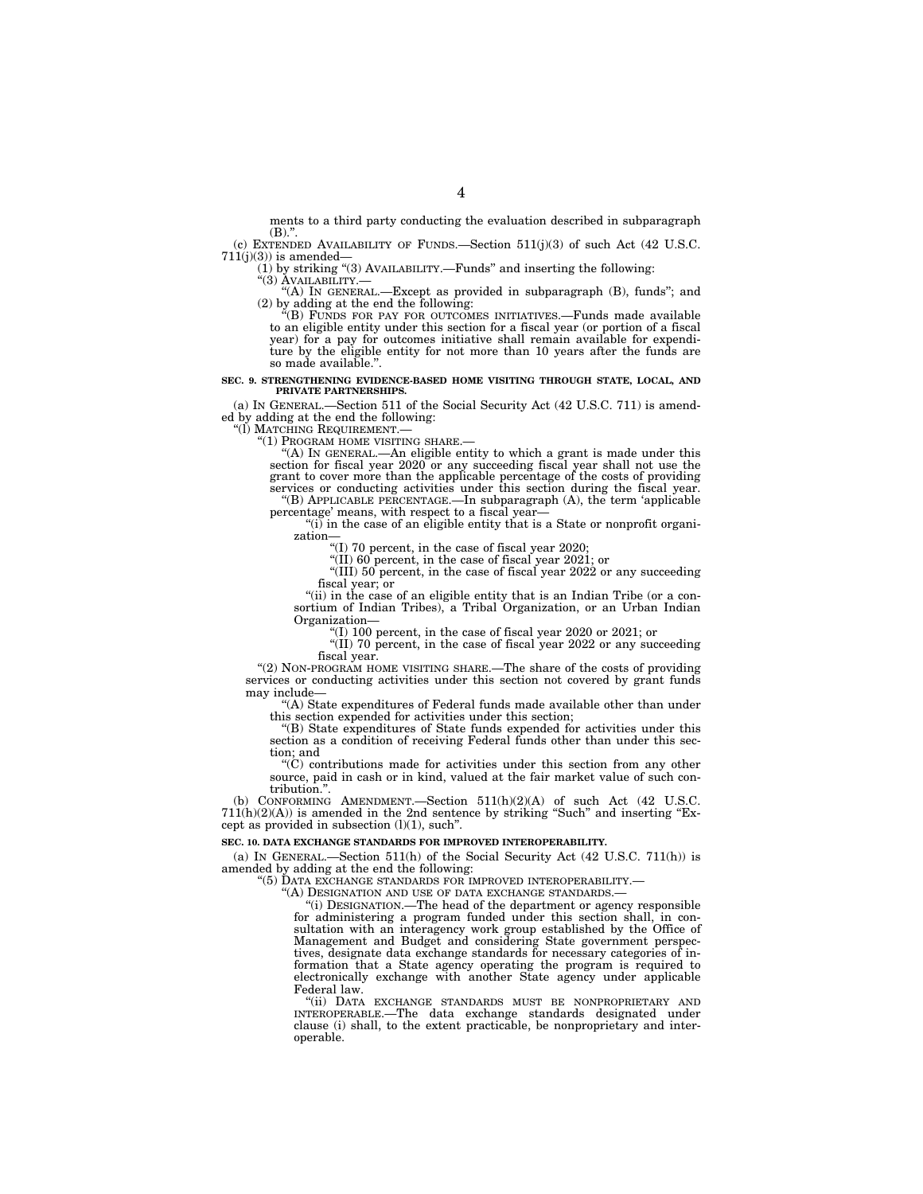ments to a third party conducting the evaluation described in subparagraph  $(B)$ ."

(c) EXTENDED AVAILABILITY OF FUNDS.—Section  $511(j)(3)$  of such Act (42 U.S.C.  $711(j)(3)$ ) is amended-

(1) by striking "(3) AVAILABILITY.—Funds" and inserting the following:<br>"(3) AVAILABILITY.—<br> $\rightarrow$  ("A) IN GENERAL.—Except as provided in subparagraph (B), funds"; and<br>(2) by adding at the end the following:<br>"(B) FUNDS FOR P

to an eligible entity under this section for a fiscal year (or portion of a fiscal year) for a pay for outcomes initiative shall remain available for expenditure by the eligible entity for not more than 10 years after the funds are so made available.''.

#### **SEC. 9. STRENGTHENING EVIDENCE-BASED HOME VISITING THROUGH STATE, LOCAL, AND PRIVATE PARTNERSHIPS.**

(a) IN GENERAL.—Section 511 of the Social Security Act (42 U.S.C. 711) is amended by adding at the end the following:<br>"(1) MATCHING REQUIREMENT.—

"(1) PROGRAM HOME VISITING SHARE.—<br>"(A) IN GENERAL.—An eligible entity to which a grant is made under this section for fiscal year 2020 or any succeeding fiscal year shall not use the grant to cover more than the applicable percentage of the costs of providing services or conducting activities under this section during the fiscal year. ''(B) APPLICABLE PERCENTAGE.—In subparagraph (A), the term 'applicable

percentage' means, with respect to a fiscal year- $''(i)$  in the case of an eligible entity that is a State or nonprofit organi-

zation

''(I) 70 percent, in the case of fiscal year 2020;

''(II) 60 percent, in the case of fiscal year 2021; or

"(III) 50 percent, in the case of fiscal year 2022 or any succeeding fiscal year; or

"(ii) in the case of an eligible entity that is an Indian Tribe (or a consortium of Indian Tribes), a Tribal Organization, or an Urban Indian Organization—

''(I) 100 percent, in the case of fiscal year 2020 or 2021; or

 $(II)$  70 percent, in the case of fiscal year 2022 or any succeeding fiscal year.

''(2) NON-PROGRAM HOME VISITING SHARE.—The share of the costs of providing services or conducting activities under this section not covered by grant funds may include—

''(A) State expenditures of Federal funds made available other than under this section expended for activities under this section;

''(B) State expenditures of State funds expended for activities under this section as a condition of receiving Federal funds other than under this section; and

 $\mathrm{``(C)}$  contributions made for activities under this section from any other source, paid in cash or in kind, valued at the fair market value of such contribution.''.

(b) CONFORMING AMENDMENT.—Section  $511(h)(2)(A)$  of such Act (42 U.S.C.  $711(h)(2)(A)$ ) is amended in the 2nd sentence by striking "Such" and inserting "Except as provided in subsection (l)(1), such''.

#### **SEC. 10. DATA EXCHANGE STANDARDS FOR IMPROVED INTEROPERABILITY.**

(a) IN GENERAL.—Section  $511(h)$  of the Social Security Act (42 U.S.C. 711(h)) is amended by adding at the end the following:

''(5) DATA EXCHANGE STANDARDS FOR IMPROVED INTEROPERABILITY.—

''(A) DESIGNATION AND USE OF DATA EXCHANGE STANDARDS.—

''(i) DESIGNATION.—The head of the department or agency responsible for administering a program funded under this section shall, in consultation with an interagency work group established by the Office of Management and Budget and considering State government perspectives, designate data exchange standards for necessary categories of information that a State agency operating the program is required to electronically exchange with another State agency under applicable Federal law.

''(ii) DATA EXCHANGE STANDARDS MUST BE NONPROPRIETARY AND INTEROPERABLE.—The data exchange standards designated under clause (i) shall, to the extent practicable, be nonproprietary and interoperable.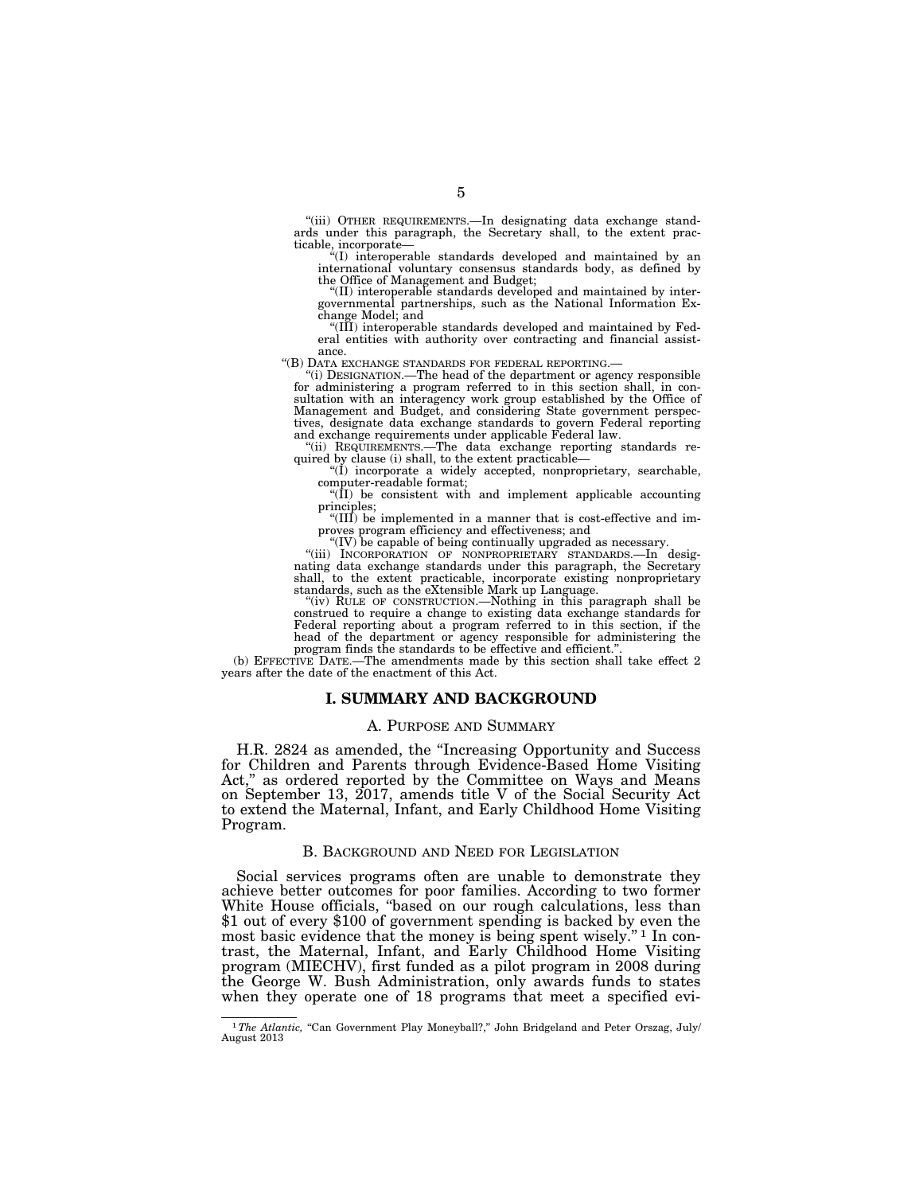''(iii) OTHER REQUIREMENTS.—In designating data exchange standards under this paragraph, the Secretary shall, to the extent practicable, incorporate—

''(I) interoperable standards developed and maintained by an international voluntary consensus standards body, as defined by the Office of Management and Budget;

''(II) interoperable standards developed and maintained by intergovernmental partnerships, such as the National Information Exchange Model; and

''(III) interoperable standards developed and maintained by Federal entities with authority over contracting and financial assist-

ance. ''(B) DATA EXCHANGE STANDARDS FOR FEDERAL REPORTING.— ''(i) DESIGNATION.—The head of the department or agency responsible for administering a program referred to in this section shall, in consultation with an interagency work group established by the Office of Management and Budget, and considering State government perspectives, designate data exchange standards to govern Federal reporting and exchange requirements under applicable Federal law.

''(ii) REQUIREMENTS.—The data exchange reporting standards re-quired by clause (i) shall, to the extent practicable—

''(I) incorporate a widely accepted, nonproprietary, searchable, computer-readable format;

" $(II)$  be consistent with and implement applicable accounting principles;

''(III) be implemented in a manner that is cost-effective and improves program efficiency and effectiveness; and "(IV) be capable of being continually upgraded as necessary.

"(iii) INCORPORATION OF NONPROPRIETARY STANDARDS.-In designating data exchange standards under this paragraph, the Secretary shall, to the extent practicable, incorporate existing nonproprietary standards, such as the eXtensible Mark up Language.

''(iv) RULE OF CONSTRUCTION.—Nothing in this paragraph shall be construed to require a change to existing data exchange standards for Federal reporting about a program referred to in this section, if the head of the department or agency responsible for administering the program finds the standards to be effective and efficient.''.

(b) EFFECTIVE DATE.—The amendments made by this section shall take effect 2 years after the date of the enactment of this Act.

### **I. SUMMARY AND BACKGROUND**

#### A. PURPOSE AND SUMMARY

H.R. 2824 as amended, the ''Increasing Opportunity and Success for Children and Parents through Evidence-Based Home Visiting Act," as ordered reported by the Committee on Ways and Means Act," as ordered reported by the Committee on Ways and Means on September 13, 2017, amends title V of the Social Security Act to extend the Maternal, Infant, and Early Childhood Home Visiting Program.

#### B. BACKGROUND AND NEED FOR LEGISLATION

Social services programs often are unable to demonstrate they achieve better outcomes for poor families. According to two former White House officials, ''based on our rough calculations, less than \$1 out of every \$100 of government spending is backed by even the most basic evidence that the money is being spent wisely."<sup>1</sup> In contrast, the Maternal, Infant, and Early Childhood Home Visiting program (MIECHV), first funded as a pilot program in 2008 during the George W. Bush Administration, only awards funds to states when they operate one of 18 programs that meet a specified evi-

<sup>&</sup>lt;sup>1</sup>The Atlantic, "Can Government Play Moneyball?," John Bridgeland and Peter Orszag, July/ August 2013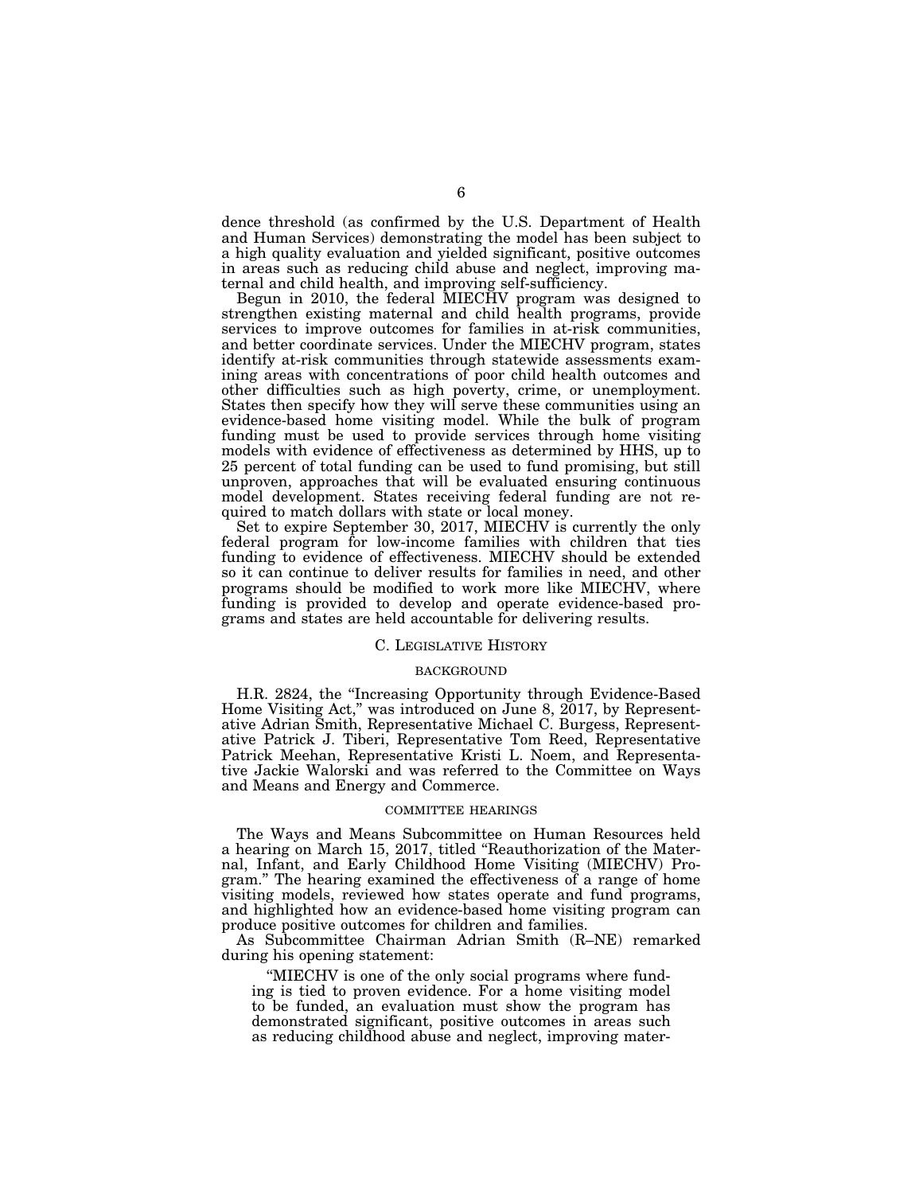dence threshold (as confirmed by the U.S. Department of Health and Human Services) demonstrating the model has been subject to a high quality evaluation and yielded significant, positive outcomes in areas such as reducing child abuse and neglect, improving maternal and child health, and improving self-sufficiency.

Begun in 2010, the federal MIECHV program was designed to strengthen existing maternal and child health programs, provide services to improve outcomes for families in at-risk communities, and better coordinate services. Under the MIECHV program, states identify at-risk communities through statewide assessments examining areas with concentrations of poor child health outcomes and other difficulties such as high poverty, crime, or unemployment. States then specify how they will serve these communities using an evidence-based home visiting model. While the bulk of program funding must be used to provide services through home visiting models with evidence of effectiveness as determined by HHS, up to 25 percent of total funding can be used to fund promising, but still unproven, approaches that will be evaluated ensuring continuous model development. States receiving federal funding are not required to match dollars with state or local money.

Set to expire September 30, 2017, MIECHV is currently the only federal program for low-income families with children that ties funding to evidence of effectiveness. MIECHV should be extended so it can continue to deliver results for families in need, and other programs should be modified to work more like MIECHV, where funding is provided to develop and operate evidence-based programs and states are held accountable for delivering results.

### C. LEGISLATIVE HISTORY

### BACKGROUND

H.R. 2824, the ''Increasing Opportunity through Evidence-Based Home Visiting Act,'' was introduced on June 8, 2017, by Representative Adrian Smith, Representative Michael C. Burgess, Representative Patrick J. Tiberi, Representative Tom Reed, Representative Patrick Meehan, Representative Kristi L. Noem, and Representative Jackie Walorski and was referred to the Committee on Ways and Means and Energy and Commerce.

#### COMMITTEE HEARINGS

The Ways and Means Subcommittee on Human Resources held a hearing on March 15, 2017, titled ''Reauthorization of the Maternal, Infant, and Early Childhood Home Visiting (MIECHV) Program.'' The hearing examined the effectiveness of a range of home visiting models, reviewed how states operate and fund programs, and highlighted how an evidence-based home visiting program can produce positive outcomes for children and families.

As Subcommittee Chairman Adrian Smith (R–NE) remarked during his opening statement:

''MIECHV is one of the only social programs where funding is tied to proven evidence. For a home visiting model to be funded, an evaluation must show the program has demonstrated significant, positive outcomes in areas such as reducing childhood abuse and neglect, improving mater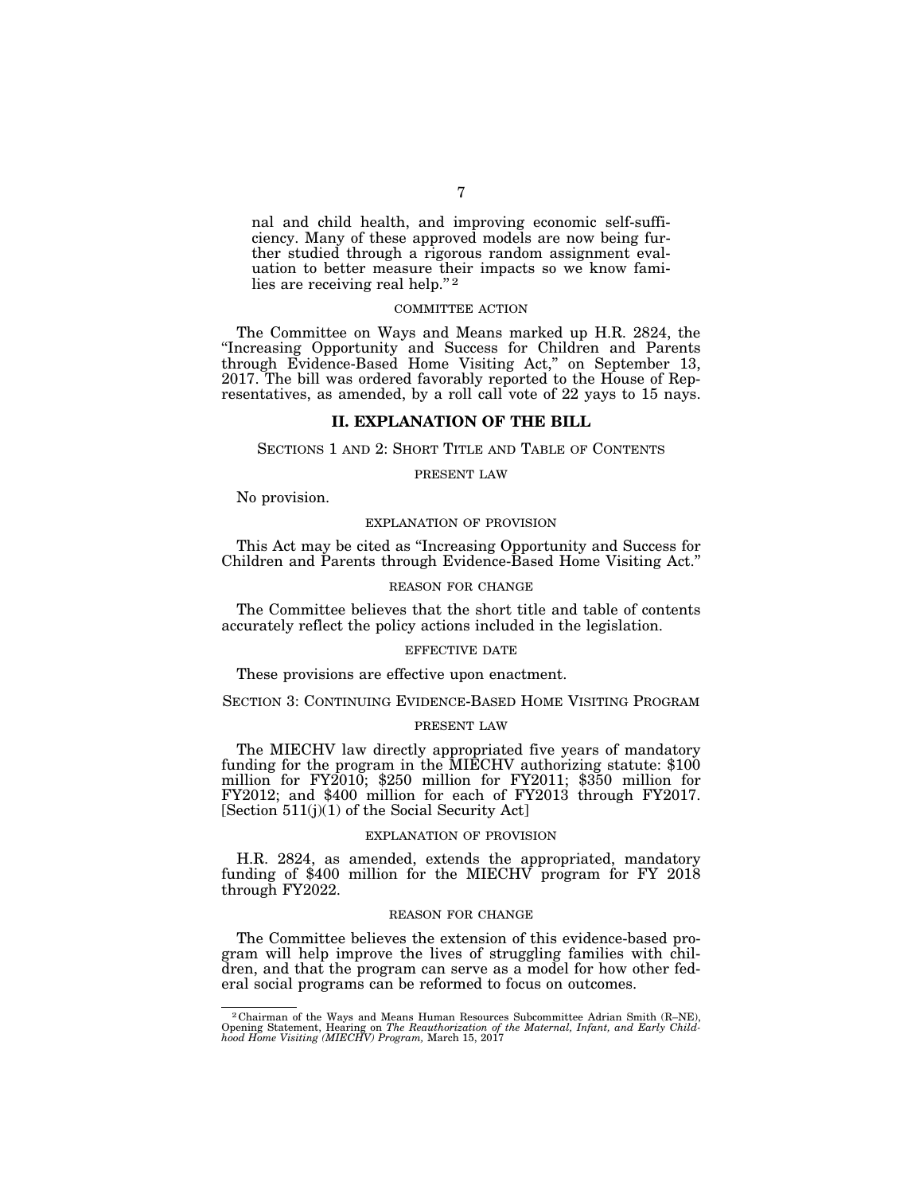nal and child health, and improving economic self-sufficiency. Many of these approved models are now being further studied through a rigorous random assignment evaluation to better measure their impacts so we know families are receiving real help."<sup>2</sup>

### COMMITTEE ACTION

The Committee on Ways and Means marked up H.R. 2824, the ''Increasing Opportunity and Success for Children and Parents through Evidence-Based Home Visiting Act,'' on September 13, 2017. The bill was ordered favorably reported to the House of Representatives, as amended, by a roll call vote of 22 yays to 15 nays.

## **II. EXPLANATION OF THE BILL**

### SECTIONS 1 AND 2: SHORT TITLE AND TABLE OF CONTENTS

PRESENT LAW

No provision.

### EXPLANATION OF PROVISION

This Act may be cited as ''Increasing Opportunity and Success for Children and Parents through Evidence-Based Home Visiting Act.''

### REASON FOR CHANGE

The Committee believes that the short title and table of contents accurately reflect the policy actions included in the legislation.

#### EFFECTIVE DATE

These provisions are effective upon enactment.

SECTION 3: CONTINUING EVIDENCE-BASED HOME VISITING PROGRAM

### PRESENT LAW

The MIECHV law directly appropriated five years of mandatory funding for the program in the MIECHV authorizing statute: \$100 million for FY2010; \$250 million for FY2011; \$350 million for FY2012; and \$400 million for each of FY2013 through FY2017. [Section 511(j)(1) of the Social Security Act]

#### EXPLANATION OF PROVISION

H.R. 2824, as amended, extends the appropriated, mandatory funding of \$400 million for the MIECHV program for FY 2018 through FY2022.

#### REASON FOR CHANGE

The Committee believes the extension of this evidence-based program will help improve the lives of struggling families with children, and that the program can serve as a model for how other federal social programs can be reformed to focus on outcomes.

 $^2$ Chairman of the Ways and Means Human Resources Subcommittee Adrian Smith (R-NE), Opening Statement, Hearing on *The Reauthorization of the Maternal, Infant, and Early Childhood Home Visiting (MIECHV) Program, March* 1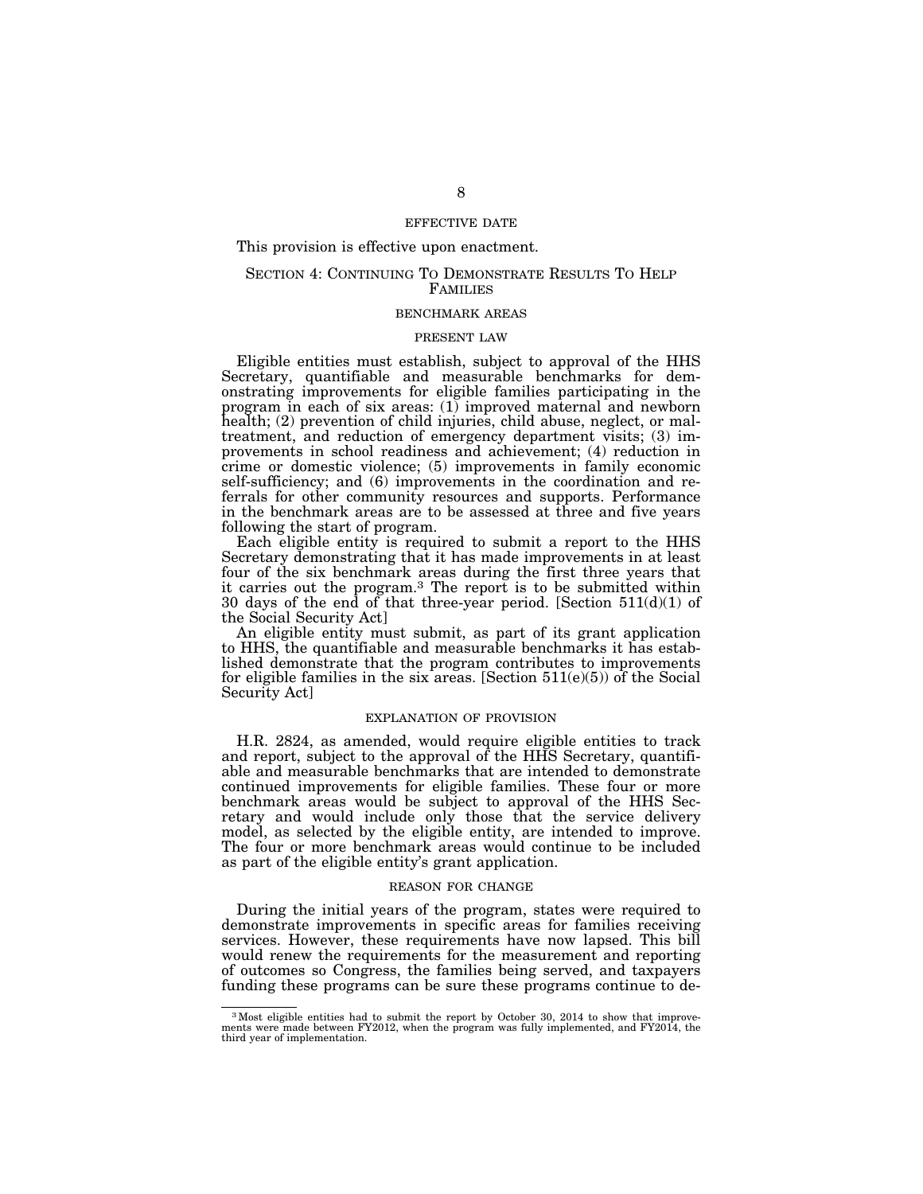### EFFECTIVE DATE

### This provision is effective upon enactment.

### SECTION 4: CONTINUING TO DEMONSTRATE RESULTS TO HELP FAMILIES

#### BENCHMARK AREAS

### PRESENT LAW

Eligible entities must establish, subject to approval of the HHS Secretary, quantifiable and measurable benchmarks for demonstrating improvements for eligible families participating in the program in each of six areas: (1) improved maternal and newborn health; (2) prevention of child injuries, child abuse, neglect, or maltreatment, and reduction of emergency department visits; (3) improvements in school readiness and achievement; (4) reduction in crime or domestic violence; (5) improvements in family economic self-sufficiency; and (6) improvements in the coordination and referrals for other community resources and supports. Performance in the benchmark areas are to be assessed at three and five years following the start of program.

Each eligible entity is required to submit a report to the HHS Secretary demonstrating that it has made improvements in at least four of the six benchmark areas during the first three years that it carries out the program.3 The report is to be submitted within 30 days of the end of that three-year period. [Section 511(d)(1) of the Social Security Act]

An eligible entity must submit, as part of its grant application to HHS, the quantifiable and measurable benchmarks it has established demonstrate that the program contributes to improvements for eligible families in the six areas. [Section  $511(e)(5)$ ) of the Social Security Act]

### EXPLANATION OF PROVISION

H.R. 2824, as amended, would require eligible entities to track and report, subject to the approval of the HHS Secretary, quantifiable and measurable benchmarks that are intended to demonstrate continued improvements for eligible families. These four or more benchmark areas would be subject to approval of the HHS Secretary and would include only those that the service delivery model, as selected by the eligible entity, are intended to improve. The four or more benchmark areas would continue to be included as part of the eligible entity's grant application.

#### REASON FOR CHANGE

During the initial years of the program, states were required to demonstrate improvements in specific areas for families receiving services. However, these requirements have now lapsed. This bill would renew the requirements for the measurement and reporting of outcomes so Congress, the families being served, and taxpayers funding these programs can be sure these programs continue to de-

<sup>3</sup>Most eligible entities had to submit the report by October 30, 2014 to show that improve-ments were made between FY2012, when the program was fully implemented, and FY2014, the third year of implementation.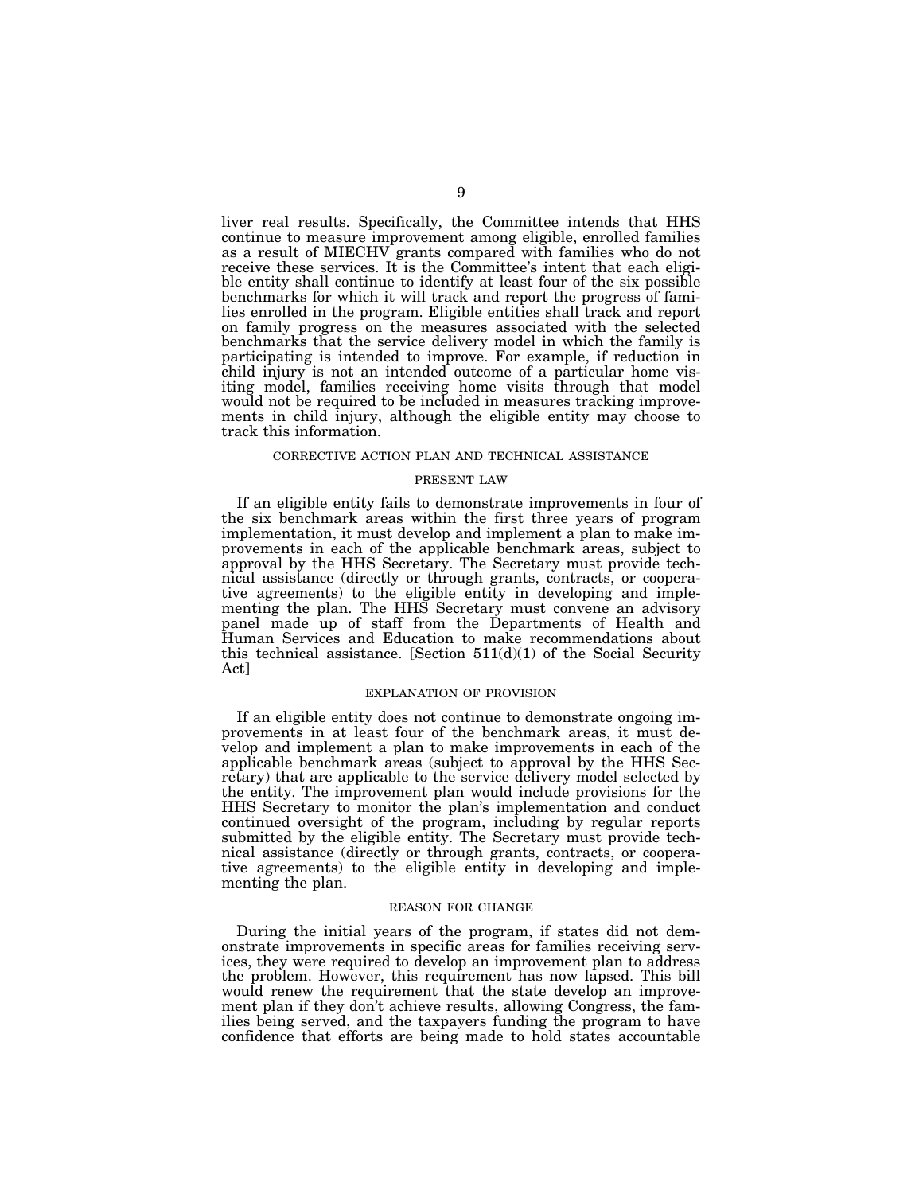liver real results. Specifically, the Committee intends that HHS continue to measure improvement among eligible, enrolled families as a result of MIECHV grants compared with families who do not receive these services. It is the Committee's intent that each eligible entity shall continue to identify at least four of the six possible benchmarks for which it will track and report the progress of families enrolled in the program. Eligible entities shall track and report on family progress on the measures associated with the selected benchmarks that the service delivery model in which the family is participating is intended to improve. For example, if reduction in child injury is not an intended outcome of a particular home visiting model, families receiving home visits through that model would not be required to be included in measures tracking improvements in child injury, although the eligible entity may choose to track this information.

#### CORRECTIVE ACTION PLAN AND TECHNICAL ASSISTANCE

#### PRESENT LAW

If an eligible entity fails to demonstrate improvements in four of the six benchmark areas within the first three years of program implementation, it must develop and implement a plan to make improvements in each of the applicable benchmark areas, subject to approval by the HHS Secretary. The Secretary must provide technical assistance (directly or through grants, contracts, or cooperative agreements) to the eligible entity in developing and implementing the plan. The HHS Secretary must convene an advisory panel made up of staff from the Departments of Health and Human Services and Education to make recommendations about this technical assistance. [Section  $511(d)(1)$  of the Social Security Act]

#### EXPLANATION OF PROVISION

If an eligible entity does not continue to demonstrate ongoing improvements in at least four of the benchmark areas, it must develop and implement a plan to make improvements in each of the applicable benchmark areas (subject to approval by the HHS Secretary) that are applicable to the service delivery model selected by the entity. The improvement plan would include provisions for the HHS Secretary to monitor the plan's implementation and conduct continued oversight of the program, including by regular reports submitted by the eligible entity. The Secretary must provide technical assistance (directly or through grants, contracts, or cooperative agreements) to the eligible entity in developing and implementing the plan.

#### REASON FOR CHANGE

During the initial years of the program, if states did not demonstrate improvements in specific areas for families receiving services, they were required to develop an improvement plan to address the problem. However, this requirement has now lapsed. This bill would renew the requirement that the state develop an improvement plan if they don't achieve results, allowing Congress, the families being served, and the taxpayers funding the program to have confidence that efforts are being made to hold states accountable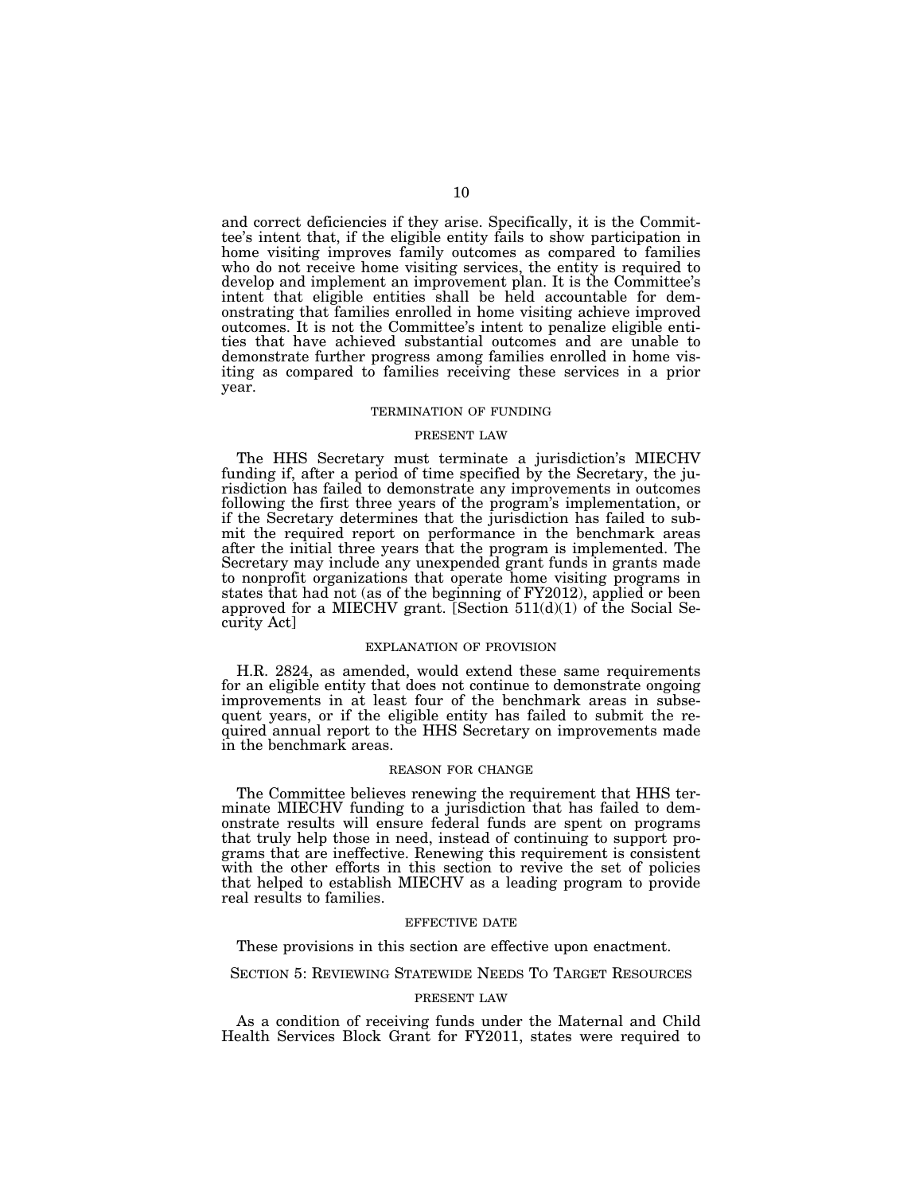and correct deficiencies if they arise. Specifically, it is the Committee's intent that, if the eligible entity fails to show participation in home visiting improves family outcomes as compared to families who do not receive home visiting services, the entity is required to develop and implement an improvement plan. It is the Committee's intent that eligible entities shall be held accountable for demonstrating that families enrolled in home visiting achieve improved outcomes. It is not the Committee's intent to penalize eligible entities that have achieved substantial outcomes and are unable to demonstrate further progress among families enrolled in home visiting as compared to families receiving these services in a prior year.

#### TERMINATION OF FUNDING

#### PRESENT LAW

The HHS Secretary must terminate a jurisdiction's MIECHV funding if, after a period of time specified by the Secretary, the jurisdiction has failed to demonstrate any improvements in outcomes following the first three years of the program's implementation, or if the Secretary determines that the jurisdiction has failed to submit the required report on performance in the benchmark areas after the initial three years that the program is implemented. The Secretary may include any unexpended grant funds in grants made to nonprofit organizations that operate home visiting programs in states that had not (as of the beginning of FY2012), applied or been approved for a MIECHV grant. [Section  $511(d)(1)$  of the Social Security Act]

#### EXPLANATION OF PROVISION

H.R. 2824, as amended, would extend these same requirements for an eligible entity that does not continue to demonstrate ongoing improvements in at least four of the benchmark areas in subsequent years, or if the eligible entity has failed to submit the required annual report to the HHS Secretary on improvements made in the benchmark areas.

### REASON FOR CHANGE

The Committee believes renewing the requirement that HHS terminate MIECHV funding to a jurisdiction that has failed to demonstrate results will ensure federal funds are spent on programs that truly help those in need, instead of continuing to support programs that are ineffective. Renewing this requirement is consistent with the other efforts in this section to revive the set of policies that helped to establish MIECHV as a leading program to provide real results to families.

#### EFFECTIVE DATE

These provisions in this section are effective upon enactment.

SECTION 5: REVIEWING STATEWIDE NEEDS TO TARGET RESOURCES

#### PRESENT LAW

As a condition of receiving funds under the Maternal and Child Health Services Block Grant for FY2011, states were required to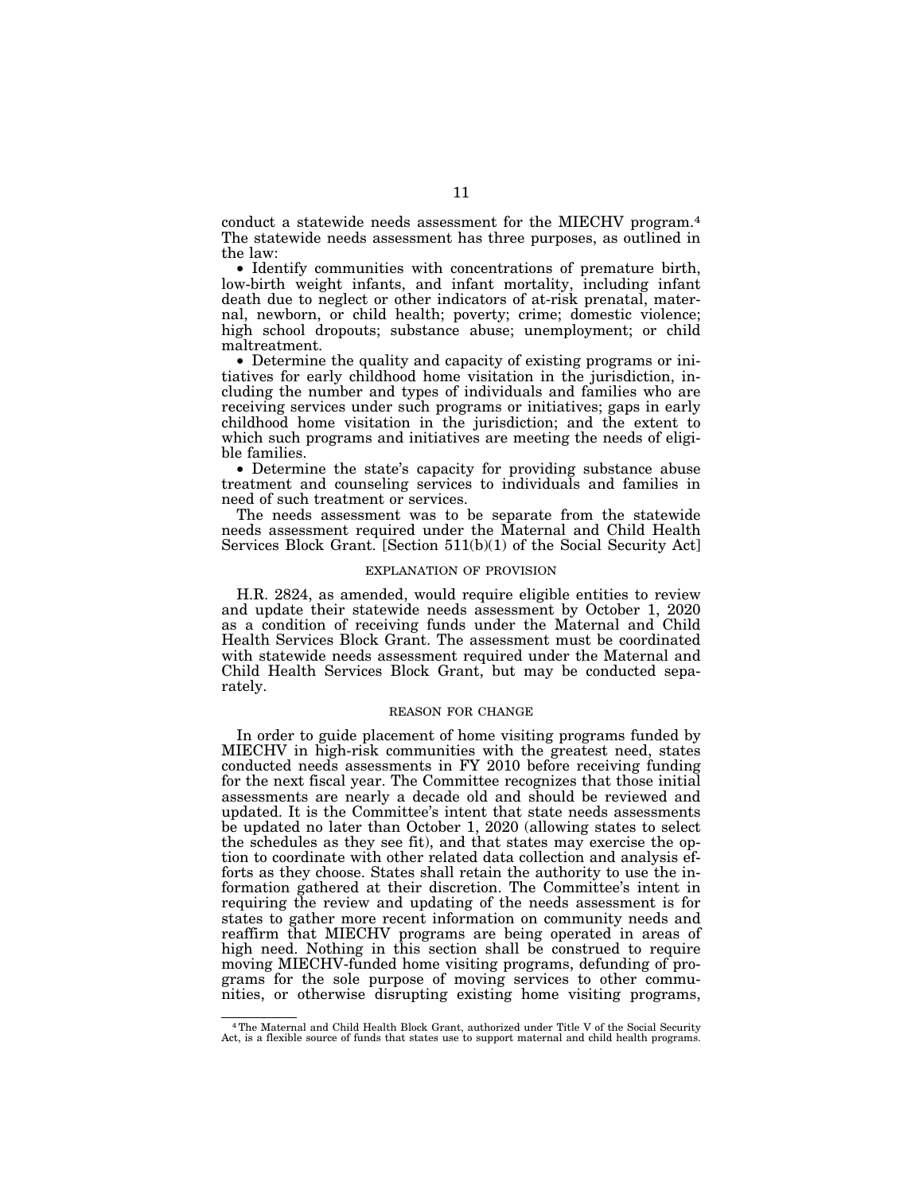conduct a statewide needs assessment for the MIECHV program.4 The statewide needs assessment has three purposes, as outlined in the law:

• Identify communities with concentrations of premature birth, low-birth weight infants, and infant mortality, including infant death due to neglect or other indicators of at-risk prenatal, maternal, newborn, or child health; poverty; crime; domestic violence; high school dropouts; substance abuse; unemployment; or child maltreatment.

• Determine the quality and capacity of existing programs or initiatives for early childhood home visitation in the jurisdiction, including the number and types of individuals and families who are receiving services under such programs or initiatives; gaps in early childhood home visitation in the jurisdiction; and the extent to which such programs and initiatives are meeting the needs of eligible families.

• Determine the state's capacity for providing substance abuse treatment and counseling services to individuals and families in need of such treatment or services.

The needs assessment was to be separate from the statewide needs assessment required under the Maternal and Child Health Services Block Grant. [Section 511(b)(1) of the Social Security Act]

### EXPLANATION OF PROVISION

H.R. 2824, as amended, would require eligible entities to review and update their statewide needs assessment by October 1, 2020 as a condition of receiving funds under the Maternal and Child Health Services Block Grant. The assessment must be coordinated with statewide needs assessment required under the Maternal and Child Health Services Block Grant, but may be conducted separately.

#### REASON FOR CHANGE

In order to guide placement of home visiting programs funded by MIECHV in high-risk communities with the greatest need, states conducted needs assessments in FY 2010 before receiving funding for the next fiscal year. The Committee recognizes that those initial assessments are nearly a decade old and should be reviewed and updated. It is the Committee's intent that state needs assessments be updated no later than October 1, 2020 (allowing states to select the schedules as they see fit), and that states may exercise the option to coordinate with other related data collection and analysis efforts as they choose. States shall retain the authority to use the information gathered at their discretion. The Committee's intent in requiring the review and updating of the needs assessment is for states to gather more recent information on community needs and reaffirm that MIECHV programs are being operated in areas of high need. Nothing in this section shall be construed to require moving MIECHV-funded home visiting programs, defunding of programs for the sole purpose of moving services to other communities, or otherwise disrupting existing home visiting programs,

<sup>4</sup>The Maternal and Child Health Block Grant, authorized under Title V of the Social Security Act, is a flexible source of funds that states use to support maternal and child health programs.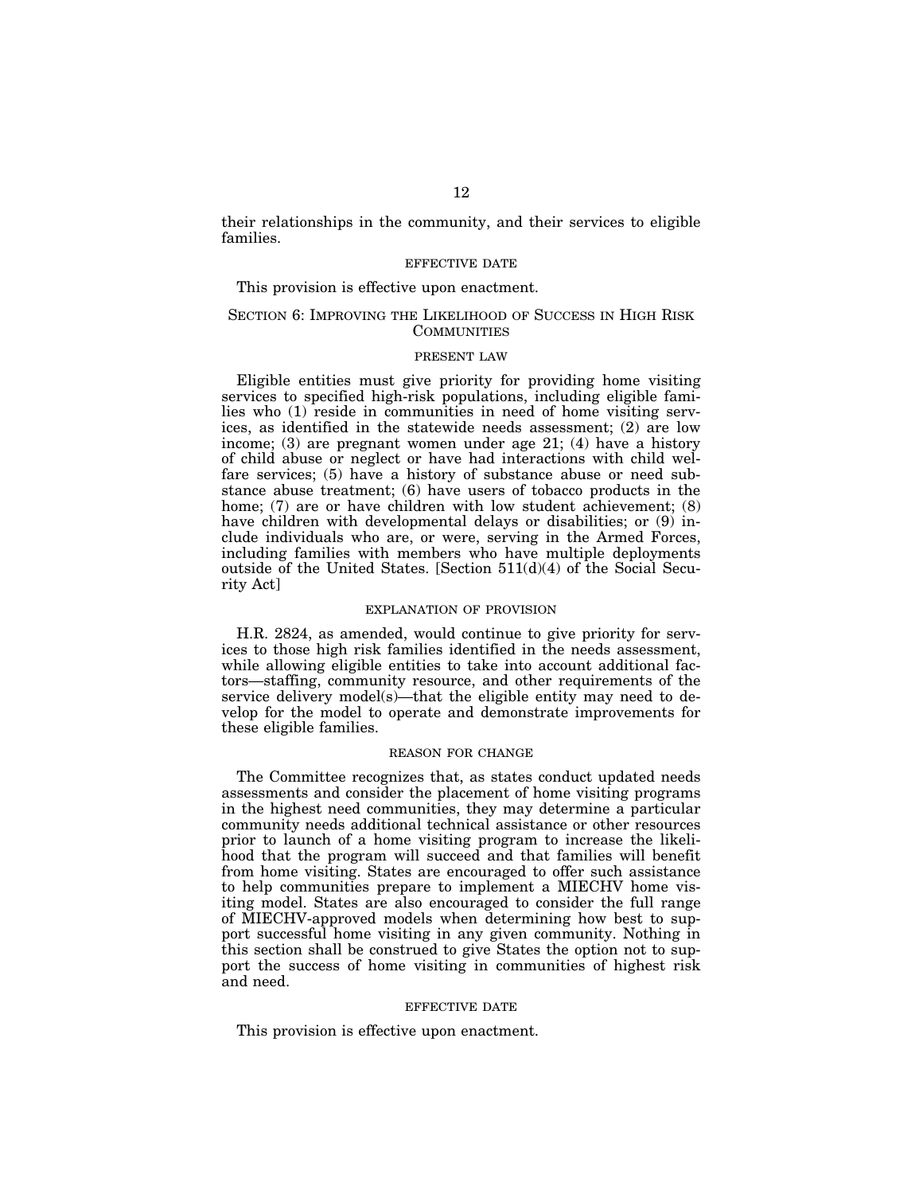their relationships in the community, and their services to eligible families.

### EFFECTIVE DATE

This provision is effective upon enactment.

### SECTION 6: IMPROVING THE LIKELIHOOD OF SUCCESS IN HIGH RISK **COMMUNITIES**

### PRESENT LAW

Eligible entities must give priority for providing home visiting services to specified high-risk populations, including eligible families who (1) reside in communities in need of home visiting services, as identified in the statewide needs assessment; (2) are low income; (3) are pregnant women under age 21; (4) have a history of child abuse or neglect or have had interactions with child welfare services; (5) have a history of substance abuse or need substance abuse treatment; (6) have users of tobacco products in the home; (7) are or have children with low student achievement; (8) have children with developmental delays or disabilities; or (9) include individuals who are, or were, serving in the Armed Forces, including families with members who have multiple deployments outside of the United States. [Section 511(d)(4) of the Social Security Act]

#### EXPLANATION OF PROVISION

H.R. 2824, as amended, would continue to give priority for services to those high risk families identified in the needs assessment, while allowing eligible entities to take into account additional factors—staffing, community resource, and other requirements of the service delivery model(s)—that the eligible entity may need to develop for the model to operate and demonstrate improvements for these eligible families.

#### REASON FOR CHANGE

The Committee recognizes that, as states conduct updated needs assessments and consider the placement of home visiting programs in the highest need communities, they may determine a particular community needs additional technical assistance or other resources prior to launch of a home visiting program to increase the likelihood that the program will succeed and that families will benefit from home visiting. States are encouraged to offer such assistance to help communities prepare to implement a MIECHV home visiting model. States are also encouraged to consider the full range of MIECHV-approved models when determining how best to support successful home visiting in any given community. Nothing in this section shall be construed to give States the option not to support the success of home visiting in communities of highest risk and need.

#### EFFECTIVE DATE

This provision is effective upon enactment.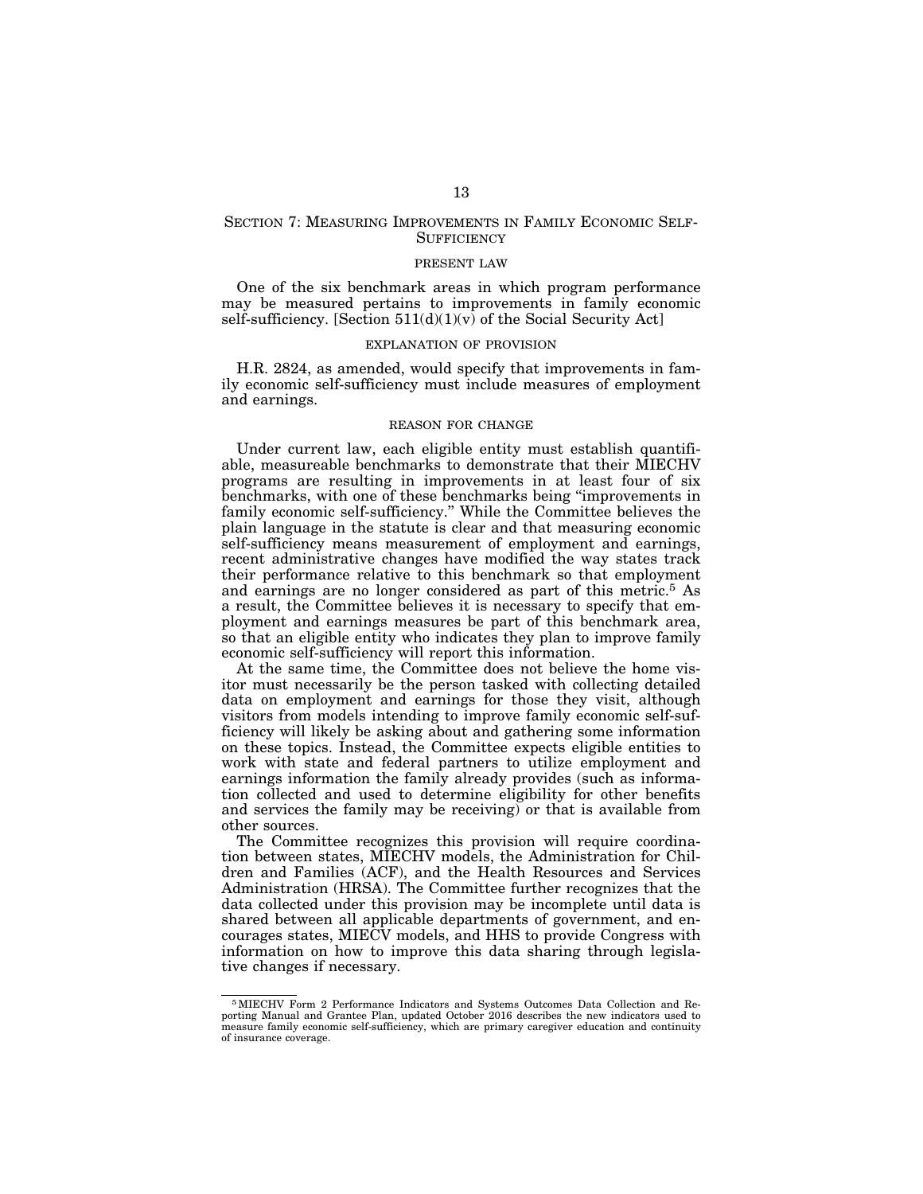### SECTION 7: MEASURING IMPROVEMENTS IN FAMILY ECONOMIC SELF-**SUFFICIENCY**

### PRESENT LAW

One of the six benchmark areas in which program performance may be measured pertains to improvements in family economic self-sufficiency. [Section  $511(d)(1)(v)$  of the Social Security Act]

#### EXPLANATION OF PROVISION

H.R. 2824, as amended, would specify that improvements in family economic self-sufficiency must include measures of employment and earnings.

#### REASON FOR CHANGE

Under current law, each eligible entity must establish quantifiable, measureable benchmarks to demonstrate that their MIECHV programs are resulting in improvements in at least four of six benchmarks, with one of these benchmarks being ''improvements in family economic self-sufficiency.'' While the Committee believes the plain language in the statute is clear and that measuring economic self-sufficiency means measurement of employment and earnings, recent administrative changes have modified the way states track their performance relative to this benchmark so that employment and earnings are no longer considered as part of this metric.5 As a result, the Committee believes it is necessary to specify that employment and earnings measures be part of this benchmark area, so that an eligible entity who indicates they plan to improve family economic self-sufficiency will report this information.

At the same time, the Committee does not believe the home visitor must necessarily be the person tasked with collecting detailed data on employment and earnings for those they visit, although visitors from models intending to improve family economic self-sufficiency will likely be asking about and gathering some information on these topics. Instead, the Committee expects eligible entities to work with state and federal partners to utilize employment and earnings information the family already provides (such as information collected and used to determine eligibility for other benefits and services the family may be receiving) or that is available from other sources.

The Committee recognizes this provision will require coordination between states, MIECHV models, the Administration for Children and Families (ACF), and the Health Resources and Services Administration (HRSA). The Committee further recognizes that the data collected under this provision may be incomplete until data is shared between all applicable departments of government, and encourages states, MIECV models, and HHS to provide Congress with information on how to improve this data sharing through legislative changes if necessary.

<sup>5</sup>MIECHV Form 2 Performance Indicators and Systems Outcomes Data Collection and Re-porting Manual and Grantee Plan, updated October 2016 describes the new indicators used to measure family economic self-sufficiency, which are primary caregiver education and continuity of insurance coverage.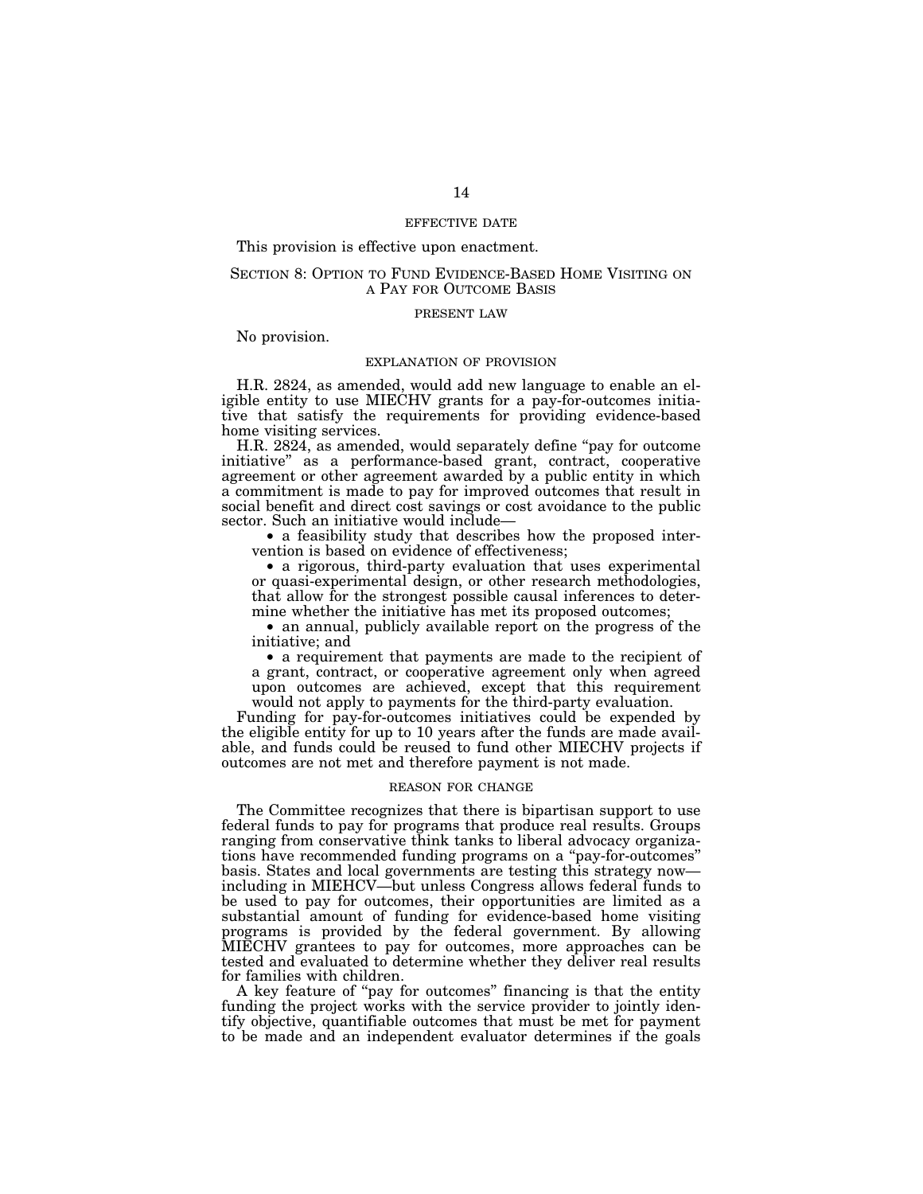#### EFFECTIVE DATE

### This provision is effective upon enactment.

### SECTION 8: OPTION TO FUND EVIDENCE-BASED HOME VISITING ON A PAY FOR OUTCOME BASIS

#### PRESENT LAW

No provision.

#### EXPLANATION OF PROVISION

H.R. 2824, as amended, would add new language to enable an eligible entity to use MIECHV grants for a pay-for-outcomes initiative that satisfy the requirements for providing evidence-based home visiting services.

H.R. 2824, as amended, would separately define "pay for outcome initiative'' as a performance-based grant, contract, cooperative agreement or other agreement awarded by a public entity in which a commitment is made to pay for improved outcomes that result in social benefit and direct cost savings or cost avoidance to the public sector. Such an initiative would include—

• a feasibility study that describes how the proposed intervention is based on evidence of effectiveness;

• a rigorous, third-party evaluation that uses experimental or quasi-experimental design, or other research methodologies, that allow for the strongest possible causal inferences to determine whether the initiative has met its proposed outcomes;

• an annual, publicly available report on the progress of the initiative; and

• a requirement that payments are made to the recipient of a grant, contract, or cooperative agreement only when agreed upon outcomes are achieved, except that this requirement would not apply to payments for the third-party evaluation.

Funding for pay-for-outcomes initiatives could be expended by the eligible entity for up to 10 years after the funds are made available, and funds could be reused to fund other MIECHV projects if outcomes are not met and therefore payment is not made.

#### REASON FOR CHANGE

The Committee recognizes that there is bipartisan support to use federal funds to pay for programs that produce real results. Groups ranging from conservative think tanks to liberal advocacy organizations have recommended funding programs on a ''pay-for-outcomes'' basis. States and local governments are testing this strategy now including in MIEHCV—but unless Congress allows federal funds to be used to pay for outcomes, their opportunities are limited as a substantial amount of funding for evidence-based home visiting programs is provided by the federal government. By allowing MIECHV grantees to pay for outcomes, more approaches can be tested and evaluated to determine whether they deliver real results for families with children.

A key feature of ''pay for outcomes'' financing is that the entity funding the project works with the service provider to jointly identify objective, quantifiable outcomes that must be met for payment to be made and an independent evaluator determines if the goals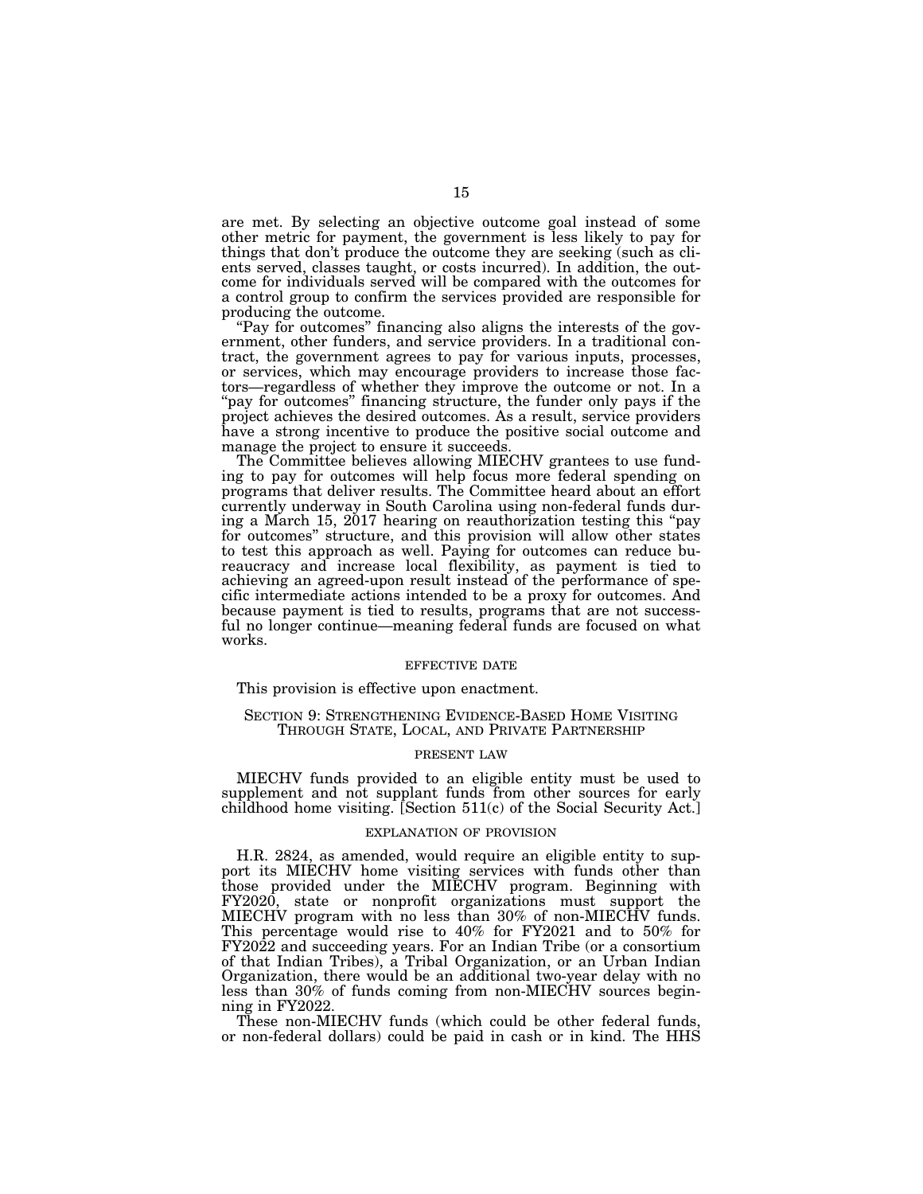are met. By selecting an objective outcome goal instead of some other metric for payment, the government is less likely to pay for things that don't produce the outcome they are seeking (such as clients served, classes taught, or costs incurred). In addition, the outcome for individuals served will be compared with the outcomes for a control group to confirm the services provided are responsible for producing the outcome.

''Pay for outcomes'' financing also aligns the interests of the government, other funders, and service providers. In a traditional contract, the government agrees to pay for various inputs, processes, or services, which may encourage providers to increase those factors—regardless of whether they improve the outcome or not. In a "pay for outcomes" financing structure, the funder only pays if the project achieves the desired outcomes. As a result, service providers have a strong incentive to produce the positive social outcome and manage the project to ensure it succeeds.

The Committee believes allowing MIECHV grantees to use funding to pay for outcomes will help focus more federal spending on programs that deliver results. The Committee heard about an effort currently underway in South Carolina using non-federal funds during a March 15, 2017 hearing on reauthorization testing this ''pay for outcomes'' structure, and this provision will allow other states to test this approach as well. Paying for outcomes can reduce bureaucracy and increase local flexibility, as payment is tied to achieving an agreed-upon result instead of the performance of specific intermediate actions intended to be a proxy for outcomes. And because payment is tied to results, programs that are not successful no longer continue—meaning federal funds are focused on what works.

### EFFECTIVE DATE

This provision is effective upon enactment.

### SECTION 9: STRENGTHENING EVIDENCE-BASED HOME VISITING THROUGH STATE, LOCAL, AND PRIVATE PARTNERSHIP

#### PRESENT LAW

MIECHV funds provided to an eligible entity must be used to supplement and not supplant funds from other sources for early childhood home visiting. [Section 511(c) of the Social Security Act.]

#### EXPLANATION OF PROVISION

H.R. 2824, as amended, would require an eligible entity to support its MIECHV home visiting services with funds other than those provided under the MIECHV program. Beginning with FY2020, state or nonprofit organizations must support the MIECHV program with no less than 30% of non-MIECHV funds. This percentage would rise to 40% for FY2021 and to 50% for FY2022 and succeeding years. For an Indian Tribe (or a consortium of that Indian Tribes), a Tribal Organization, or an Urban Indian Organization, there would be an additional two-year delay with no less than 30% of funds coming from non-MIECHV sources beginning in FY2022.

These non-MIECHV funds (which could be other federal funds, or non-federal dollars) could be paid in cash or in kind. The HHS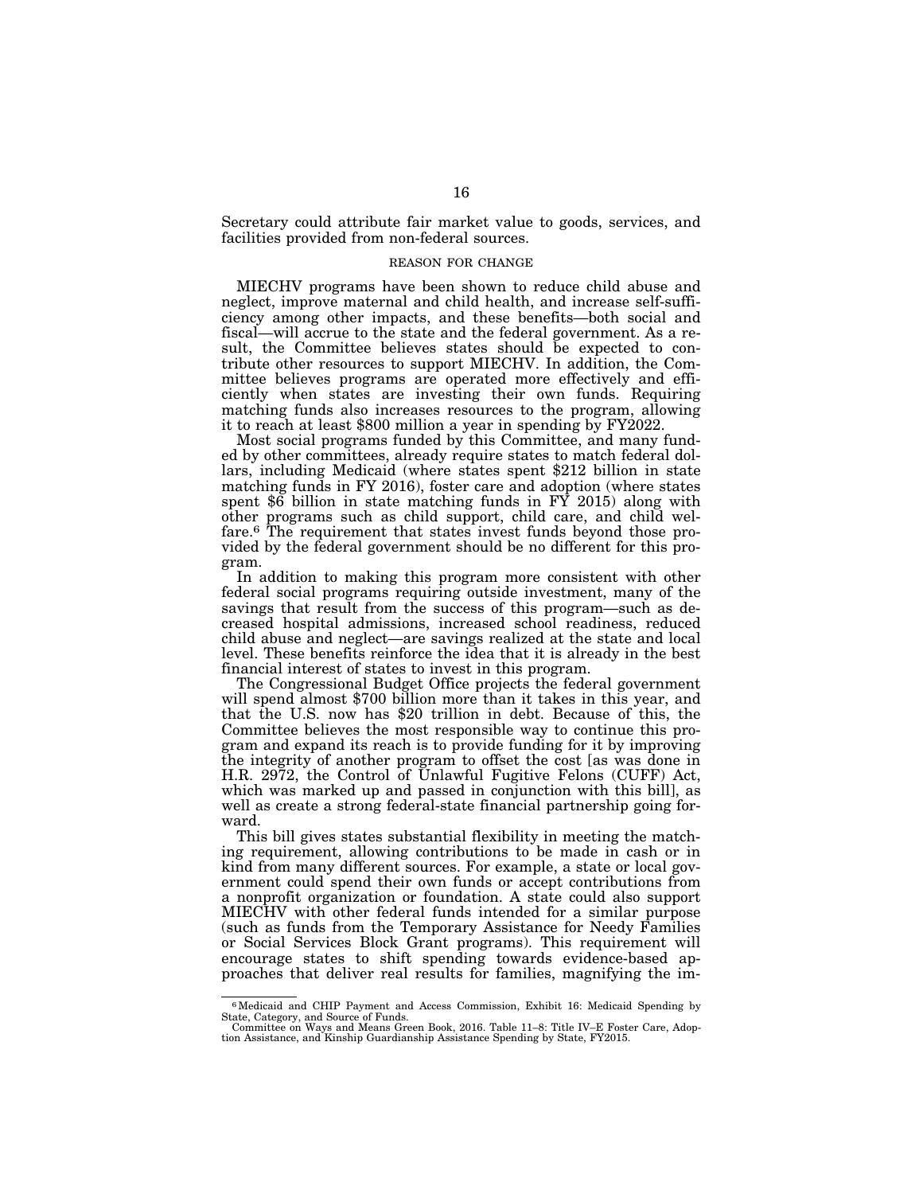Secretary could attribute fair market value to goods, services, and facilities provided from non-federal sources.

### REASON FOR CHANGE

MIECHV programs have been shown to reduce child abuse and neglect, improve maternal and child health, and increase self-sufficiency among other impacts, and these benefits—both social and fiscal—will accrue to the state and the federal government. As a result, the Committee believes states should be expected to contribute other resources to support MIECHV. In addition, the Committee believes programs are operated more effectively and efficiently when states are investing their own funds. Requiring matching funds also increases resources to the program, allowing it to reach at least \$800 million a year in spending by FY2022.

Most social programs funded by this Committee, and many funded by other committees, already require states to match federal dollars, including Medicaid (where states spent \$212 billion in state matching funds in FY 2016), foster care and adoption (where states spent \$6 billion in state matching funds in  $\overline{FY}$  2015) along with other programs such as child support, child care, and child welfare.<sup>6</sup> The requirement that states invest funds beyond those provided by the federal government should be no different for this program.

In addition to making this program more consistent with other federal social programs requiring outside investment, many of the savings that result from the success of this program—such as decreased hospital admissions, increased school readiness, reduced child abuse and neglect—are savings realized at the state and local level. These benefits reinforce the idea that it is already in the best financial interest of states to invest in this program.

The Congressional Budget Office projects the federal government will spend almost \$700 billion more than it takes in this year, and that the U.S. now has \$20 trillion in debt. Because of this, the Committee believes the most responsible way to continue this program and expand its reach is to provide funding for it by improving the integrity of another program to offset the cost [as was done in H.R. 2972, the Control of Unlawful Fugitive Felons (CUFF) Act, which was marked up and passed in conjunction with this bill], as well as create a strong federal-state financial partnership going forward.

This bill gives states substantial flexibility in meeting the matching requirement, allowing contributions to be made in cash or in kind from many different sources. For example, a state or local government could spend their own funds or accept contributions from a nonprofit organization or foundation. A state could also support MIECHV with other federal funds intended for a similar purpose (such as funds from the Temporary Assistance for Needy Families or Social Services Block Grant programs). This requirement will encourage states to shift spending towards evidence-based approaches that deliver real results for families, magnifying the im-

<sup>6</sup>Medicaid and CHIP Payment and Access Commission, Exhibit 16: Medicaid Spending by State, Category, and Source of Funds. Committee on Ways and Means Green Book, 2016. Table 11–8: Title IV–E Foster Care, Adop-

tion Assistance, and Kinship Guardianship Assistance Spending by State, FY2015.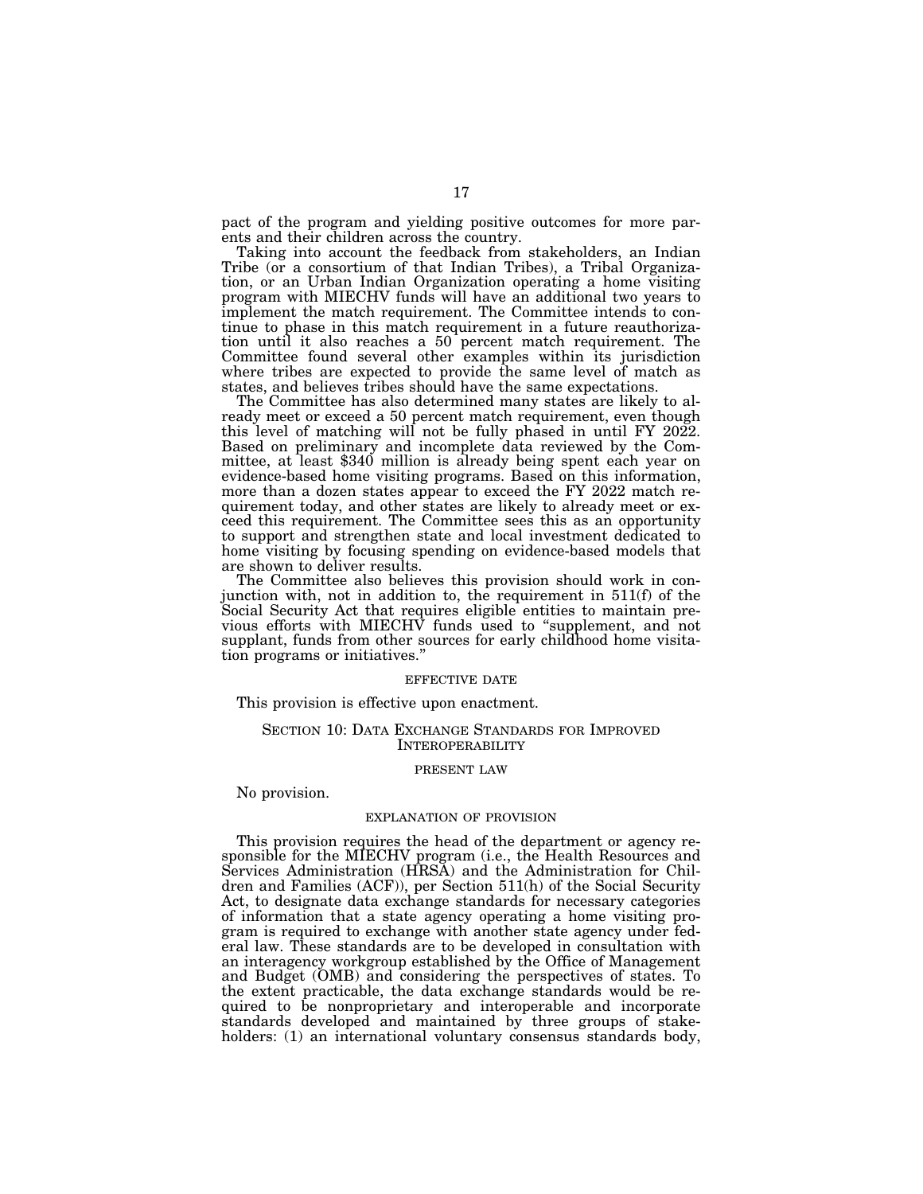pact of the program and yielding positive outcomes for more parents and their children across the country.

Taking into account the feedback from stakeholders, an Indian Tribe (or a consortium of that Indian Tribes), a Tribal Organization, or an Urban Indian Organization operating a home visiting program with MIECHV funds will have an additional two years to implement the match requirement. The Committee intends to continue to phase in this match requirement in a future reauthorization until it also reaches a 50 percent match requirement. The Committee found several other examples within its jurisdiction where tribes are expected to provide the same level of match as states, and believes tribes should have the same expectations.

The Committee has also determined many states are likely to already meet or exceed a 50 percent match requirement, even though this level of matching will not be fully phased in until FY 2022. Based on preliminary and incomplete data reviewed by the Committee, at least \$340 million is already being spent each year on evidence-based home visiting programs. Based on this information, more than a dozen states appear to exceed the FY 2022 match requirement today, and other states are likely to already meet or exceed this requirement. The Committee sees this as an opportunity to support and strengthen state and local investment dedicated to home visiting by focusing spending on evidence-based models that are shown to deliver results.

The Committee also believes this provision should work in conjunction with, not in addition to, the requirement in 511(f) of the Social Security Act that requires eligible entities to maintain previous efforts with MIECHV funds used to ''supplement, and not supplant, funds from other sources for early childhood home visitation programs or initiatives.''

#### EFFECTIVE DATE

This provision is effective upon enactment.

### SECTION 10: DATA EXCHANGE STANDARDS FOR IMPROVED INTEROPERABILITY

#### PRESENT LAW

### No provision.

### EXPLANATION OF PROVISION

This provision requires the head of the department or agency responsible for the MIECHV program (i.e., the Health Resources and Services Administration (HRSA) and the Administration for Children and Families (ACF)), per Section 511(h) of the Social Security Act, to designate data exchange standards for necessary categories of information that a state agency operating a home visiting program is required to exchange with another state agency under federal law. These standards are to be developed in consultation with an interagency workgroup established by the Office of Management and Budget (OMB) and considering the perspectives of states. To the extent practicable, the data exchange standards would be required to be nonproprietary and interoperable and incorporate standards developed and maintained by three groups of stakeholders: (1) an international voluntary consensus standards body,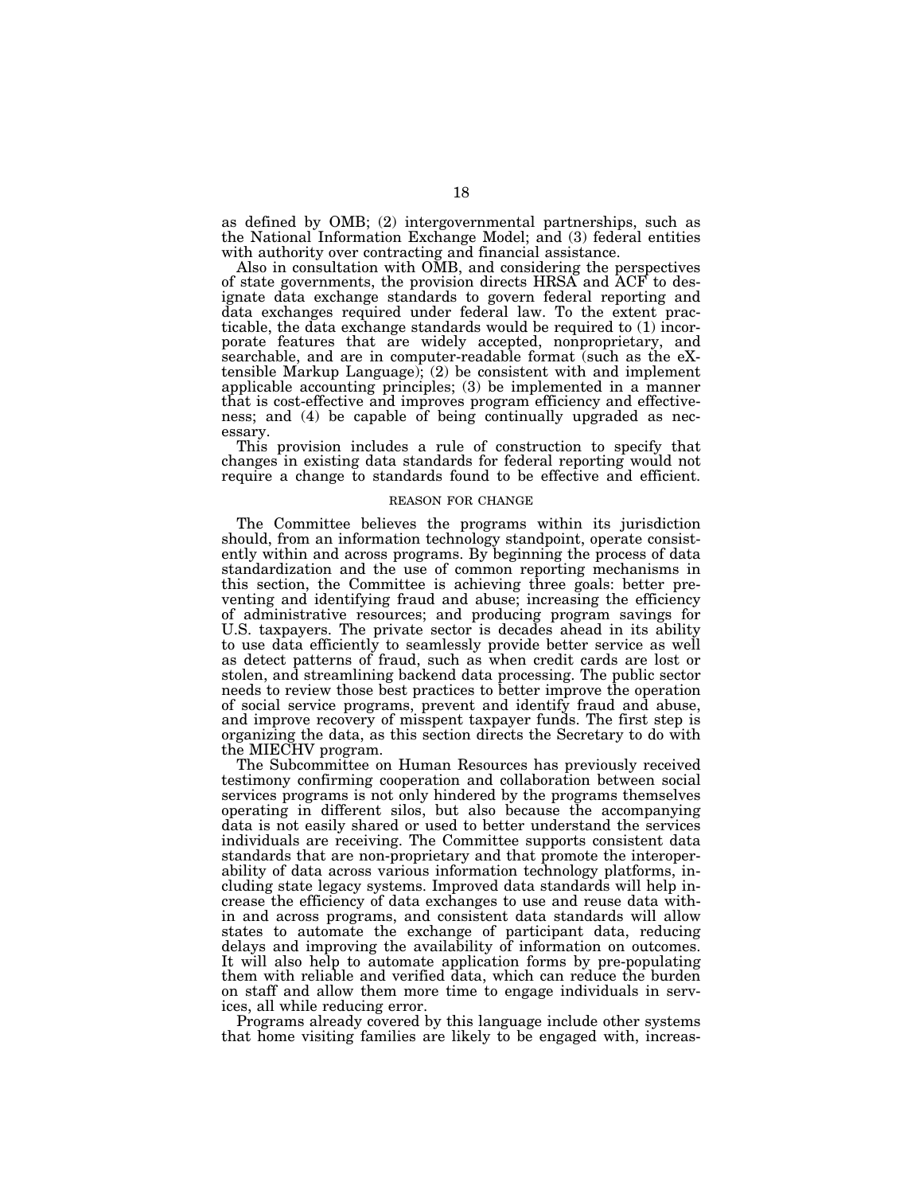as defined by OMB; (2) intergovernmental partnerships, such as the National Information Exchange Model; and (3) federal entities with authority over contracting and financial assistance.

Also in consultation with OMB, and considering the perspectives of state governments, the provision directs HRSA and ACF to designate data exchange standards to govern federal reporting and data exchanges required under federal law. To the extent practicable, the data exchange standards would be required to (1) incorporate features that are widely accepted, nonproprietary, and searchable, and are in computer-readable format (such as the eXtensible Markup Language); (2) be consistent with and implement applicable accounting principles; (3) be implemented in a manner that is cost-effective and improves program efficiency and effectiveness; and (4) be capable of being continually upgraded as necessary.

This provision includes a rule of construction to specify that changes in existing data standards for federal reporting would not require a change to standards found to be effective and efficient.

#### REASON FOR CHANGE

The Committee believes the programs within its jurisdiction should, from an information technology standpoint, operate consistently within and across programs. By beginning the process of data standardization and the use of common reporting mechanisms in this section, the Committee is achieving three goals: better preventing and identifying fraud and abuse; increasing the efficiency of administrative resources; and producing program savings for U.S. taxpayers. The private sector is decades ahead in its ability to use data efficiently to seamlessly provide better service as well as detect patterns of fraud, such as when credit cards are lost or stolen, and streamlining backend data processing. The public sector needs to review those best practices to better improve the operation of social service programs, prevent and identify fraud and abuse, and improve recovery of misspent taxpayer funds. The first step is organizing the data, as this section directs the Secretary to do with the MIECHV program.

The Subcommittee on Human Resources has previously received testimony confirming cooperation and collaboration between social services programs is not only hindered by the programs themselves operating in different silos, but also because the accompanying data is not easily shared or used to better understand the services individuals are receiving. The Committee supports consistent data standards that are non-proprietary and that promote the interoperability of data across various information technology platforms, including state legacy systems. Improved data standards will help increase the efficiency of data exchanges to use and reuse data within and across programs, and consistent data standards will allow states to automate the exchange of participant data, reducing delays and improving the availability of information on outcomes. It will also help to automate application forms by pre-populating them with reliable and verified data, which can reduce the burden on staff and allow them more time to engage individuals in services, all while reducing error.

Programs already covered by this language include other systems that home visiting families are likely to be engaged with, increas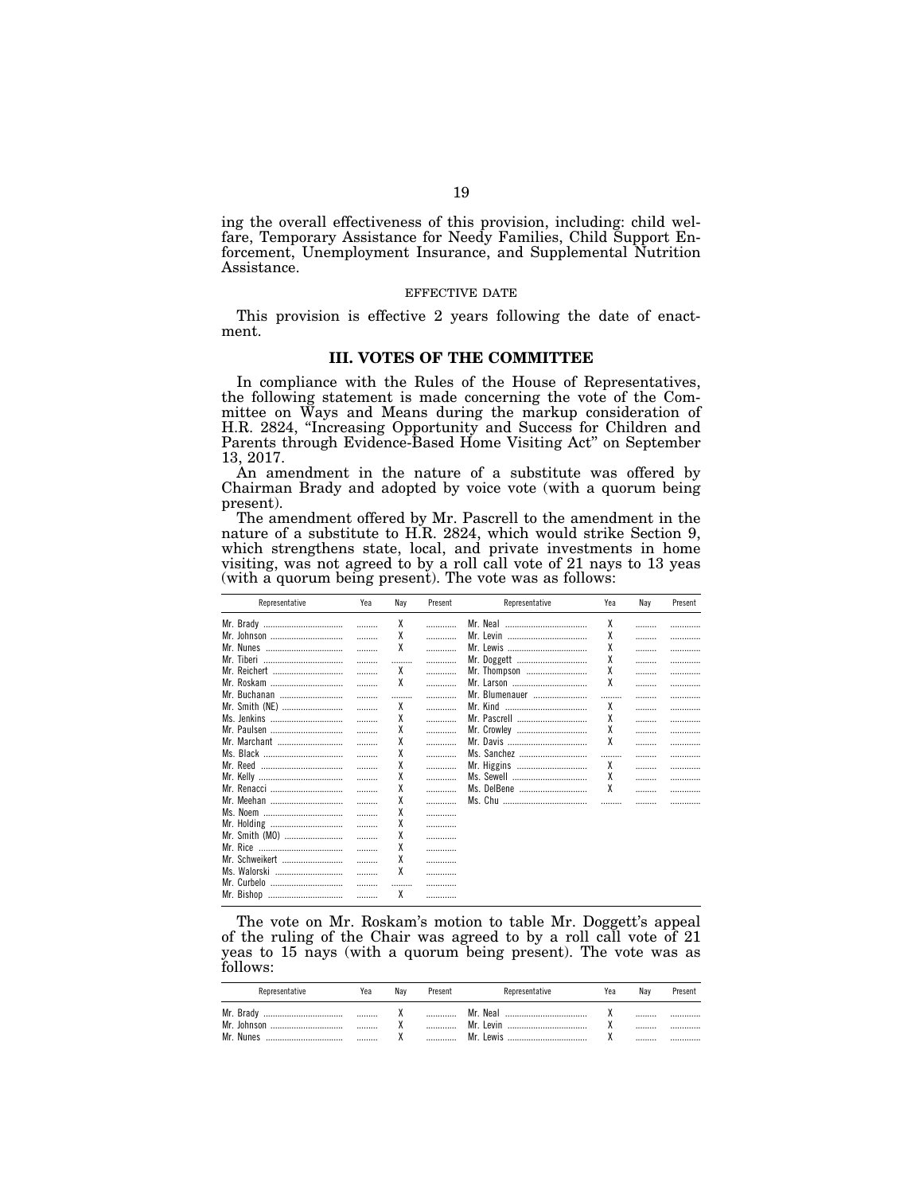ing the overall effectiveness of this provision, including: child welfare, Temporary Assistance for Needy Families, Child Support Enforcement, Unemployment Insurance, and Supplemental Nutrition Assistance.

### EFFECTIVE DATE

This provision is effective 2 years following the date of enactment.

## **III. VOTES OF THE COMMITTEE**

In compliance with the Rules of the House of Representatives, the following statement is made concerning the vote of the Committee on Ways and Means during the markup consideration of H.R. 2824, ''Increasing Opportunity and Success for Children and Parents through Evidence-Based Home Visiting Act'' on September 13, 2017.

An amendment in the nature of a substitute was offered by Chairman Brady and adopted by voice vote (with a quorum being present).

The amendment offered by Mr. Pascrell to the amendment in the nature of a substitute to H.R. 2824, which would strike Section 9, which strengthens state, local, and private investments in home visiting, was not agreed to by a roll call vote of 21 nays to 13 yeas (with a quorum being present). The vote was as follows:

| Representative   | Yea | Nay | Present | Representative | Yea | Nay | Present |
|------------------|-----|-----|---------|----------------|-----|-----|---------|
| Mr. Brady        |     | χ   |         | Mr. Neal       | χ   |     |         |
| Mr. Johnson      |     | X   | .       | Mr. Levin<br>  | X   |     | .       |
| Mr. Nunes        |     | χ   |         | Mr. Lewis      | χ   |     |         |
| Mr. Tiberi       |     |     |         | Mr. Doggett    | χ   |     |         |
| Mr. Reichert     | .   | χ   | .       | Mr. Thompson   | χ   |     | .       |
| Mr. Roskam       |     | χ   |         |                | χ   |     |         |
| Mr. Buchanan     |     |     | .       | Mr. Blumenauer |     |     | .       |
| Mr. Smith (NE)   | .   | χ   |         |                | χ   |     | .       |
| Ms. Jenkins      |     | χ   | .       | Mr. Pascrell   | χ   |     | .       |
| Mr. Paulsen      |     | X   | .       | Mr. Crowley    | χ   |     | .       |
| Mr. Marchant     |     | χ   |         |                | χ   |     | .       |
| Ms. Black        |     | χ   | .       | Ms. Sanchez    |     |     | .       |
| Mr. Reed<br>     |     | X   | .       | Mr. Higgins    | χ   |     | .       |
|                  |     | X   | .       | Ms. Sewell     | χ   |     | .       |
| Mr. Renacci      |     | X   | .       | Ms. DelBene    | X   |     | .       |
| Mr. Meehan       |     | X   |         |                |     |     |         |
| Ms. Noem         |     | χ   | .       |                |     |     |         |
| Mr. Holding      | .   | X   |         |                |     |     |         |
| Mr. Smith (MO)   | .   | χ   |         |                |     |     |         |
|                  |     | χ   | .       |                |     |     |         |
| Mr. Schweikert   | .   | X   |         |                |     |     |         |
| Ms. Walorski<br> |     | X   | .       |                |     |     |         |
| Mr. Curbelo      |     |     | .       |                |     |     |         |
| Mr. Bishop       |     | χ   |         |                |     |     |         |

The vote on Mr. Roskam's motion to table Mr. Doggett's appeal of the ruling of the Chair was agreed to by a roll call vote of 21 yeas to 15 nays (with a quorum being present). The vote was as follows:

| Representative | Yea | Nav      | Present | Representative    | Yea | Nav | Present |
|----------------|-----|----------|---------|-------------------|-----|-----|---------|
| Mr. Brady<br>  |     | $\cdot$  |         | Neal<br>Mr        |     |     |         |
| Mr.            |     |          |         | Mr<br>AVIT        |     |     |         |
| Mr. Nunes<br>  |     | $\cdots$ |         | Mr<br><b>PWIS</b> |     |     |         |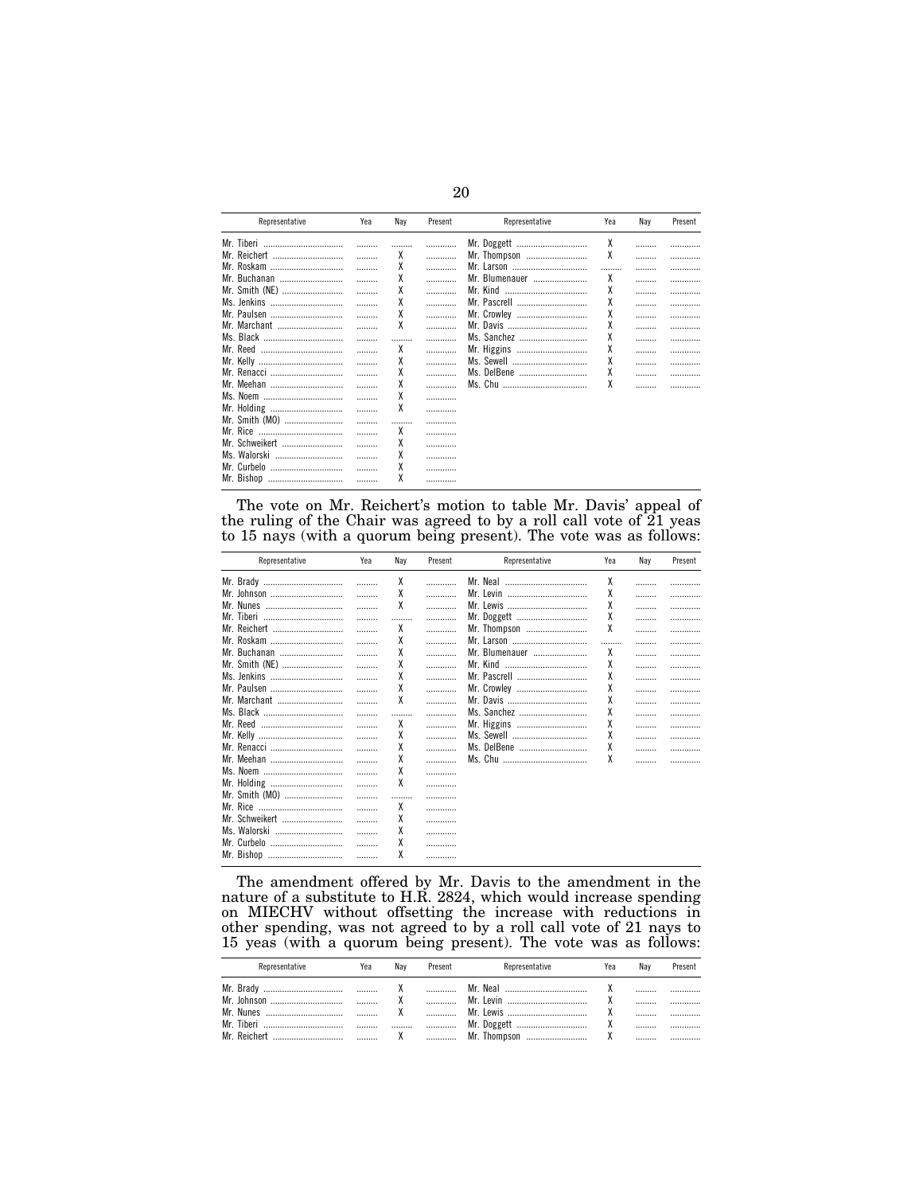| Representative                                           | Yea | Nay    | Present | Representative                                              | Yea         | Nay | Present |
|----------------------------------------------------------|-----|--------|---------|-------------------------------------------------------------|-------------|-----|---------|
| Mr. Tiberi<br>Mr. Reichert<br>Mr. Roskam<br>Mr. Buchanan |     | х<br>χ | .       | Mr. Doggett<br>Mr. Thompson<br>Mr. Larson<br>Mr. Blumenauer | χ<br>χ<br>χ |     | .<br>.  |
| Mr. Smith (NE)<br>Ms. Jenkins<br>Mr. Paulsen             |     | χ<br>X | .       | Mr. Kind<br><br>Mr. Pascrell<br>Mr. Crowley                 | χ<br>χ<br>χ |     | .       |
| Mr. Marchant<br>Mr. Reed<br>                             |     | χ<br>χ | .       | Mr. Davis<br>Ms. Sanchez<br>Mr. Higgins                     | χ<br>χ<br>χ |     | .       |
| Mr. Renacci<br>Mr. Meehan                                |     | χ<br>X |         | Ms. Sewell<br>Ms. DelBene                                   | χ<br>χ<br>χ |     | .<br>.  |
| Ms. Noem<br>Mr. Holding<br>Mr. Smith (MO)                |     | χ      | .       |                                                             |             |     |         |
| Mr. Schweikert<br>Ms. Walorski<br>Mr. Curbelo            | .   | χ<br>χ | .       |                                                             |             |     |         |
| Mr. Bishop                                               |     | λ      | <br>    |                                                             |             |     |         |

The vote on Mr. Reichert's motion to table Mr. Davis' appeal of the ruling of the Chair was agreed to by a roll call vote of 21 yeas to 15 nays (with a quorum being present). The vote was as follows:

| Representative | Yea | Nay | Present | Representative | Yea | Nay | Present |
|----------------|-----|-----|---------|----------------|-----|-----|---------|
| Mr. Brady      |     | χ   |         | Mr. Neal       | χ   |     |         |
| Mr. Johnson    |     | χ   | .       |                | χ   |     | .       |
| Mr. Nunes      |     | χ   | .       |                | χ   |     | .       |
| Mr. Tiberi<br> |     |     |         | Mr. Doggett    | χ   |     |         |
| Mr. Reichert   |     | χ   | .       | Mr. Thompson   | χ   |     |         |
| Mr. Roskam     |     | χ   | .       |                |     | .   | .       |
| Mr. Buchanan   |     | χ   | .       | Mr. Blumenauer | χ   |     |         |
| Mr. Smith (NE) |     | χ   | .       | Mr. Kind       | χ   |     | .       |
| Ms. Jenkins    |     | χ   | .       |                | χ   |     | .       |
| Mr. Paulsen    |     | χ   | .       | Mr. Crowley    | χ   |     |         |
| Mr. Marchant   |     | χ   | .       |                | χ   |     |         |
| Ms. Black      | .   |     | .       | Ms. Sanchez    | χ   | .   |         |
|                |     | χ   | .       | Mr. Higgins    | X   |     |         |
|                |     | χ   | .       | Ms. Sewell     | χ   |     |         |
| Mr. Renacci    |     | χ   | .       | Ms. DelBene    | χ   |     |         |
| Mr. Meehan     |     | χ   |         |                | χ   |     |         |
| Ms. Noem       |     | χ   | .       |                |     |     |         |
| Mr. Holding    | .   | χ   |         |                |     |     |         |
| Mr. Smith (MO) | .   |     |         |                |     |     |         |
|                |     | χ   |         |                |     |     |         |
| Mr. Schweikert |     | χ   |         |                |     |     |         |
| Ms. Walorski   |     | χ   |         |                |     |     |         |
| Mr. Curbelo    |     | χ   | .       |                |     |     |         |
| Mr. Bishop     |     | χ   | .       |                |     |     |         |
|                |     |     |         |                |     |     |         |

The amendment offered by Mr. Davis to the amendment in the nature of a substitute to H.R. 2824, which would increase spending on MIECHV without offsetting the increase with reductions in other spending, was not agreed to by a roll call vote of 21 nays to 15 yeas (with a quorum being present). The vote was as follows:

| Representative | Yea | Nav | Present | Representative                                       | Yea | Nav | Present |
|----------------|-----|-----|---------|------------------------------------------------------|-----|-----|---------|
|                |     |     |         | Mr. Neal $\ldots$ $X$ $\ldots$ $\ldots$<br>Mr. Levin |     |     |         |
|                |     |     |         |                                                      |     |     |         |
|                |     |     |         |                                                      |     |     |         |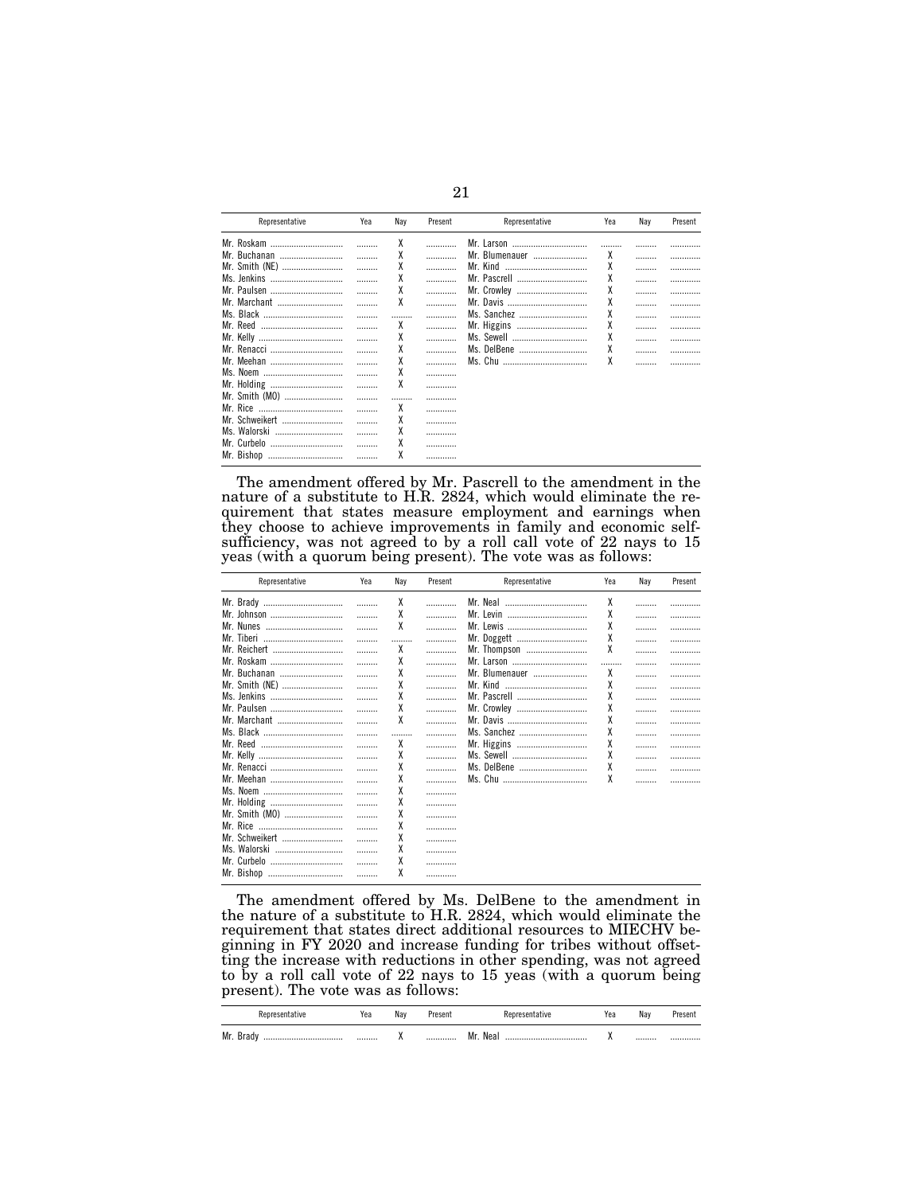| Representative   | Yea | Nav | Present | Representative     | Yea | Nav | Present |
|------------------|-----|-----|---------|--------------------|-----|-----|---------|
| Mr. Roskam       |     | χ   |         | Mr. Larson         |     |     | .       |
| Mr. Buchanan<br> |     | χ   |         | Mr. Blumenauer<br> | χ   | .   | .       |
| Mr. Smith (NE)   |     | χ   |         | Mr. Kind<br>       | χ   | .   | .       |
| Ms. Jenkins      |     | χ   |         |                    | X   |     |         |
| Mr. Paulsen      |     | χ   |         | Mr. Crowley        | X   |     |         |
| Mr. Marchant     |     | X   |         | Mr. Davis          | χ   | .   |         |
| Ms. Black        |     |     |         | Ms. Sanchez        | χ   |     | .       |
| Mr. Reed<br>     |     | χ   |         | Mr. Higgins        | X   |     | .       |
| Mr. Kelly<br>    |     | χ   |         | Ms. Sewell         | X   |     |         |
| Mr. Renacci      |     | χ   |         | Ms. DelBene<br>    | X   | .   |         |
| Mr. Meehan       |     | χ   |         |                    | χ   |     |         |
|                  |     | χ   |         |                    |     |     |         |
| Mr. Holding      |     | χ   |         |                    |     |     |         |
| Mr. Smith (MO)   |     |     |         |                    |     |     |         |
|                  |     | χ   |         |                    |     |     |         |
| Mr. Schweikert   |     | χ   |         |                    |     |     |         |
| Ms. Walorski     |     | χ   |         |                    |     |     |         |
|                  |     | χ   |         |                    |     |     |         |
| Mr. Curbelo<br>  |     | χ   |         |                    |     |     |         |
| Mr. Bishop<br>   |     |     |         |                    |     |     |         |

The amendment offered by Mr. Pascrell to the amendment in the nature of a substitute to H.R. 2824, which would eliminate the requirement that states measure employment and earnings when they choose to achieve improvements in family and economic self-<br>sufficiency, was not agreed to by a roll call vote of 22 nays to 15 yeas (with a quorum being present). The vote was as follows:

| Representative | Yea | Nay | Present | Representative | Yea | Nav | Present |
|----------------|-----|-----|---------|----------------|-----|-----|---------|
| Mr. Brady      |     | χ   |         |                | χ   |     |         |
| Mr. Johnson    |     | χ   | .       |                | χ   |     | .       |
| Mr. Nunes      |     | χ   | .       | Mr. Lewis      | χ   |     |         |
| Mr. Tiberi     |     |     | .       | Mr. Doggett    | χ   |     | .       |
| Mr. Reichert   | .   | χ   | .       | Mr. Thompson   | χ   |     | .       |
| Mr. Roskam     | .   | χ   | .       | Mr. Larson     |     |     | .       |
| Mr. Buchanan   |     | χ   | .       | Mr. Blumenauer | χ   | .   | .       |
| Mr. Smith (NE) |     | χ   | .       |                | χ   |     |         |
| Ms. Jenkins    |     | X   | .       | Mr. Pascrell   | χ   |     | .       |
| Mr. Paulsen    |     | χ   | .       | Mr. Crowley    | χ   |     | .       |
| Mr. Marchant   | .   | X   | .       |                | χ   |     | .       |
|                |     |     |         | Ms. Sanchez    | χ   |     |         |
| Mr. Reed<br>   |     | χ   | .       | Mr. Higgins    | χ   |     | .       |
|                |     | X   | .       | Ms. Sewell     | X   |     |         |
| Mr. Renacci    |     | χ   | .       | Ms. DelBene    | χ   |     | .       |
| Mr. Meehan     | .   | χ   |         |                | χ   |     |         |
| Ms. Noem       |     | χ   |         |                |     |     |         |
| Mr. Holding    |     | χ   | .       |                |     |     |         |
| Mr. Smith (MO) |     | χ   | .       |                |     |     |         |
|                | .   | χ   | .       |                |     |     |         |
| Mr. Schweikert | .   | χ   | .       |                |     |     |         |
| Ms. Walorski   | .   | χ   | .       |                |     |     |         |
| Mr. Curbelo    |     | χ   |         |                |     |     |         |
| Mr. Bishop     |     | χ   |         |                |     |     |         |
|                |     |     |         |                |     |     |         |

The amendment offered by Ms. DelBene to the amendment in the nature of a substitute to H.R. 2824, which would eliminate the requirement that states direct additional resources to MIECHV beginning in FY 2020 and increase funding for tribes without offsetting the increase with reductions in other spending, was not agreed to by a roll call vote of 22 nays to 15 yeas (with a quorum being present). The vote was as follows:

|                   | Yea | Nav      | Present |            | Yea | Nav | resent |
|-------------------|-----|----------|---------|------------|-----|-----|--------|
| Mr.<br>-braur<br> |     | $\cdots$ |         | Mr.<br>Nea |     |     |        |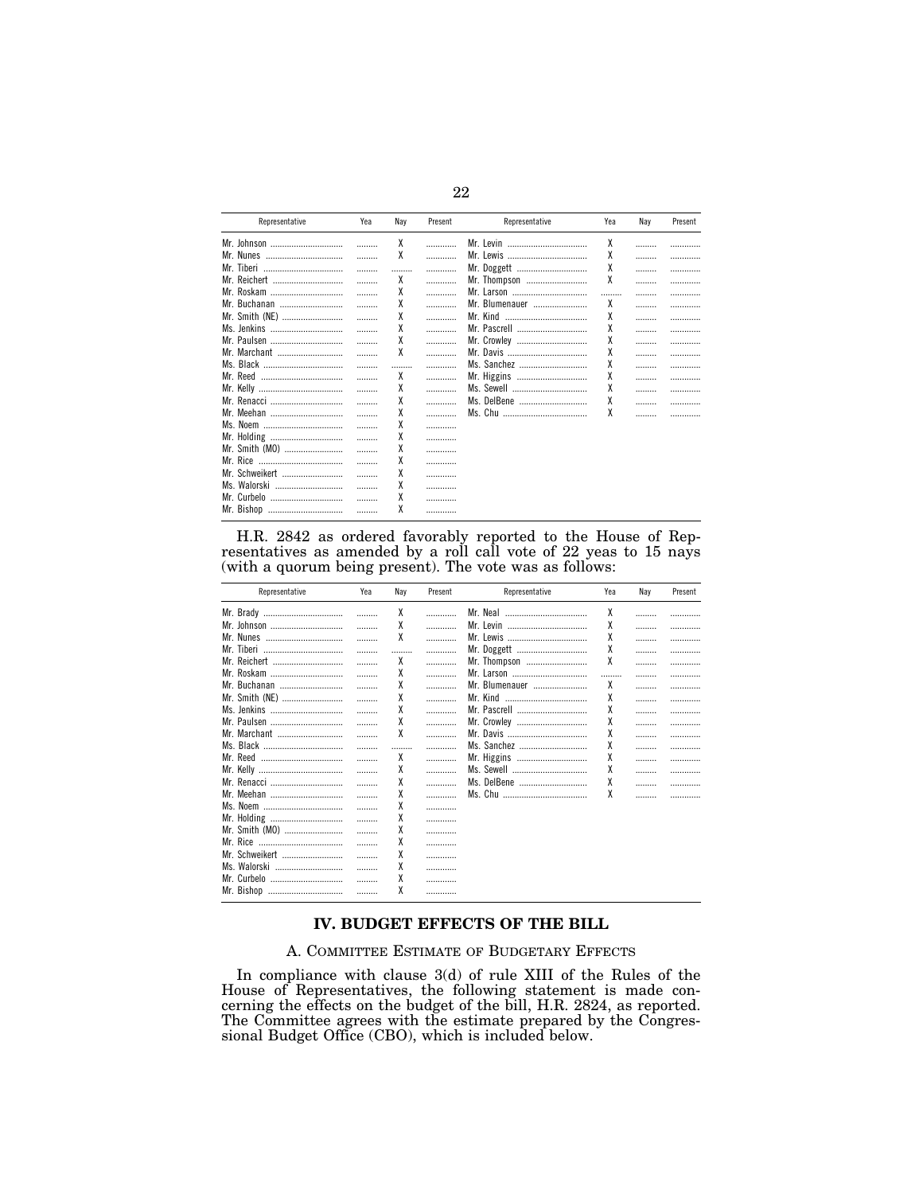| Representative | Yea | Nay | Present | Representative | Yea | Nav | Present |
|----------------|-----|-----|---------|----------------|-----|-----|---------|
| Mr. Johnson    |     | χ   | .       | Mr. Levin<br>  | χ   |     |         |
| Mr. Nunes      |     | χ   | .       |                | χ   |     |         |
| Mr. Tiberi     |     |     | .       | Mr. Doggett    | χ   |     | .       |
| Mr. Reichert   |     | χ   | .       | Mr. Thompson   | χ   |     | .       |
| Mr. Roskam     |     | χ   | .       |                |     | .   | .       |
| Mr. Buchanan   |     | χ   | .       | Mr. Blumenauer | χ   |     | .       |
| Mr. Smith (NE) |     | χ   | .       | Mr. Kind       | χ   |     |         |
| Ms. Jenkins    |     | χ   | .       |                | χ   |     |         |
| Mr. Paulsen    |     | X   | .       | Mr. Crowley    | χ   |     |         |
| Mr. Marchant   |     | χ   |         |                | χ   | .   |         |
| Ms. Black      |     |     |         | Ms. Sanchez    | X   |     | .       |
| Mr. Reed<br>   |     | χ   | .       | Mr. Higgins    | Χ   |     | .       |
|                |     | χ   | .       | Ms. Sewell     | X   |     |         |
| Mr. Renacci    |     | χ   | .       | Ms. DelBene    | χ   |     | .       |
| Mr. Meehan     |     | χ   | .       |                | χ   |     |         |
| Ms. Noem       | .   | χ   |         |                |     |     |         |
| Mr. Holding    | .   | χ   |         |                |     |     |         |
| Mr. Smith (MO) | .   | X   |         |                |     |     |         |
|                |     | χ   |         |                |     |     |         |
| Mr. Schweikert |     | χ   |         |                |     |     |         |
| Ms. Walorski   |     | χ   |         |                |     |     |         |
| Mr. Curbelo    |     | χ   |         |                |     |     |         |
| Mr. Bishop     | .   | χ   |         |                |     |     |         |

H.R. 2842 as ordered favorably reported to the House of Representatives as amended by a roll call vote of  $22$  yeas to 15 nays (with a quorum being present). The vote was as follows:

| Representative | Yea | Nay | Present | Representative | Yea | Nay | Present |
|----------------|-----|-----|---------|----------------|-----|-----|---------|
| Mr. Brady      | .   | χ   | .       | Mr. Neal       | χ   |     |         |
| Mr. Johnson    |     | χ   | .       | Mr. Levin      | χ   |     | .       |
| Mr. Nunes      |     | χ   | .       | Mr. Lewis      | χ   |     | .       |
| Mr. Tiberi     |     |     | .       | Mr. Doggett    | X   |     | .       |
| Mr. Reichert   |     | χ   | .       | Mr. Thompson   | χ   |     | .       |
| Mr. Roskam     | .   | χ   | .       |                |     |     | .       |
| Mr. Buchanan   | .   | χ   | .       | Mr. Blumenauer | χ   |     | .       |
| Mr. Smith (NE) |     | χ   | .       | Mr. Kind       | χ   |     | .       |
| Ms. Jenkins    |     | χ   | .       |                | χ   |     | .       |
| Mr. Paulsen    |     | χ   | .       | Mr. Crowley    | χ   | .   | .       |
| Mr. Marchant   |     | χ   | .       |                | χ   | .   | .       |
| Ms. Black      | .   |     | .       | Ms. Sanchez    | χ   |     | .       |
|                | .   | χ   | .       | Mr. Higgins    | χ   | .   | .       |
|                | .   | χ   | .       | Ms. Sewell     | χ   |     | .       |
| Mr. Renacci    |     | χ   | .       | Ms. DelBene    | χ   | .   | .       |
| Mr. Meehan     |     | χ   | .       |                | χ   |     |         |
| Ms. Noem       |     | χ   | .       |                |     |     |         |
| Mr. Holding    | .   | χ   |         |                |     |     |         |
| Mr. Smith (MO) | .   | χ   | .       |                |     |     |         |
|                | .   | χ   | .       |                |     |     |         |
| Mr. Schweikert | .   | χ   |         |                |     |     |         |
| Ms. Walorski   |     | χ   | .       |                |     |     |         |
| Mr. Curbelo    |     | χ   | .       |                |     |     |         |
| Mr. Bishop     |     | χ   |         |                |     |     |         |
|                |     |     |         |                |     |     |         |

## IV. BUDGET EFFECTS OF THE BILL

## A. COMMITTEE ESTIMATE OF BUDGETARY EFFECTS

In compliance with clause 3(d) of rule XIII of the Rules of the<br>House of Representatives, the following statement is made concerning the effects on the budget of the bill, H.R. 2824, as reported.<br>The Committee agrees with the estimate prepared by the Congressional Budget Office (CBO), which is included below.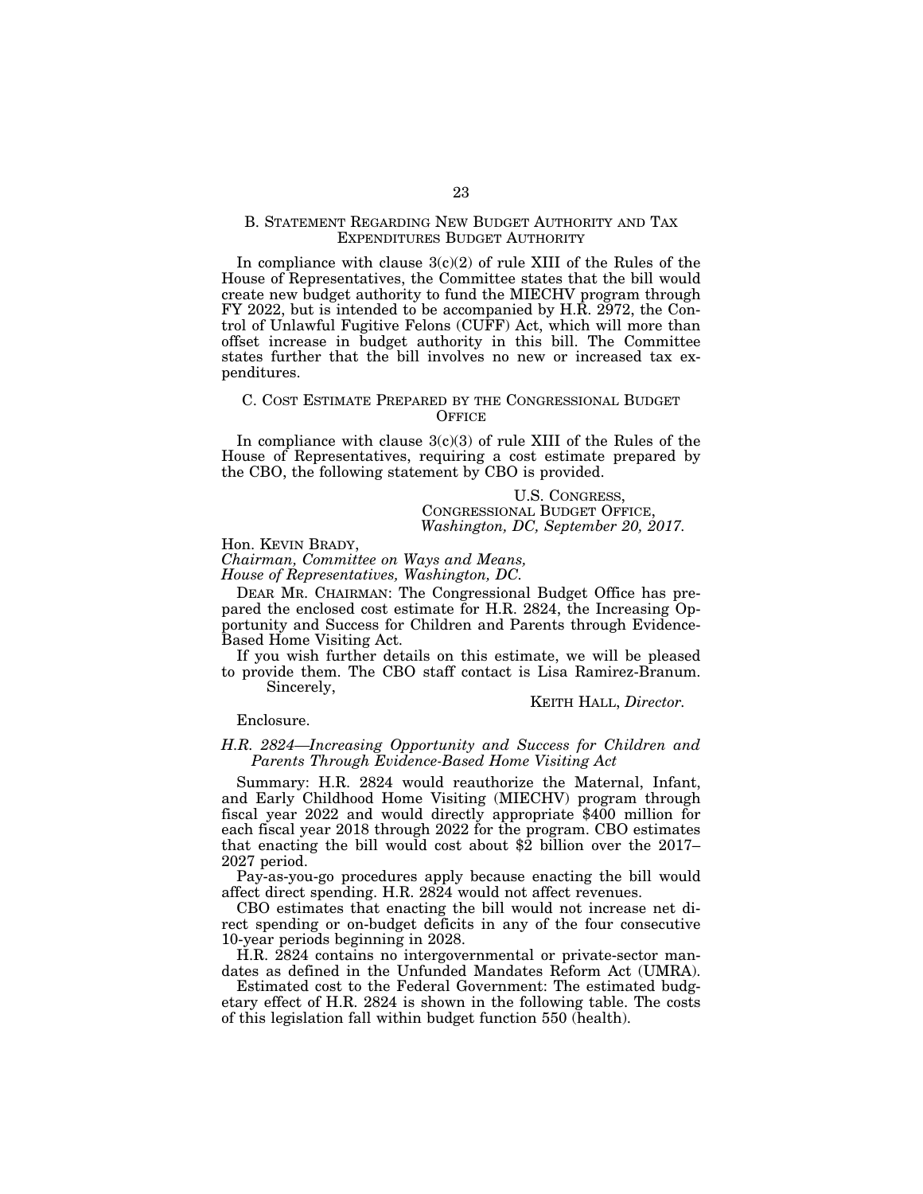### B. STATEMENT REGARDING NEW BUDGET AUTHORITY AND TAX EXPENDITURES BUDGET AUTHORITY

In compliance with clause  $3(c)(2)$  of rule XIII of the Rules of the House of Representatives, the Committee states that the bill would create new budget authority to fund the MIECHV program through FY 2022, but is intended to be accompanied by H.R. 2972, the Control of Unlawful Fugitive Felons (CUFF) Act, which will more than offset increase in budget authority in this bill. The Committee states further that the bill involves no new or increased tax expenditures.

### C. COST ESTIMATE PREPARED BY THE CONGRESSIONAL BUDGET **OFFICE**

In compliance with clause  $3(c)(3)$  of rule XIII of the Rules of the House of Representatives, requiring a cost estimate prepared by the CBO, the following statement by CBO is provided.

> U.S. CONGRESS, CONGRESSIONAL BUDGET OFFICE, *Washington, DC, September 20, 2017.*

Hon. KEVIN BRADY,

*Chairman, Committee on Ways and Means,* 

*House of Representatives, Washington, DC.* 

DEAR MR. CHAIRMAN: The Congressional Budget Office has prepared the enclosed cost estimate for H.R. 2824, the Increasing Opportunity and Success for Children and Parents through Evidence-Based Home Visiting Act.

If you wish further details on this estimate, we will be pleased to provide them. The CBO staff contact is Lisa Ramirez-Branum.

Sincerely,

KEITH HALL, *Director.* 

Enclosure.

## *H.R. 2824—Increasing Opportunity and Success for Children and Parents Through Evidence-Based Home Visiting Act*

Summary: H.R. 2824 would reauthorize the Maternal, Infant, and Early Childhood Home Visiting (MIECHV) program through fiscal year 2022 and would directly appropriate \$400 million for each fiscal year 2018 through 2022 for the program. CBO estimates that enacting the bill would cost about \$2 billion over the 2017– 2027 period.

Pay-as-you-go procedures apply because enacting the bill would affect direct spending. H.R. 2824 would not affect revenues.

CBO estimates that enacting the bill would not increase net direct spending or on-budget deficits in any of the four consecutive 10-year periods beginning in 2028.

H.R. 2824 contains no intergovernmental or private-sector mandates as defined in the Unfunded Mandates Reform Act (UMRA).

Estimated cost to the Federal Government: The estimated budgetary effect of H.R. 2824 is shown in the following table. The costs of this legislation fall within budget function 550 (health).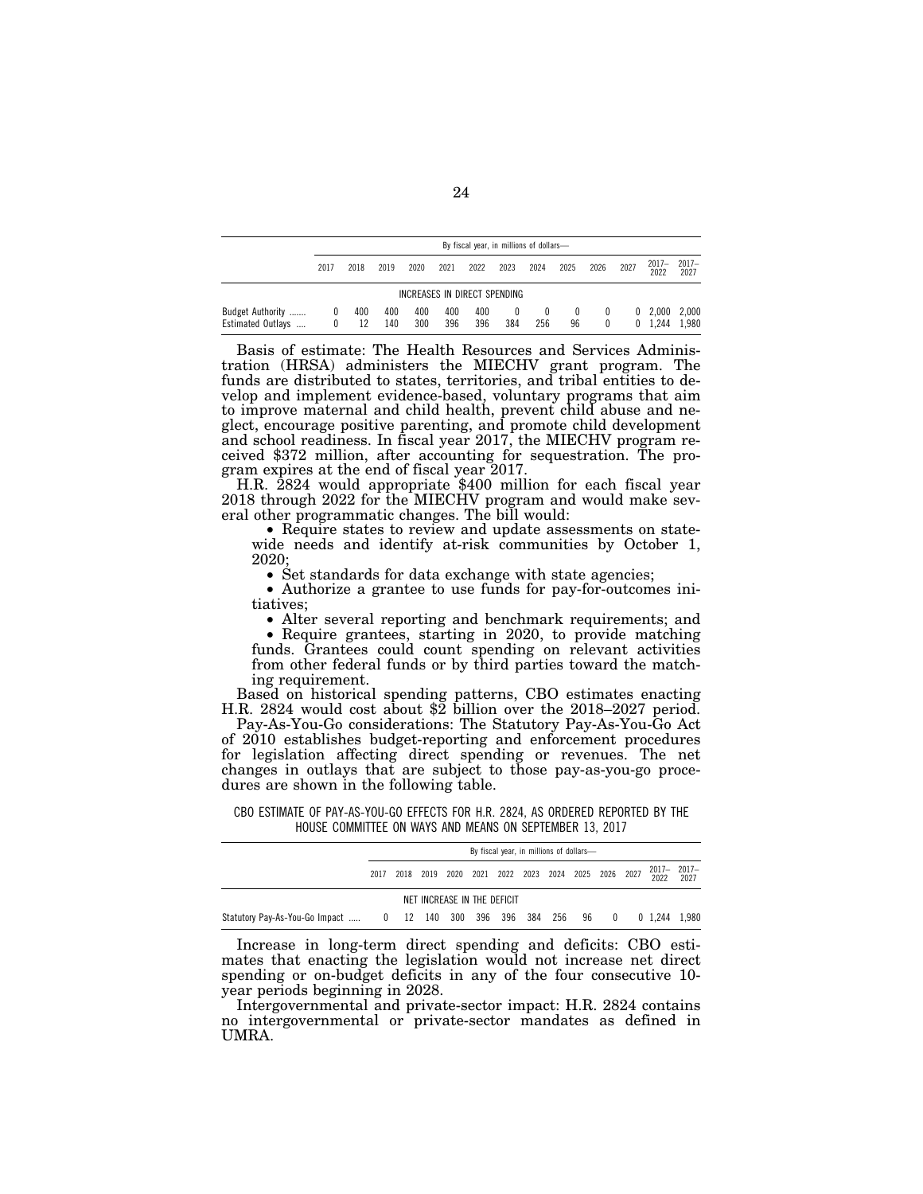|                                       |        |           |            |            |            | By fiscal year, in millions of dollars- |                 |               |                |             |  |                         |                  |
|---------------------------------------|--------|-----------|------------|------------|------------|-----------------------------------------|-----------------|---------------|----------------|-------------|--|-------------------------|------------------|
|                                       | 2017   | 2018      | 2019       | 2020       | 2021       | 2022                                    | 2023            | 2024          | 2025           | 2026        |  | $2017 -$<br>2022        | $2017 -$<br>2027 |
|                                       |        |           |            |            |            | INCREASES IN DIRECT SPENDING            |                 |               |                |             |  |                         |                  |
| Budget Authority<br>Estimated Outlays | $^{0}$ | 400<br>12 | 400<br>140 | 400<br>300 | 400<br>396 | 400<br>396                              | $\bf{0}$<br>384 | $^{0}$<br>256 | $\theta$<br>96 | $^{0}$<br>0 |  | $0\quad 2.000$<br>1.244 | 2,000<br>1.980   |

Basis of estimate: The Health Resources and Services Administration (HRSA) administers the MIECHV grant program. The funds are distributed to states, territories, and tribal entities to develop and implement evidence-based, voluntary programs that aim to improve maternal and child health, prevent child abuse and neglect, encourage positive parenting, and promote child development and school readiness. In fiscal year 2017, the MIECHV program received \$372 million, after accounting for sequestration. The pro-

H.R. 2824 would appropriate \$400 million for each fiscal year 2018 through 2022 for the MIECHV program and would make several other programmatic changes. The bill would:

• Require states to review and update assessments on statewide needs and identify at-risk communities by October 1, 2020;<br>• Set standards for data exchange with state agencies;

• Authorize a grantee to use funds for pay-for-outcomes initiatives;<br>• Alter several reporting and benchmark requirements; and

• Require grantees, starting in 2020, to provide matching funds. Grantees could count spending on relevant activities from other federal funds or by third parties toward the matching requirement.

Based on historical spending patterns, CBO estimates enacting H.R. 2824 would cost about \$2 billion over the 2018–2027 period.

Pay-As-You-Go considerations: The Statutory Pay-As-You-Go Act of 2010 establishes budget-reporting and enforcement procedures for legislation affecting direct spending or revenues. The net changes in outlays that are subject to those pay-as-you-go procedures are shown in the following table.

|                                                                   | By fiscal year, in millions of dollars- |  |  |  |  |  |  |  |  |  |  |                                                                   |  |
|-------------------------------------------------------------------|-----------------------------------------|--|--|--|--|--|--|--|--|--|--|-------------------------------------------------------------------|--|
|                                                                   |                                         |  |  |  |  |  |  |  |  |  |  | 2017 2018 2019 2020 2021 2022 2023 2024 2025 2026 2027 20217 2017 |  |
| NET INCREASE IN THE DEFICIT                                       |                                         |  |  |  |  |  |  |  |  |  |  |                                                                   |  |
| Statutory Pay-As-You-Go Impact  0 12 140 300 396 396 384 256 96 0 |                                         |  |  |  |  |  |  |  |  |  |  | 0 1.244 1.980                                                     |  |

CBO ESTIMATE OF PAY-AS-YOU-GO EFFECTS FOR H.R. 2824, AS ORDERED REPORTED BY THE HOUSE COMMITTEE ON WAYS AND MEANS ON SEPTEMBER 13, 2017

Increase in long-term direct spending and deficits: CBO estimates that enacting the legislation would not increase net direct spending or on-budget deficits in any of the four consecutive 10 year periods beginning in 2028.

Intergovernmental and private-sector impact: H.R. 2824 contains no intergovernmental or private-sector mandates as defined in UMRA.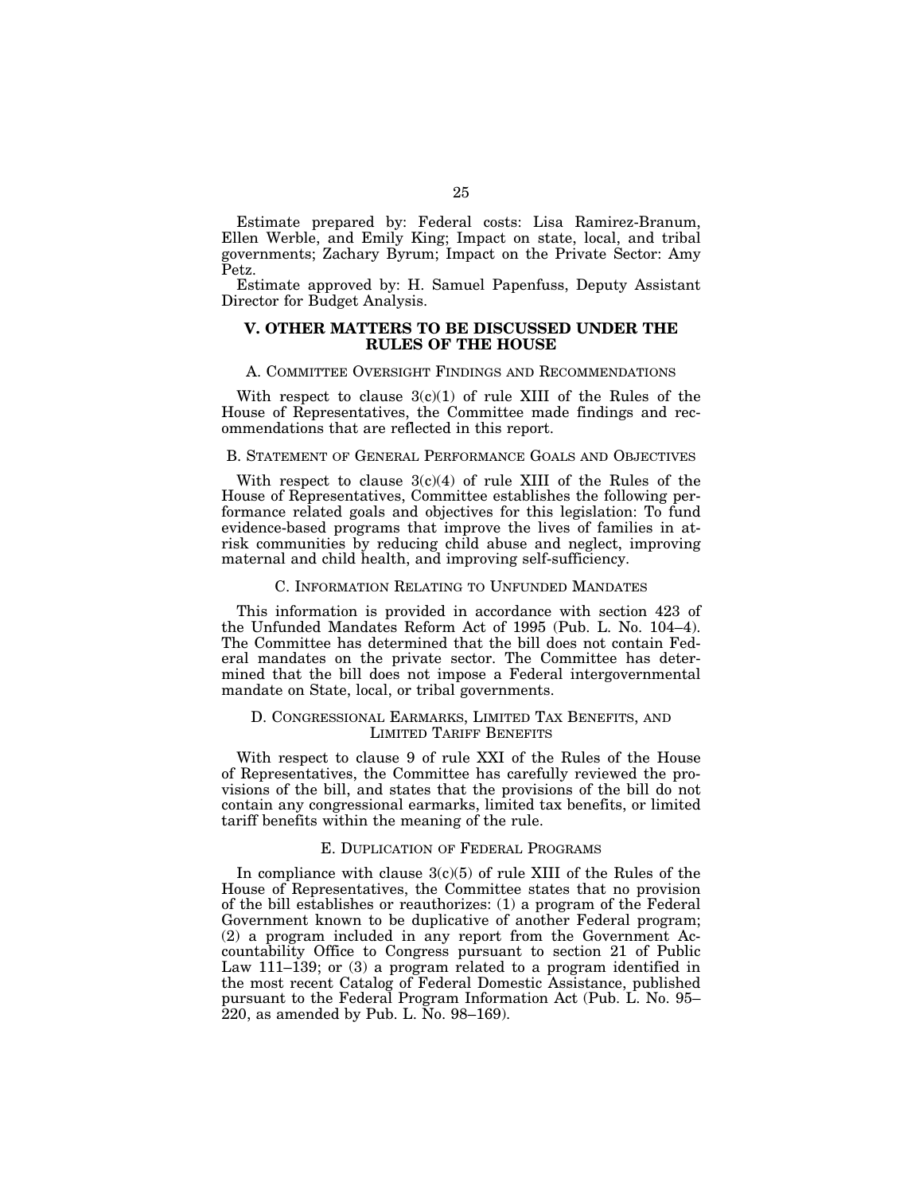Estimate prepared by: Federal costs: Lisa Ramirez-Branum, Ellen Werble, and Emily King; Impact on state, local, and tribal governments; Zachary Byrum; Impact on the Private Sector: Amy Petz.

Estimate approved by: H. Samuel Papenfuss, Deputy Assistant Director for Budget Analysis.

### **V. OTHER MATTERS TO BE DISCUSSED UNDER THE RULES OF THE HOUSE**

#### A. COMMITTEE OVERSIGHT FINDINGS AND RECOMMENDATIONS

With respect to clause  $3(c)(1)$  of rule XIII of the Rules of the House of Representatives, the Committee made findings and recommendations that are reflected in this report.

### B. STATEMENT OF GENERAL PERFORMANCE GOALS AND OBJECTIVES

With respect to clause  $3(c)(4)$  of rule XIII of the Rules of the House of Representatives, Committee establishes the following performance related goals and objectives for this legislation: To fund evidence-based programs that improve the lives of families in atrisk communities by reducing child abuse and neglect, improving maternal and child health, and improving self-sufficiency.

### C. INFORMATION RELATING TO UNFUNDED MANDATES

This information is provided in accordance with section 423 of the Unfunded Mandates Reform Act of 1995 (Pub. L. No. 104–4). The Committee has determined that the bill does not contain Federal mandates on the private sector. The Committee has determined that the bill does not impose a Federal intergovernmental mandate on State, local, or tribal governments.

### D. CONGRESSIONAL EARMARKS, LIMITED TAX BENEFITS, AND LIMITED TARIFF BENEFITS

With respect to clause 9 of rule XXI of the Rules of the House of Representatives, the Committee has carefully reviewed the provisions of the bill, and states that the provisions of the bill do not contain any congressional earmarks, limited tax benefits, or limited tariff benefits within the meaning of the rule.

### E. DUPLICATION OF FEDERAL PROGRAMS

In compliance with clause  $3(c)(5)$  of rule XIII of the Rules of the House of Representatives, the Committee states that no provision of the bill establishes or reauthorizes: (1) a program of the Federal Government known to be duplicative of another Federal program; (2) a program included in any report from the Government Accountability Office to Congress pursuant to section 21 of Public Law 111–139; or (3) a program related to a program identified in the most recent Catalog of Federal Domestic Assistance, published pursuant to the Federal Program Information Act (Pub. L. No. 95– 220, as amended by Pub. L. No. 98–169).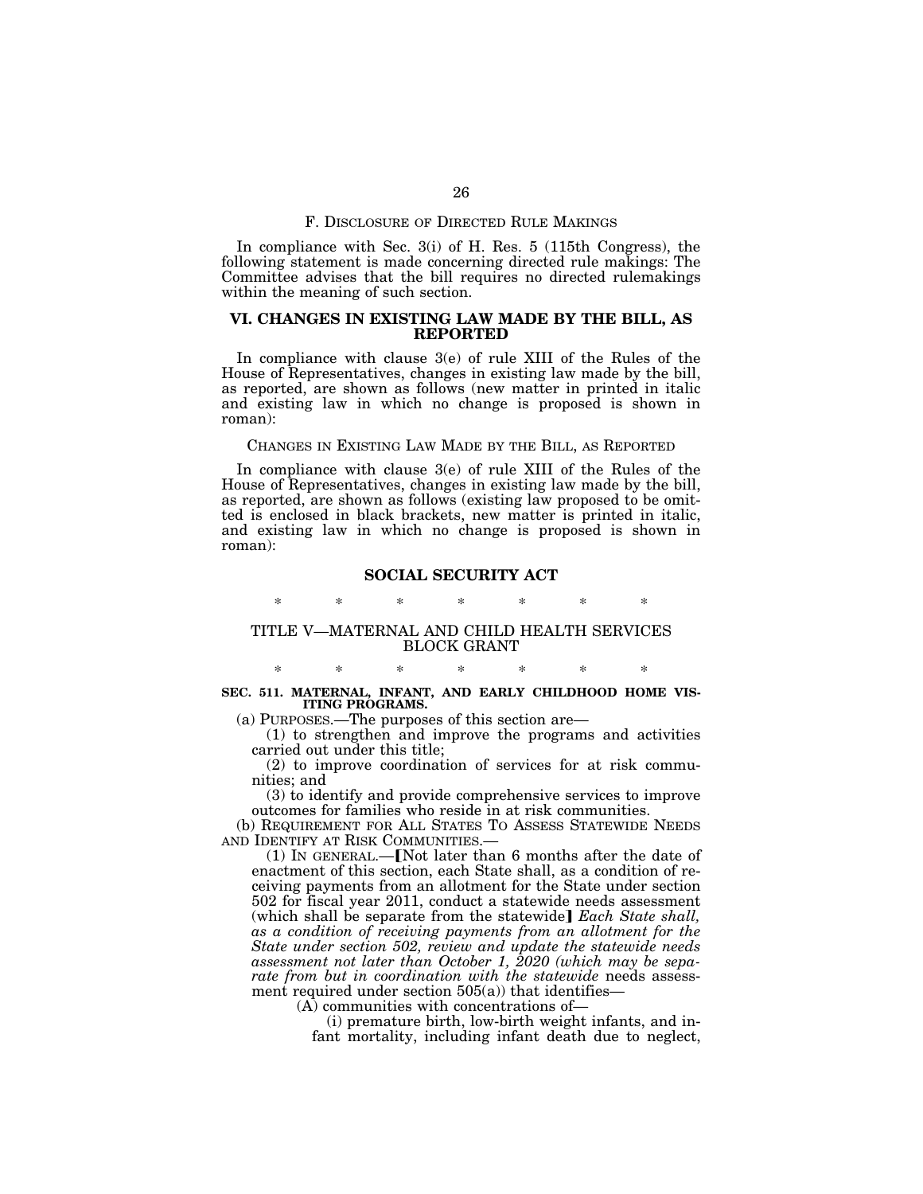### F. DISCLOSURE OF DIRECTED RULE MAKINGS

In compliance with Sec. 3(i) of H. Res. 5 (115th Congress), the following statement is made concerning directed rule makings: The Committee advises that the bill requires no directed rulemakings within the meaning of such section.

### **VI. CHANGES IN EXISTING LAW MADE BY THE BILL, AS REPORTED**

In compliance with clause 3(e) of rule XIII of the Rules of the House of Representatives, changes in existing law made by the bill, as reported, are shown as follows (new matter in printed in italic and existing law in which no change is proposed is shown in roman):

#### CHANGES IN EXISTING LAW MADE BY THE BILL, AS REPORTED

In compliance with clause 3(e) of rule XIII of the Rules of the House of Representatives, changes in existing law made by the bill, as reported, are shown as follows (existing law proposed to be omitted is enclosed in black brackets, new matter is printed in italic, and existing law in which no change is proposed is shown in roman):

### **SOCIAL SECURITY ACT**

# \* \* \* \* \* \* \*

### TITLE V—MATERNAL AND CHILD HEALTH SERVICES BLOCK GRANT

### \* \* \* \* \* \* \* **SEC. 511. MATERNAL, INFANT, AND EARLY CHILDHOOD HOME VIS-ITING PROGRAMS.**

(a) PURPOSES.—The purposes of this section are—

(1) to strengthen and improve the programs and activities carried out under this title;

(2) to improve coordination of services for at risk communities; and

(3) to identify and provide comprehensive services to improve outcomes for families who reside in at risk communities.

(b) REQUIREMENT FOR ALL STATES TO ASSESS STATEWIDE NEEDS AND IDENTIFY AT RISK COMMUNITIES.

 $(1)$  In GENERAL.—**[Not later than 6 months after the date of** enactment of this section, each State shall, as a condition of receiving payments from an allotment for the State under section 502 for fiscal year 2011, conduct a statewide needs assessment (which shall be separate from the statewide] *Each State shall*, *as a condition of receiving payments from an allotment for the State under section 502, review and update the statewide needs assessment not later than October 1, 2020 (which may be sepa*rate from but in coordination with the statewide needs assessment required under section  $505(a)$ ) that identifies—

(A) communities with concentrations of—

(i) premature birth, low-birth weight infants, and infant mortality, including infant death due to neglect,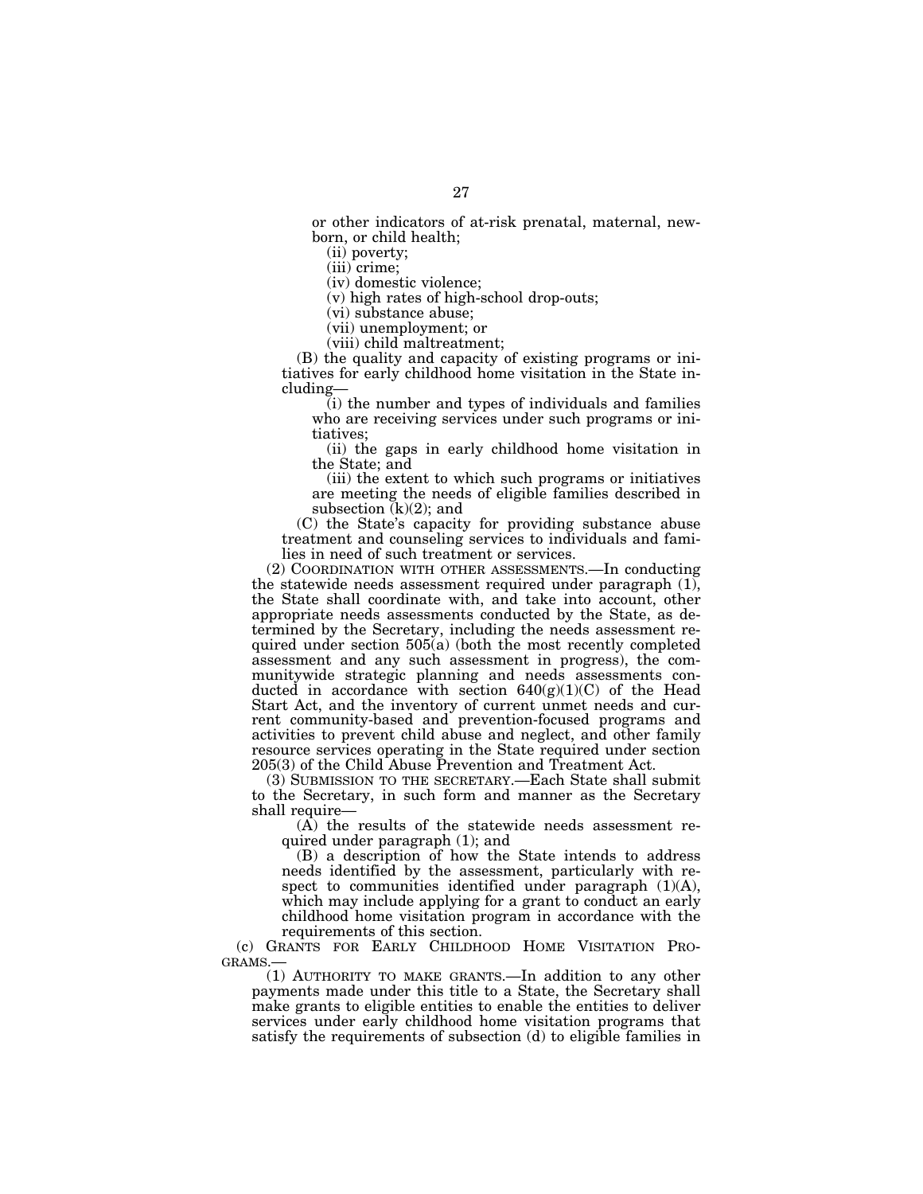or other indicators of at-risk prenatal, maternal, newborn, or child health;

(ii) poverty;

(iii) crime;

(iv) domestic violence;

(v) high rates of high-school drop-outs;

(vi) substance abuse;

(vii) unemployment; or

(viii) child maltreatment;

(B) the quality and capacity of existing programs or initiatives for early childhood home visitation in the State including—

(i) the number and types of individuals and families who are receiving services under such programs or initiatives;

(ii) the gaps in early childhood home visitation in the State; and

(iii) the extent to which such programs or initiatives are meeting the needs of eligible families described in subsection  $(k)(2)$ ; and

(C) the State's capacity for providing substance abuse treatment and counseling services to individuals and families in need of such treatment or services.

(2) COORDINATION WITH OTHER ASSESSMENTS.—In conducting the statewide needs assessment required under paragraph (1), the State shall coordinate with, and take into account, other appropriate needs assessments conducted by the State, as determined by the Secretary, including the needs assessment required under section 505(a) (both the most recently completed assessment and any such assessment in progress), the communitywide strategic planning and needs assessments conducted in accordance with section  $640(g)(1)(C)$  of the Head Start Act, and the inventory of current unmet needs and current community-based and prevention-focused programs and activities to prevent child abuse and neglect, and other family resource services operating in the State required under section 205(3) of the Child Abuse Prevention and Treatment Act.

(3) SUBMISSION TO THE SECRETARY.—Each State shall submit to the Secretary, in such form and manner as the Secretary shall require—

(A) the results of the statewide needs assessment required under paragraph (1); and

(B) a description of how the State intends to address needs identified by the assessment, particularly with respect to communities identified under paragraph  $(1)(A)$ , which may include applying for a grant to conduct an early childhood home visitation program in accordance with the requirements of this section.

(c) GRANTS FOR EARLY CHILDHOOD HOME VISITATION PRO-GRAMS.—

(1) AUTHORITY TO MAKE GRANTS.—In addition to any other payments made under this title to a State, the Secretary shall make grants to eligible entities to enable the entities to deliver services under early childhood home visitation programs that satisfy the requirements of subsection (d) to eligible families in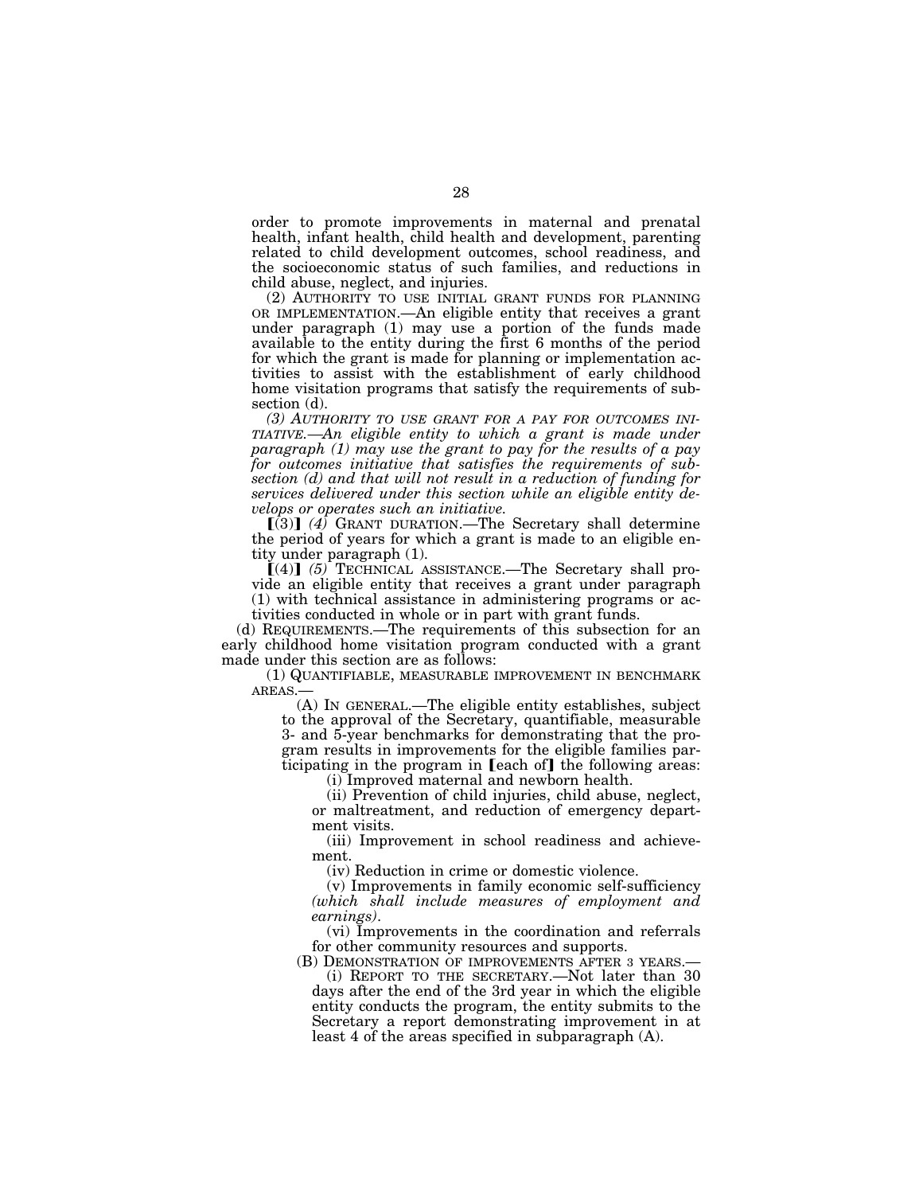order to promote improvements in maternal and prenatal health, infant health, child health and development, parenting related to child development outcomes, school readiness, and the socioeconomic status of such families, and reductions in child abuse, neglect, and injuries.

(2) AUTHORITY TO USE INITIAL GRANT FUNDS FOR PLANNING OR IMPLEMENTATION.—An eligible entity that receives a grant under paragraph (1) may use a portion of the funds made available to the entity during the first 6 months of the period for which the grant is made for planning or implementation activities to assist with the establishment of early childhood home visitation programs that satisfy the requirements of subsection (d).

*(3) AUTHORITY TO USE GRANT FOR A PAY FOR OUTCOMES INI-TIATIVE.—An eligible entity to which a grant is made under paragraph (1) may use the grant to pay for the results of a pay for outcomes initiative that satisfies the requirements of subsection (d) and that will not result in a reduction of funding for services delivered under this section while an eligible entity develops or operates such an initiative.* 

 $\left[\overline{(3)}\right]$  (4) GRANT DURATION.—The Secretary shall determine the period of years for which a grant is made to an eligible entity under paragraph (1).

 $(4)$  (5) TECHNICAL ASSISTANCE.—The Secretary shall provide an eligible entity that receives a grant under paragraph (1) with technical assistance in administering programs or activities conducted in whole or in part with grant funds.

(d) REQUIREMENTS.—The requirements of this subsection for an early childhood home visitation program conducted with a grant made under this section are as follows:

(1) QUANTIFIABLE, MEASURABLE IMPROVEMENT IN BENCHMARK AREAS.—

(A) IN GENERAL.—The eligible entity establishes, subject to the approval of the Secretary, quantifiable, measurable 3- and 5-year benchmarks for demonstrating that the program results in improvements for the eligible families participating in the program in  $[each of]$  the following areas:

(i) Improved maternal and newborn health.

(ii) Prevention of child injuries, child abuse, neglect, or maltreatment, and reduction of emergency department visits.

(iii) Improvement in school readiness and achievement.

(iv) Reduction in crime or domestic violence.

(v) Improvements in family economic self-sufficiency *(which shall include measures of employment and* 

*earnings)*. (vi) Improvements in the coordination and referrals for other community resources and supports.

(B) DEMONSTRATION OF IMPROVEMENTS AFTER 3 YEARS.— (i) REPORT TO THE SECRETARY.—Not later than 30

days after the end of the 3rd year in which the eligible entity conducts the program, the entity submits to the Secretary a report demonstrating improvement in at least 4 of the areas specified in subparagraph (A).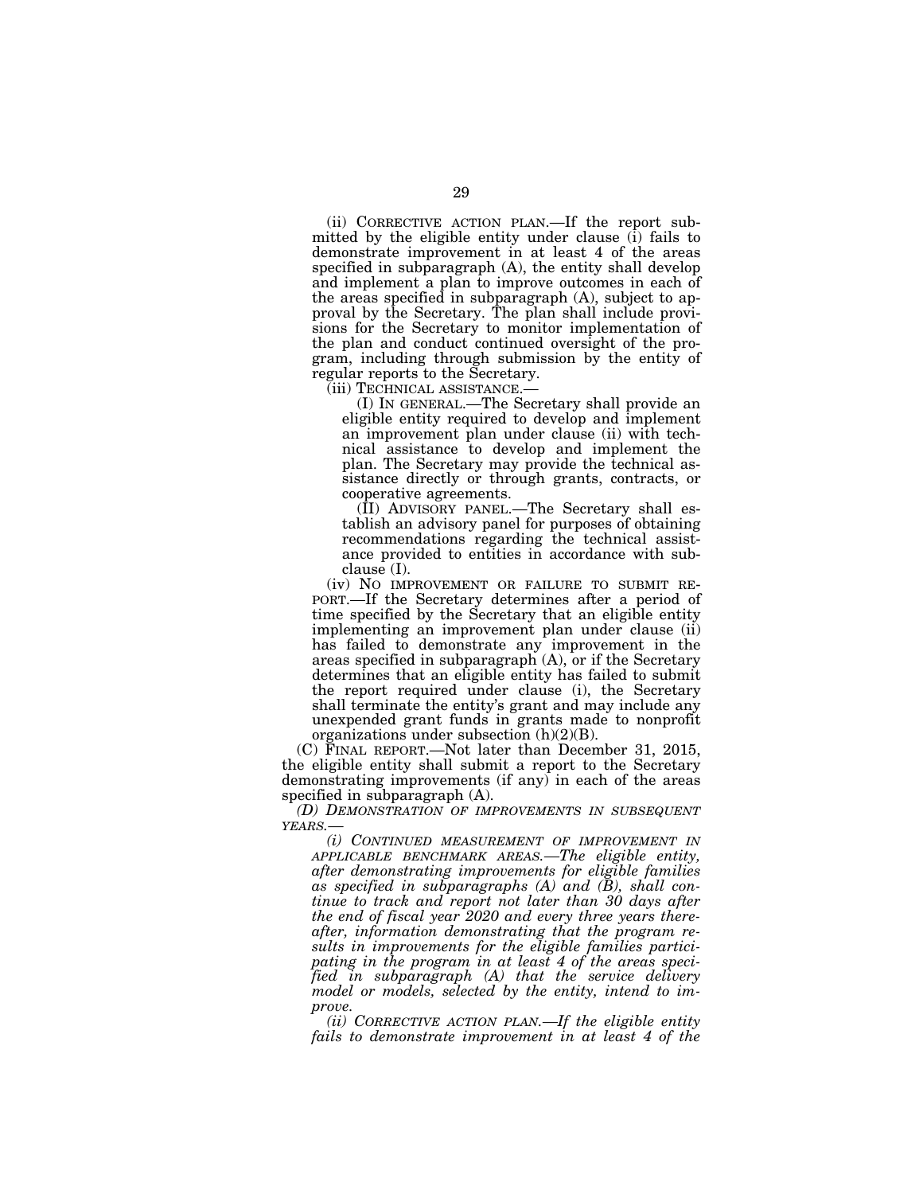(ii) CORRECTIVE ACTION PLAN.—If the report submitted by the eligible entity under clause (i) fails to demonstrate improvement in at least 4 of the areas specified in subparagraph (A), the entity shall develop and implement a plan to improve outcomes in each of the areas specified in subparagraph (A), subject to approval by the Secretary. The plan shall include provisions for the Secretary to monitor implementation of the plan and conduct continued oversight of the program, including through submission by the entity of regular reports to the Secretary.

(iii) TECHNICAL ASSISTANCE.—

(I) IN GENERAL.—The Secretary shall provide an eligible entity required to develop and implement an improvement plan under clause (ii) with technical assistance to develop and implement the plan. The Secretary may provide the technical assistance directly or through grants, contracts, or cooperative agreements.

(II) ADVISORY PANEL.—The Secretary shall establish an advisory panel for purposes of obtaining recommendations regarding the technical assistance provided to entities in accordance with subclause (I).

(iv) NO IMPROVEMENT OR FAILURE TO SUBMIT RE- PORT.—If the Secretary determines after a period of time specified by the Secretary that an eligible entity implementing an improvement plan under clause (ii) has failed to demonstrate any improvement in the areas specified in subparagraph (A), or if the Secretary determines that an eligible entity has failed to submit the report required under clause (i), the Secretary shall terminate the entity's grant and may include any unexpended grant funds in grants made to nonprofit organizations under subsection  $(h)(2)(B)$ .

(C) FINAL REPORT.—Not later than December 31, 2015, the eligible entity shall submit a report to the Secretary demonstrating improvements (if any) in each of the areas specified in subparagraph (A).

*(D) DEMONSTRATION OF IMPROVEMENTS IN SUBSEQUENT YEARS.—* 

*(i) CONTINUED MEASUREMENT OF IMPROVEMENT IN APPLICABLE BENCHMARK AREAS.—The eligible entity, after demonstrating improvements for eligible families as specified in subparagraphs (A) and (B), shall continue to track and report not later than 30 days after the end of fiscal year 2020 and every three years thereafter, information demonstrating that the program results in improvements for the eligible families participating in the program in at least 4 of the areas specified in subparagraph (A) that the service delivery model or models, selected by the entity, intend to improve.* 

*(ii) CORRECTIVE ACTION PLAN.—If the eligible entity fails to demonstrate improvement in at least 4 of the*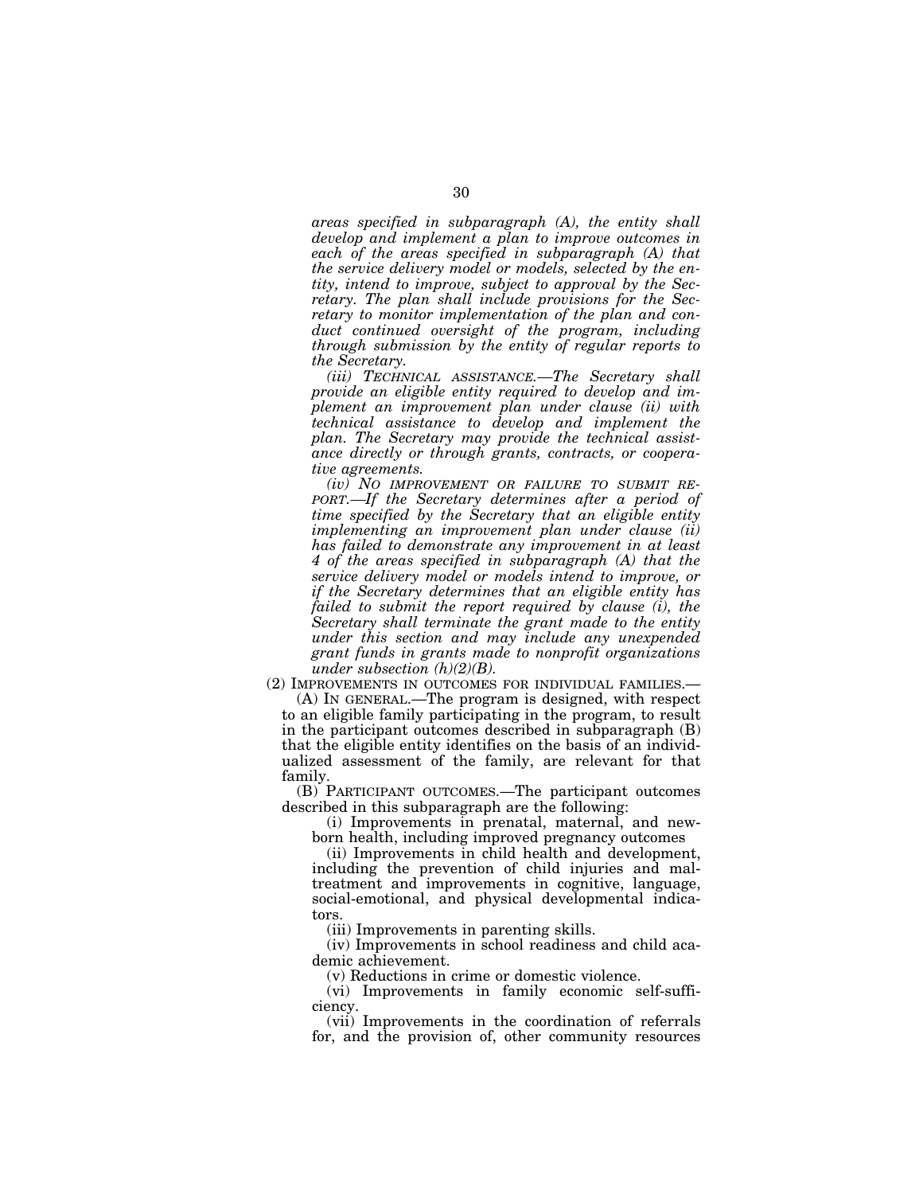*areas specified in subparagraph (A), the entity shall develop and implement a plan to improve outcomes in each of the areas specified in subparagraph (A) that the service delivery model or models, selected by the entity, intend to improve, subject to approval by the Secretary. The plan shall include provisions for the Secretary to monitor implementation of the plan and conduct continued oversight of the program, including through submission by the entity of regular reports to the Secretary.* 

*(iii) TECHNICAL ASSISTANCE.—The Secretary shall provide an eligible entity required to develop and implement an improvement plan under clause (ii) with technical assistance to develop and implement the plan. The Secretary may provide the technical assistance directly or through grants, contracts, or cooperative agreements.* 

*(iv) NO IMPROVEMENT OR FAILURE TO SUBMIT RE-PORT.—If the Secretary determines after a period of time specified by the Secretary that an eligible entity implementing an improvement plan under clause (ii) has failed to demonstrate any improvement in at least 4 of the areas specified in subparagraph (A) that the service delivery model or models intend to improve, or if the Secretary determines that an eligible entity has failed to submit the report required by clause (i), the Secretary shall terminate the grant made to the entity under this section and may include any unexpended grant funds in grants made to nonprofit organizations under subsection (h)(2)(B).* 

(2) IMPROVEMENTS IN OUTCOMES FOR INDIVIDUAL FAMILIES.—

(A) IN GENERAL.—The program is designed, with respect to an eligible family participating in the program, to result in the participant outcomes described in subparagraph (B) that the eligible entity identifies on the basis of an individualized assessment of the family, are relevant for that family.

(B) PARTICIPANT OUTCOMES.—The participant outcomes described in this subparagraph are the following:

(i) Improvements in prenatal, maternal, and newborn health, including improved pregnancy outcomes

(ii) Improvements in child health and development, including the prevention of child injuries and maltreatment and improvements in cognitive, language, social-emotional, and physical developmental indicators.

(iii) Improvements in parenting skills.

(iv) Improvements in school readiness and child academic achievement.

(v) Reductions in crime or domestic violence.

(vi) Improvements in family economic self-sufficiency.

(vii) Improvements in the coordination of referrals for, and the provision of, other community resources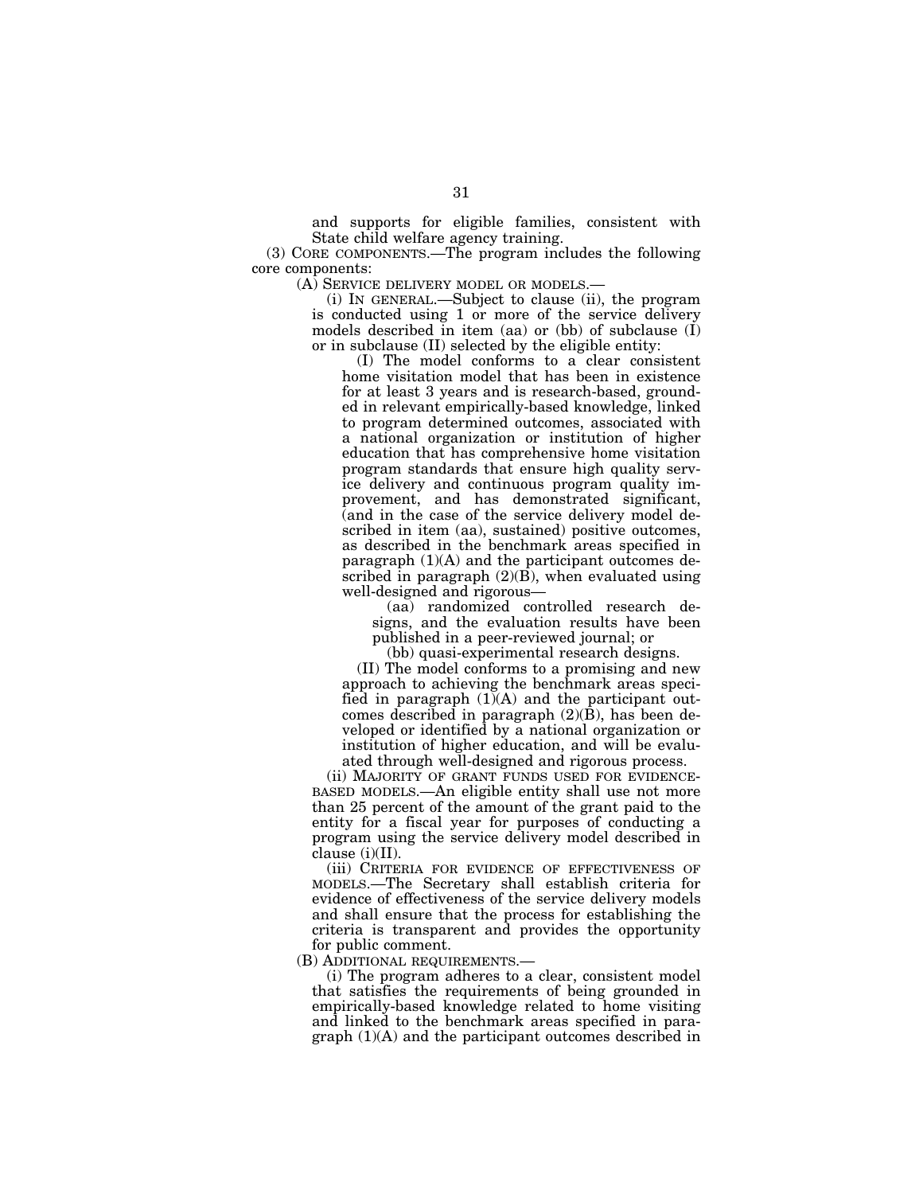and supports for eligible families, consistent with State child welfare agency training.

(3) CORE COMPONENTS.—The program includes the following core components:

(A) SERVICE DELIVERY MODEL OR MODELS.—

(i) IN GENERAL.—Subject to clause (ii), the program is conducted using 1 or more of the service delivery models described in item (aa) or (bb) of subclause  $(I)$ or in subclause (II) selected by the eligible entity:

(I) The model conforms to a clear consistent home visitation model that has been in existence for at least 3 years and is research-based, grounded in relevant empirically-based knowledge, linked to program determined outcomes, associated with a national organization or institution of higher education that has comprehensive home visitation program standards that ensure high quality service delivery and continuous program quality improvement, and has demonstrated significant, (and in the case of the service delivery model described in item (aa), sustained) positive outcomes, as described in the benchmark areas specified in paragraph  $(1)(A)$  and the participant outcomes described in paragraph  $(2)(B)$ , when evaluated using well-designed and rigorous—

(aa) randomized controlled research designs, and the evaluation results have been published in a peer-reviewed journal; or

(bb) quasi-experimental research designs.

(II) The model conforms to a promising and new approach to achieving the benchmark areas specified in paragraph  $(1)(A)$  and the participant outcomes described in paragraph (2)(B), has been developed or identified by a national organization or institution of higher education, and will be evaluated through well-designed and rigorous process.

(ii) MAJORITY OF GRANT FUNDS USED FOR EVIDENCE-BASED MODELS.—An eligible entity shall use not more than 25 percent of the amount of the grant paid to the entity for a fiscal year for purposes of conducting a program using the service delivery model described in clause  $(i)(II)$ .

(iii) CRITERIA FOR EVIDENCE OF EFFECTIVENESS OF MODELS.—The Secretary shall establish criteria for evidence of effectiveness of the service delivery models and shall ensure that the process for establishing the criteria is transparent and provides the opportunity for public comment.

(B) ADDITIONAL REQUIREMENTS.—

(i) The program adheres to a clear, consistent model that satisfies the requirements of being grounded in empirically-based knowledge related to home visiting and linked to the benchmark areas specified in paragraph (1)(A) and the participant outcomes described in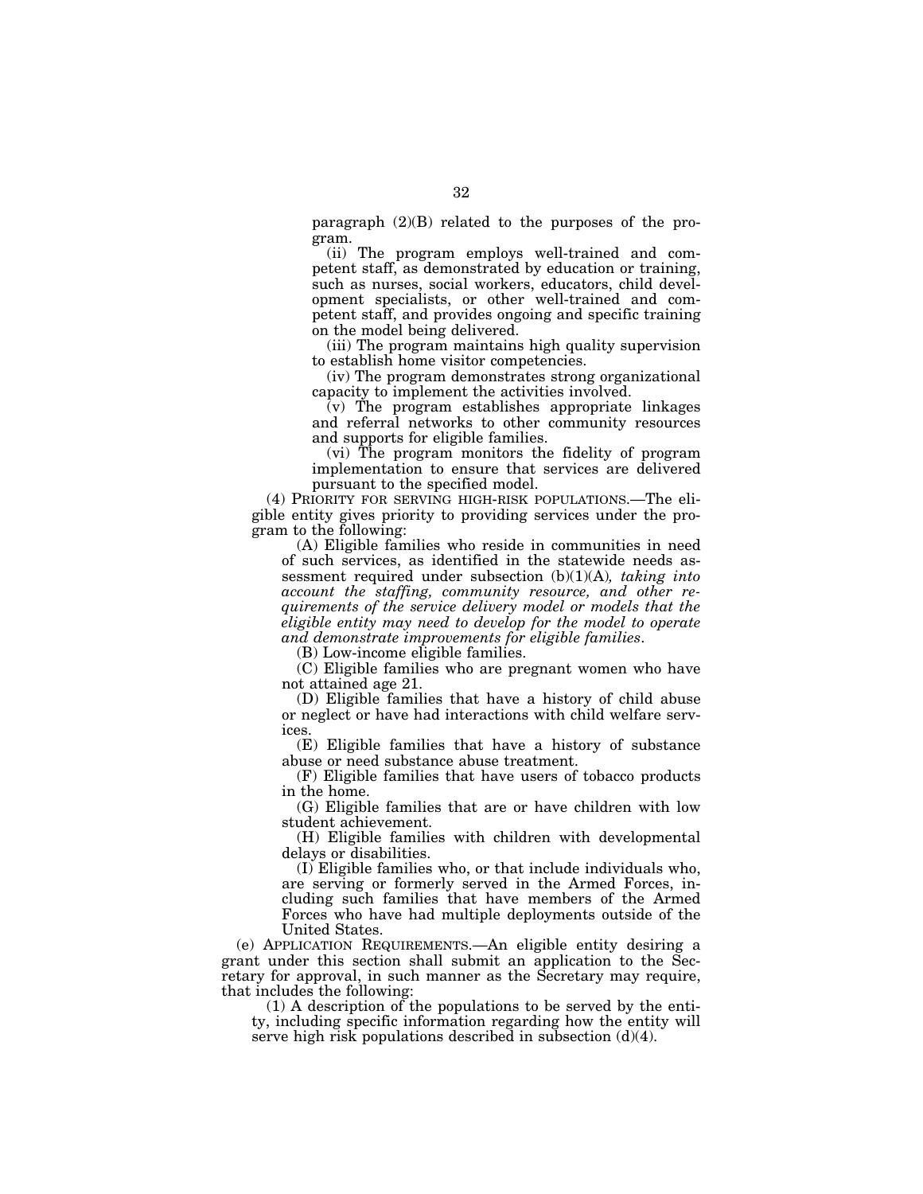paragraph (2)(B) related to the purposes of the program.

(ii) The program employs well-trained and competent staff, as demonstrated by education or training, such as nurses, social workers, educators, child development specialists, or other well-trained and competent staff, and provides ongoing and specific training on the model being delivered.

(iii) The program maintains high quality supervision to establish home visitor competencies.

(iv) The program demonstrates strong organizational capacity to implement the activities involved.

(v) The program establishes appropriate linkages and referral networks to other community resources and supports for eligible families.

(vi) The program monitors the fidelity of program implementation to ensure that services are delivered pursuant to the specified model.

(4) PRIORITY FOR SERVING HIGH-RISK POPULATIONS.—The eligible entity gives priority to providing services under the program to the following:

(A) Eligible families who reside in communities in need of such services, as identified in the statewide needs assessment required under subsection (b)(1)(A)*, taking into account the staffing, community resource, and other requirements of the service delivery model or models that the eligible entity may need to develop for the model to operate and demonstrate improvements for eligible families*.

(B) Low-income eligible families.

(C) Eligible families who are pregnant women who have not attained age 21.

(D) Eligible families that have a history of child abuse or neglect or have had interactions with child welfare services.

(E) Eligible families that have a history of substance abuse or need substance abuse treatment.

(F) Eligible families that have users of tobacco products in the home.

(G) Eligible families that are or have children with low student achievement.

(H) Eligible families with children with developmental delays or disabilities.

(I) Eligible families who, or that include individuals who, are serving or formerly served in the Armed Forces, including such families that have members of the Armed Forces who have had multiple deployments outside of the United States.

(e) APPLICATION REQUIREMENTS.—An eligible entity desiring a grant under this section shall submit an application to the Secretary for approval, in such manner as the Secretary may require, that includes the following:

(1) A description of the populations to be served by the entity, including specific information regarding how the entity will serve high risk populations described in subsection  $(d)(4)$ .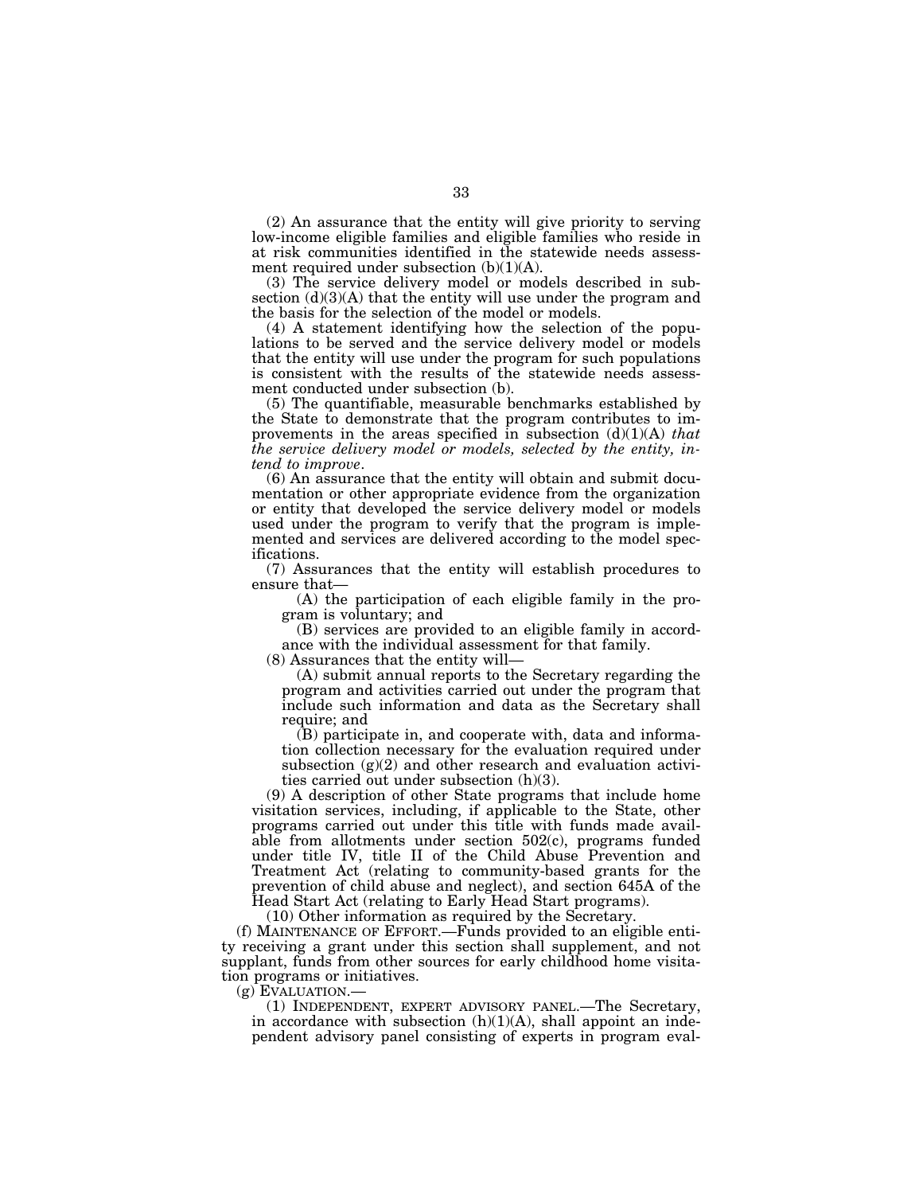(2) An assurance that the entity will give priority to serving low-income eligible families and eligible families who reside in at risk communities identified in the statewide needs assessment required under subsection (b)(1)(A).

(3) The service delivery model or models described in subsection  $(d)(3)(A)$  that the entity will use under the program and the basis for the selection of the model or models.

(4) A statement identifying how the selection of the populations to be served and the service delivery model or models that the entity will use under the program for such populations is consistent with the results of the statewide needs assessment conducted under subsection (b).

(5) The quantifiable, measurable benchmarks established by the State to demonstrate that the program contributes to improvements in the areas specified in subsection (d)(1)(A) *that the service delivery model or models, selected by the entity, intend to improve*. (6) An assurance that the entity will obtain and submit docu-

mentation or other appropriate evidence from the organization or entity that developed the service delivery model or models used under the program to verify that the program is implemented and services are delivered according to the model specifications.

(7) Assurances that the entity will establish procedures to ensure that—

(A) the participation of each eligible family in the program is voluntary; and

(B) services are provided to an eligible family in accordance with the individual assessment for that family.

(8) Assurances that the entity will—

(A) submit annual reports to the Secretary regarding the program and activities carried out under the program that include such information and data as the Secretary shall require; and

(B) participate in, and cooperate with, data and information collection necessary for the evaluation required under subsection  $(g)(2)$  and other research and evaluation activities carried out under subsection (h)(3).

(9) A description of other State programs that include home visitation services, including, if applicable to the State, other programs carried out under this title with funds made available from allotments under section 502(c), programs funded under title IV, title II of the Child Abuse Prevention and Treatment Act (relating to community-based grants for the prevention of child abuse and neglect), and section 645A of the Head Start Act (relating to Early Head Start programs).

(10) Other information as required by the Secretary.

(f) MAINTENANCE OF EFFORT.—Funds provided to an eligible entity receiving a grant under this section shall supplement, and not supplant, funds from other sources for early childhood home visitation programs or initiatives.

(g) EVALUATION.— (1) INDEPENDENT, EXPERT ADVISORY PANEL.—The Secretary, in accordance with subsection  $(h)(1)(A)$ , shall appoint an independent advisory panel consisting of experts in program eval-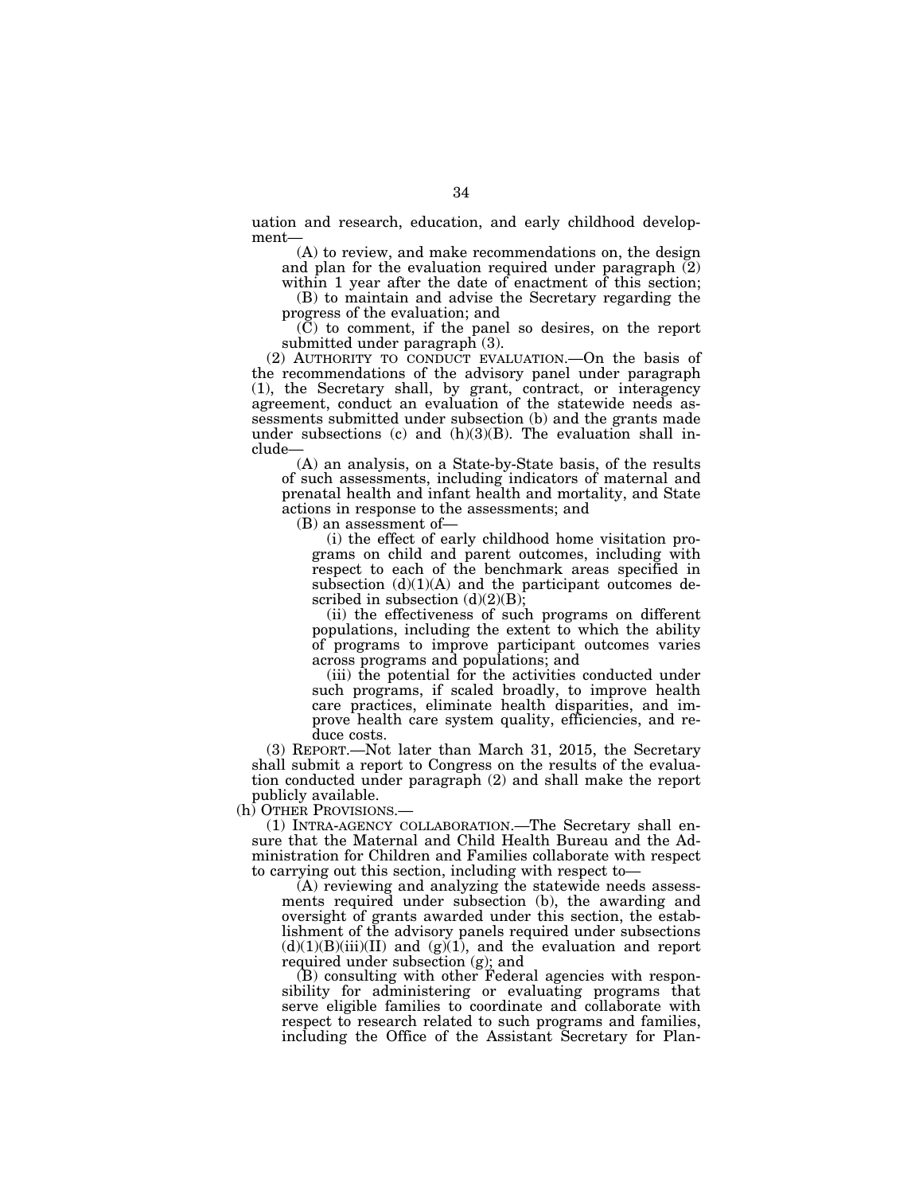uation and research, education, and early childhood development—

(A) to review, and make recommendations on, the design and plan for the evaluation required under paragraph  $(2)$ within 1 year after the date of enactment of this section;

(B) to maintain and advise the Secretary regarding the progress of the evaluation; and

(C) to comment, if the panel so desires, on the report submitted under paragraph (3).

(2) AUTHORITY TO CONDUCT EVALUATION.—On the basis of the recommendations of the advisory panel under paragraph (1), the Secretary shall, by grant, contract, or interagency agreement, conduct an evaluation of the statewide needs assessments submitted under subsection (b) and the grants made under subsections (c) and  $(h)(3)(B)$ . The evaluation shall include—

(A) an analysis, on a State-by-State basis, of the results of such assessments, including indicators of maternal and prenatal health and infant health and mortality, and State actions in response to the assessments; and

(B) an assessment of—

(i) the effect of early childhood home visitation programs on child and parent outcomes, including with respect to each of the benchmark areas specified in subsection  $(d)(1)(A)$  and the participant outcomes described in subsection  $(d)(2)(B)$ ;

(ii) the effectiveness of such programs on different populations, including the extent to which the ability of programs to improve participant outcomes varies across programs and populations; and

(iii) the potential for the activities conducted under such programs, if scaled broadly, to improve health care practices, eliminate health disparities, and improve health care system quality, efficiencies, and reduce costs.

(3) REPORT.—Not later than March 31, 2015, the Secretary shall submit a report to Congress on the results of the evaluation conducted under paragraph (2) and shall make the report publicly available.

(h) OTHER PROVISIONS.—

(1) INTRA-AGENCY COLLABORATION.—The Secretary shall ensure that the Maternal and Child Health Bureau and the Administration for Children and Families collaborate with respect to carrying out this section, including with respect to—

(A) reviewing and analyzing the statewide needs assessments required under subsection (b), the awarding and oversight of grants awarded under this section, the establishment of the advisory panels required under subsections  $(d)(1)(B)(iii)(II)$  and  $(g)(1)$ , and the evaluation and report required under subsection (g); and

(B) consulting with other Federal agencies with responsibility for administering or evaluating programs that serve eligible families to coordinate and collaborate with respect to research related to such programs and families, including the Office of the Assistant Secretary for Plan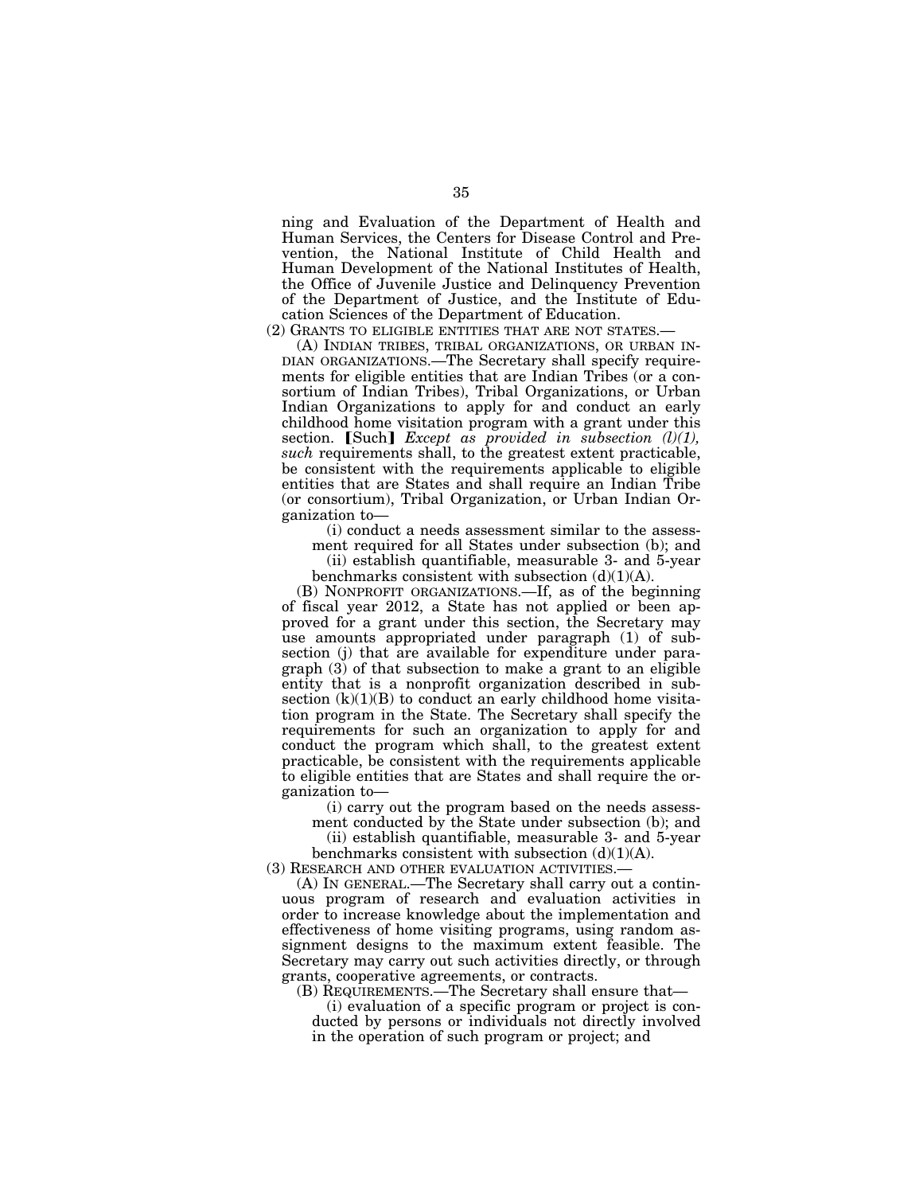ning and Evaluation of the Department of Health and Human Services, the Centers for Disease Control and Prevention, the National Institute of Child Health and Human Development of the National Institutes of Health, the Office of Juvenile Justice and Delinquency Prevention of the Department of Justice, and the Institute of Education Sciences of the Department of Education.

(2) GRANTS TO ELIGIBLE ENTITIES THAT ARE NOT STATES.—

(A) INDIAN TRIBES, TRIBAL ORGANIZATIONS, OR URBAN IN-DIAN ORGANIZATIONS.—The Secretary shall specify requirements for eligible entities that are Indian Tribes (or a consortium of Indian Tribes), Tribal Organizations, or Urban Indian Organizations to apply for and conduct an early childhood home visitation program with a grant under this section. [Such] *Except as provided in subsection (l)(1)*, *such* requirements shall, to the greatest extent practicable, be consistent with the requirements applicable to eligible entities that are States and shall require an Indian Tribe (or consortium), Tribal Organization, or Urban Indian Organization to—

(i) conduct a needs assessment similar to the assess-

ment required for all States under subsection (b); and (ii) establish quantifiable, measurable 3- and 5-year

benchmarks consistent with subsection  $(d)(1)(A)$ .

(B) NONPROFIT ORGANIZATIONS.—If, as of the beginning of fiscal year 2012, a State has not applied or been approved for a grant under this section, the Secretary may use amounts appropriated under paragraph (1) of subsection (j) that are available for expenditure under paragraph (3) of that subsection to make a grant to an eligible entity that is a nonprofit organization described in subsection  $(k)(1)(B)$  to conduct an early childhood home visitation program in the State. The Secretary shall specify the requirements for such an organization to apply for and conduct the program which shall, to the greatest extent practicable, be consistent with the requirements applicable to eligible entities that are States and shall require the organization to—

(i) carry out the program based on the needs assess-

ment conducted by the State under subsection (b); and (ii) establish quantifiable, measurable 3- and 5-year

benchmarks consistent with subsection  $(d)(1)(A)$ . (3) RESEARCH AND OTHER EVALUATION ACTIVITIES.—

(A) IN GENERAL.—The Secretary shall carry out a continuous program of research and evaluation activities in order to increase knowledge about the implementation and effectiveness of home visiting programs, using random assignment designs to the maximum extent feasible. The Secretary may carry out such activities directly, or through grants, cooperative agreements, or contracts.

(B) REQUIREMENTS.—The Secretary shall ensure that—

(i) evaluation of a specific program or project is conducted by persons or individuals not directly involved in the operation of such program or project; and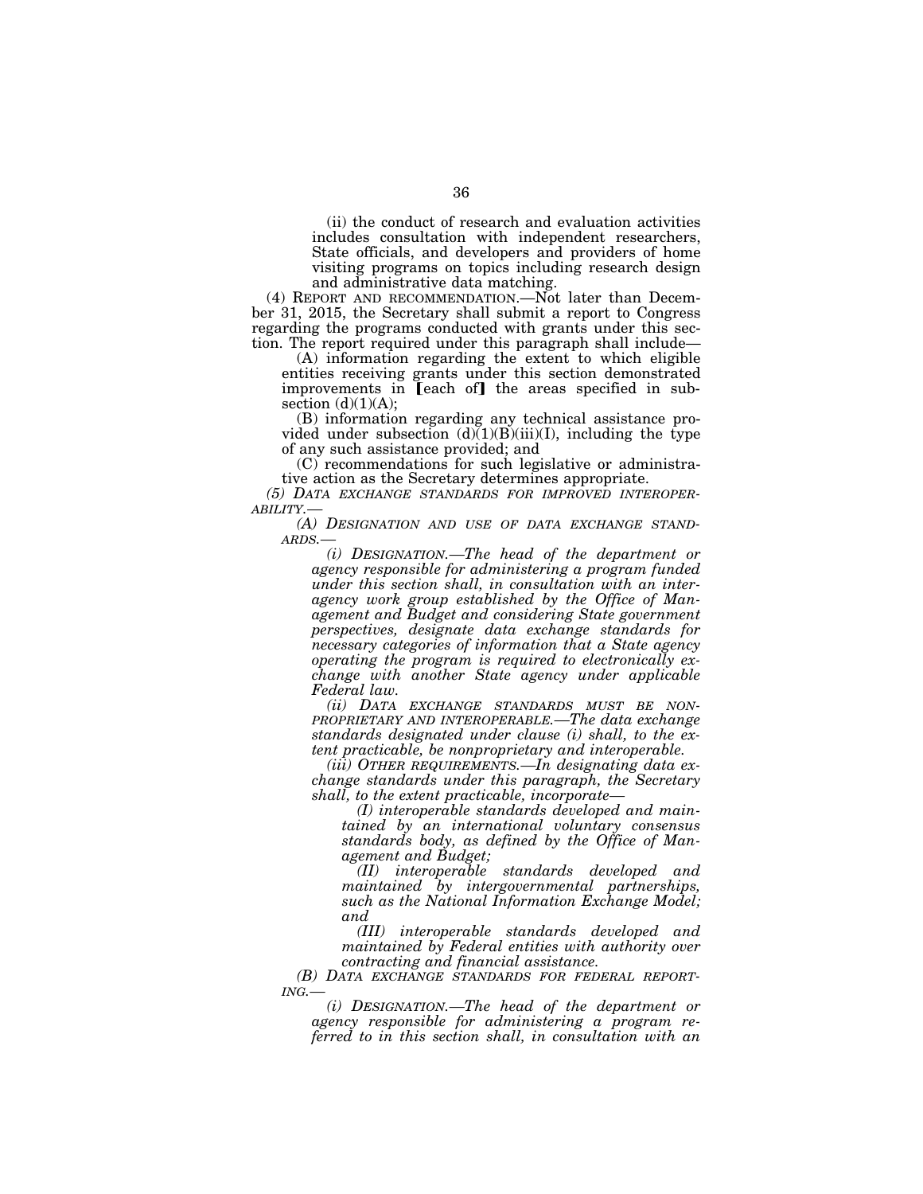(ii) the conduct of research and evaluation activities includes consultation with independent researchers, State officials, and developers and providers of home visiting programs on topics including research design and administrative data matching.

(4) REPORT AND RECOMMENDATION.—Not later than December 31, 2015, the Secretary shall submit a report to Congress regarding the programs conducted with grants under this section. The report required under this paragraph shall include—

(A) information regarding the extent to which eligible entities receiving grants under this section demonstrated improvements in [each of] the areas specified in subsection  $(d)(1)(A);$ 

(B) information regarding any technical assistance provided under subsection  $(d)(1)(B)(iii)(I)$ , including the type of any such assistance provided; and

(C) recommendations for such legislative or administrative action as the Secretary determines appropriate.

*(5) DATA EXCHANGE STANDARDS FOR IMPROVED INTEROPER-ABILITY.—* 

*(A) DESIGNATION AND USE OF DATA EXCHANGE STAND- ARDS.—* 

*(i) DESIGNATION.—The head of the department or agency responsible for administering a program funded under this section shall, in consultation with an interagency work group established by the Office of Management and Budget and considering State government perspectives, designate data exchange standards for necessary categories of information that a State agency operating the program is required to electronically exchange with another State agency under applicable Federal law.* 

*(ii) DATA EXCHANGE STANDARDS MUST BE NON- PROPRIETARY AND INTEROPERABLE.—The data exchange standards designated under clause (i) shall, to the extent practicable, be nonproprietary and interoperable.* 

*(iii) OTHER REQUIREMENTS.—In designating data exchange standards under this paragraph, the Secretary shall, to the extent practicable, incorporate—* 

*(I) interoperable standards developed and maintained by an international voluntary consensus standards body, as defined by the Office of Management and Budget;* 

*(II) interoperable standards developed and maintained by intergovernmental partnerships, such as the National Information Exchange Model; and* 

*(III) interoperable standards developed and maintained by Federal entities with authority over contracting and financial assistance.* 

*(B) DATA EXCHANGE STANDARDS FOR FEDERAL REPORT- ING.— (i) DESIGNATION.—The head of the department or* 

*agency responsible for administering a program referred to in this section shall, in consultation with an*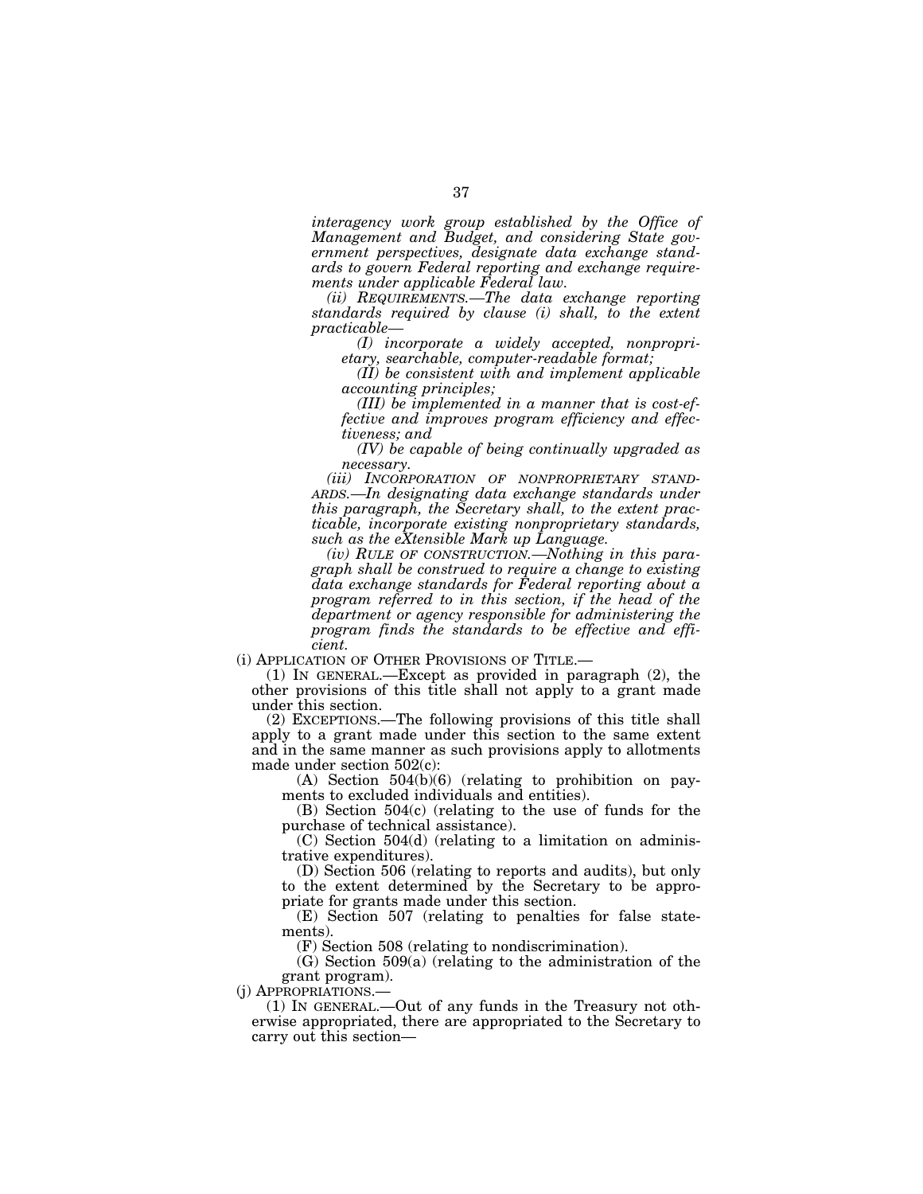*interagency work group established by the Office of Management and Budget, and considering State government perspectives, designate data exchange standards to govern Federal reporting and exchange requirements under applicable Federal law.* 

*(ii) REQUIREMENTS.—The data exchange reporting standards required by clause (i) shall, to the extent practicable—* 

*(I) incorporate a widely accepted, nonproprietary, searchable, computer-readable format;* 

*(II) be consistent with and implement applicable accounting principles;* 

*(III) be implemented in a manner that is cost-effective and improves program efficiency and effectiveness; and* 

*(IV) be capable of being continually upgraded as necessary.* 

*(iii) INCORPORATION OF NONPROPRIETARY STAND-ARDS.—In designating data exchange standards under this paragraph, the Secretary shall, to the extent practicable, incorporate existing nonproprietary standards, such as the eXtensible Mark up Language.* 

*(iv) RULE OF CONSTRUCTION.—Nothing in this paragraph shall be construed to require a change to existing data exchange standards for Federal reporting about a program referred to in this section, if the head of the department or agency responsible for administering the program finds the standards to be effective and efficient.* 

(i) APPLICATION OF OTHER PROVISIONS OF TITLE.—

(1) IN GENERAL.—Except as provided in paragraph (2), the other provisions of this title shall not apply to a grant made under this section.

(2) EXCEPTIONS.—The following provisions of this title shall apply to a grant made under this section to the same extent and in the same manner as such provisions apply to allotments made under section 502(c):

(A) Section 504(b)(6) (relating to prohibition on payments to excluded individuals and entities).

(B) Section 504(c) (relating to the use of funds for the purchase of technical assistance).

(C) Section 504(d) (relating to a limitation on administrative expenditures).

(D) Section 506 (relating to reports and audits), but only to the extent determined by the Secretary to be appropriate for grants made under this section.

(E) Section 507 (relating to penalties for false statements).

(F) Section 508 (relating to nondiscrimination).

(G) Section 509(a) (relating to the administration of the grant program).

(j) APPROPRIATIONS.— (1) IN GENERAL.—Out of any funds in the Treasury not otherwise appropriated, there are appropriated to the Secretary to carry out this section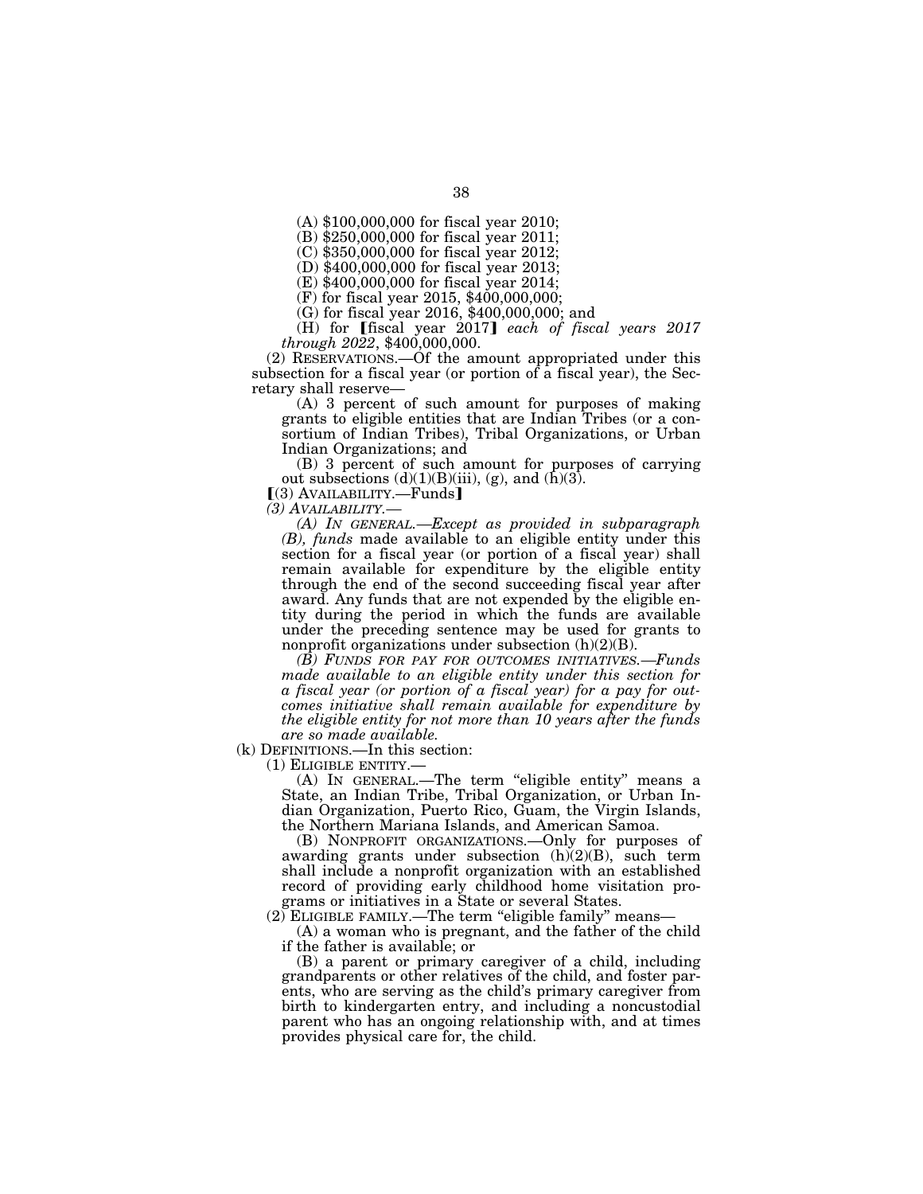(A) \$100,000,000 for fiscal year 2010;

(B) \$250,000,000 for fiscal year 2011;

(C) \$350,000,000 for fiscal year 2012;

(D) \$400,000,000 for fiscal year 2013;

(E) \$400,000,000 for fiscal year 2014;

(F) for fiscal year 2015, \$400,000,000;

(G) for fiscal year 2016, \$400,000,000; and

(H) for [fiscal year 2017] *each of fiscal years 2017 through 2022*, \$400,000,000.

(2) RESERVATIONS.—Of the amount appropriated under this subsection for a fiscal year (or portion of a fiscal year), the Secretary shall reserve—

(A) 3 percent of such amount for purposes of making grants to eligible entities that are Indian Tribes (or a consortium of Indian Tribes), Tribal Organizations, or Urban Indian Organizations; and

(B) 3 percent of such amount for purposes of carrying out subsections  $(d)(1)(B)(iii)$ ,  $(g)$ , and  $(\bar{h})(3)$ .

 $(3)$  AVAILABILITY.—Funds]

*(3) AVAILABILITY.—* 

*(A) IN GENERAL.—Except as provided in subparagraph (B), funds* made available to an eligible entity under this section for a fiscal year (or portion of a fiscal year) shall remain available for expenditure by the eligible entity through the end of the second succeeding fiscal year after award. Any funds that are not expended by the eligible entity during the period in which the funds are available under the preceding sentence may be used for grants to nonprofit organizations under subsection  $(h)(2)(B)$ .

*(B) FUNDS FOR PAY FOR OUTCOMES INITIATIVES.—Funds made available to an eligible entity under this section for a fiscal year (or portion of a fiscal year) for a pay for outcomes initiative shall remain available for expenditure by the eligible entity for not more than 10 years after the funds are so made available.* 

(k) DEFINITIONS.—In this section:<br>(1) ELIGIBLE ENTITY.—

(1) ELIGIBLE ENTITY.— (A) IN GENERAL.—The term ''eligible entity'' means a State, an Indian Tribe, Tribal Organization, or Urban Indian Organization, Puerto Rico, Guam, the Virgin Islands, the Northern Mariana Islands, and American Samoa.

(B) NONPROFIT ORGANIZATIONS.—Only for purposes of awarding grants under subsection  $(h)(2)(B)$ , such term shall include a nonprofit organization with an established record of providing early childhood home visitation programs or initiatives in a State or several States.

 $(2)$  ELIGIBLE FAMILY.—The term "eligible family" means—

(A) a woman who is pregnant, and the father of the child if the father is available; or

(B) a parent or primary caregiver of a child, including grandparents or other relatives of the child, and foster parents, who are serving as the child's primary caregiver from birth to kindergarten entry, and including a noncustodial parent who has an ongoing relationship with, and at times provides physical care for, the child.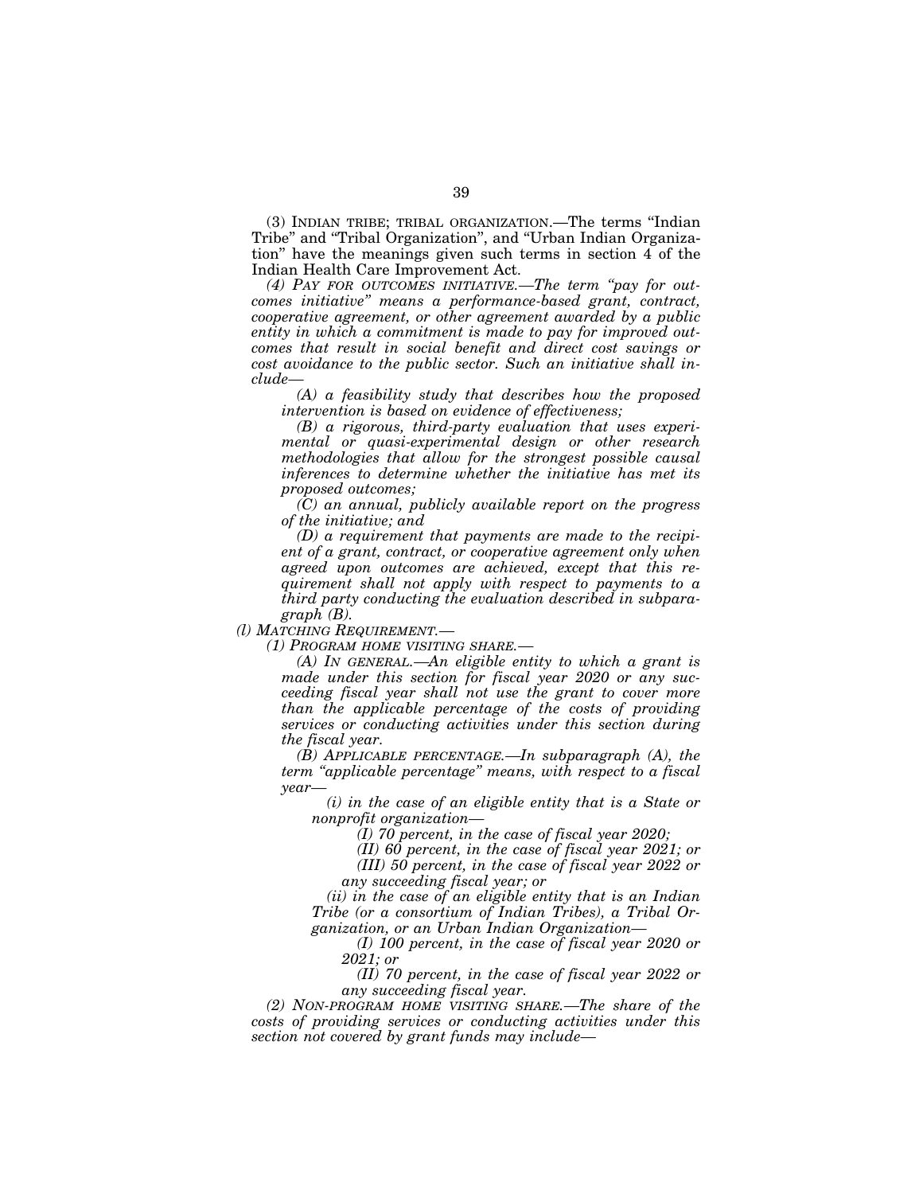(3) INDIAN TRIBE; TRIBAL ORGANIZATION.—The terms ''Indian Tribe'' and ''Tribal Organization'', and ''Urban Indian Organization'' have the meanings given such terms in section 4 of the Indian Health Care Improvement Act.

*(4) PAY FOR OUTCOMES INITIATIVE.—The term ''pay for outcomes initiative'' means a performance-based grant, contract, cooperative agreement, or other agreement awarded by a public entity in which a commitment is made to pay for improved outcomes that result in social benefit and direct cost savings or cost avoidance to the public sector. Such an initiative shall include—* 

*(A) a feasibility study that describes how the proposed intervention is based on evidence of effectiveness;* 

*(B) a rigorous, third-party evaluation that uses experimental or quasi-experimental design or other research methodologies that allow for the strongest possible causal inferences to determine whether the initiative has met its proposed outcomes;* 

*(C) an annual, publicly available report on the progress of the initiative; and* 

*(D) a requirement that payments are made to the recipient of a grant, contract, or cooperative agreement only when agreed upon outcomes are achieved, except that this requirement shall not apply with respect to payments to a third party conducting the evaluation described in subparagraph (B).* 

*(l) MATCHING REQUIREMENT.—* 

*(1) PROGRAM HOME VISITING SHARE.—* 

*(A) IN GENERAL.—An eligible entity to which a grant is made under this section for fiscal year 2020 or any succeeding fiscal year shall not use the grant to cover more than the applicable percentage of the costs of providing services or conducting activities under this section during the fiscal year.* 

*(B) APPLICABLE PERCENTAGE.—In subparagraph (A), the term ''applicable percentage'' means, with respect to a fiscal year—* 

*(i) in the case of an eligible entity that is a State or nonprofit organization—* 

*(I) 70 percent, in the case of fiscal year 2020;* 

*(II) 60 percent, in the case of fiscal year 2021; or* 

*(III) 50 percent, in the case of fiscal year 2022 or any succeeding fiscal year; or* 

*(ii) in the case of an eligible entity that is an Indian Tribe (or a consortium of Indian Tribes), a Tribal Organization, or an Urban Indian Organization—* 

*(I) 100 percent, in the case of fiscal year 2020 or 2021; or* 

*(II) 70 percent, in the case of fiscal year 2022 or any succeeding fiscal year.* 

*(2) NON-PROGRAM HOME VISITING SHARE.—The share of the costs of providing services or conducting activities under this section not covered by grant funds may include—*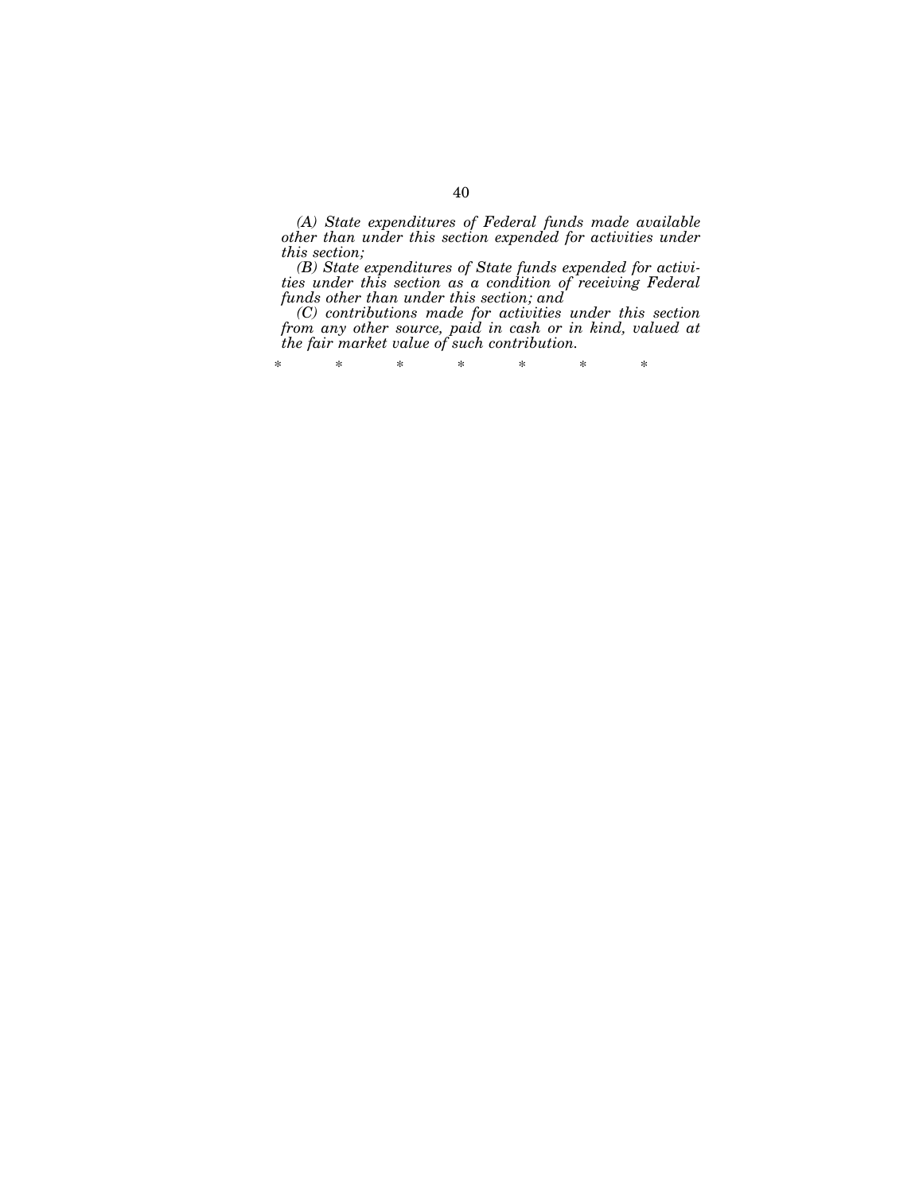*(A) State expenditures of Federal funds made available other than under this section expended for activities under this section;* 

*(B) State expenditures of State funds expended for activities under this section as a condition of receiving Federal funds other than under this section; and* 

*(C) contributions made for activities under this section from any other source, paid in cash or in kind, valued at the fair market value of such contribution.* 

\* \* \* \* \* \* \*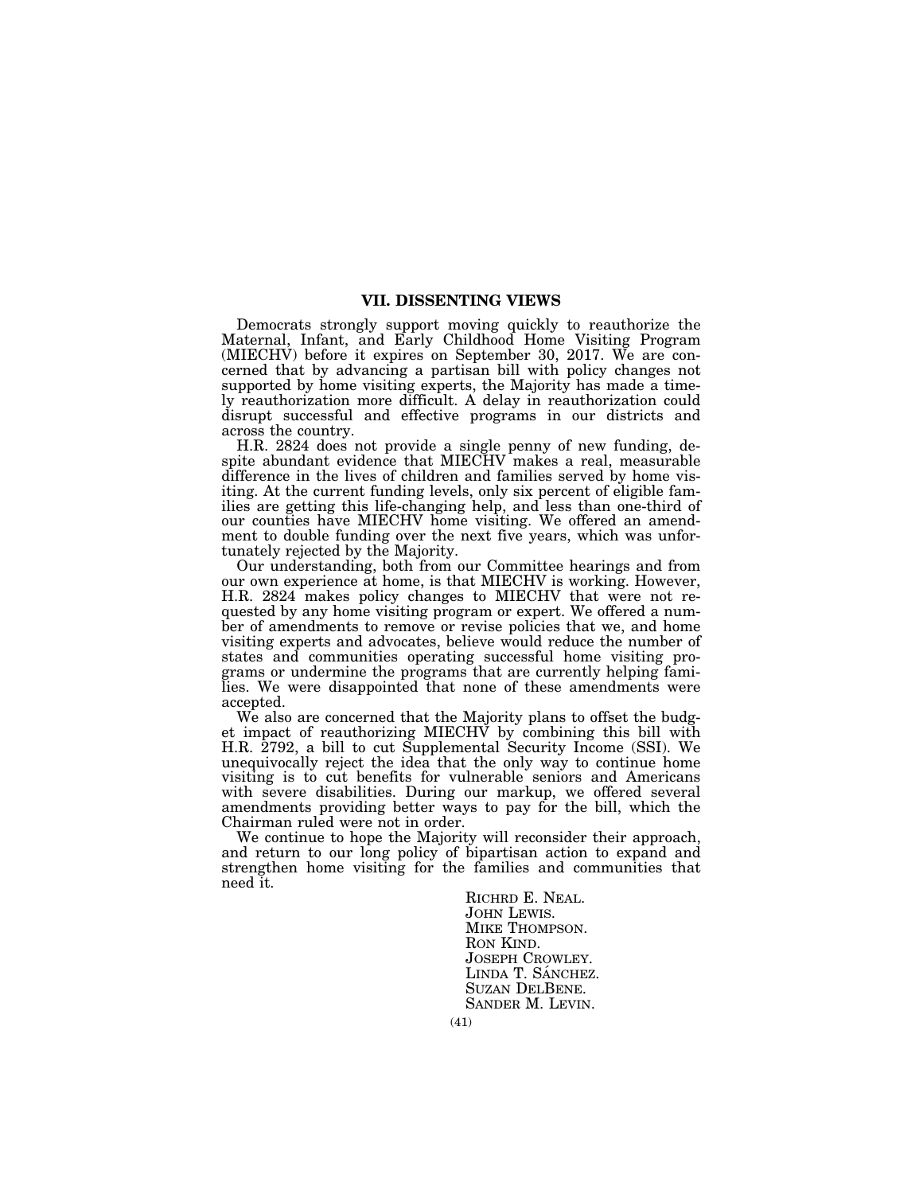## **VII. DISSENTING VIEWS**

Democrats strongly support moving quickly to reauthorize the Maternal, Infant, and Early Childhood Home Visiting Program (MIECHV) before it expires on September 30, 2017. We are concerned that by advancing a partisan bill with policy changes not supported by home visiting experts, the Majority has made a timely reauthorization more difficult. A delay in reauthorization could disrupt successful and effective programs in our districts and across the country.

H.R. 2824 does not provide a single penny of new funding, despite abundant evidence that MIECHV makes a real, measurable difference in the lives of children and families served by home visiting. At the current funding levels, only six percent of eligible families are getting this life-changing help, and less than one-third of our counties have MIECHV home visiting. We offered an amendment to double funding over the next five years, which was unfortunately rejected by the Majority.

Our understanding, both from our Committee hearings and from our own experience at home, is that MIECHV is working. However, H.R. 2824 makes policy changes to MIECHV that were not requested by any home visiting program or expert. We offered a number of amendments to remove or revise policies that we, and home visiting experts and advocates, believe would reduce the number of states and communities operating successful home visiting programs or undermine the programs that are currently helping families. We were disappointed that none of these amendments were accepted.

We also are concerned that the Majority plans to offset the budget impact of reauthorizing MIECHV by combining this bill with H.R. 2792, a bill to cut Supplemental Security Income (SSI). We unequivocally reject the idea that the only way to continue home visiting is to cut benefits for vulnerable seniors and Americans with severe disabilities. During our markup, we offered several amendments providing better ways to pay for the bill, which the Chairman ruled were not in order.

We continue to hope the Majority will reconsider their approach, and return to our long policy of bipartisan action to expand and strengthen home visiting for the families and communities that need it.

> RICHRD E. NEAL.<br>JOHN LEWIS.<br>MIKE THOMPSON.<br>RON KIND.<br>JOSEPH CROWLEY. LINDA T. SÁNCHEZ. SUZAN DELBENE. SANDER M. LEVIN.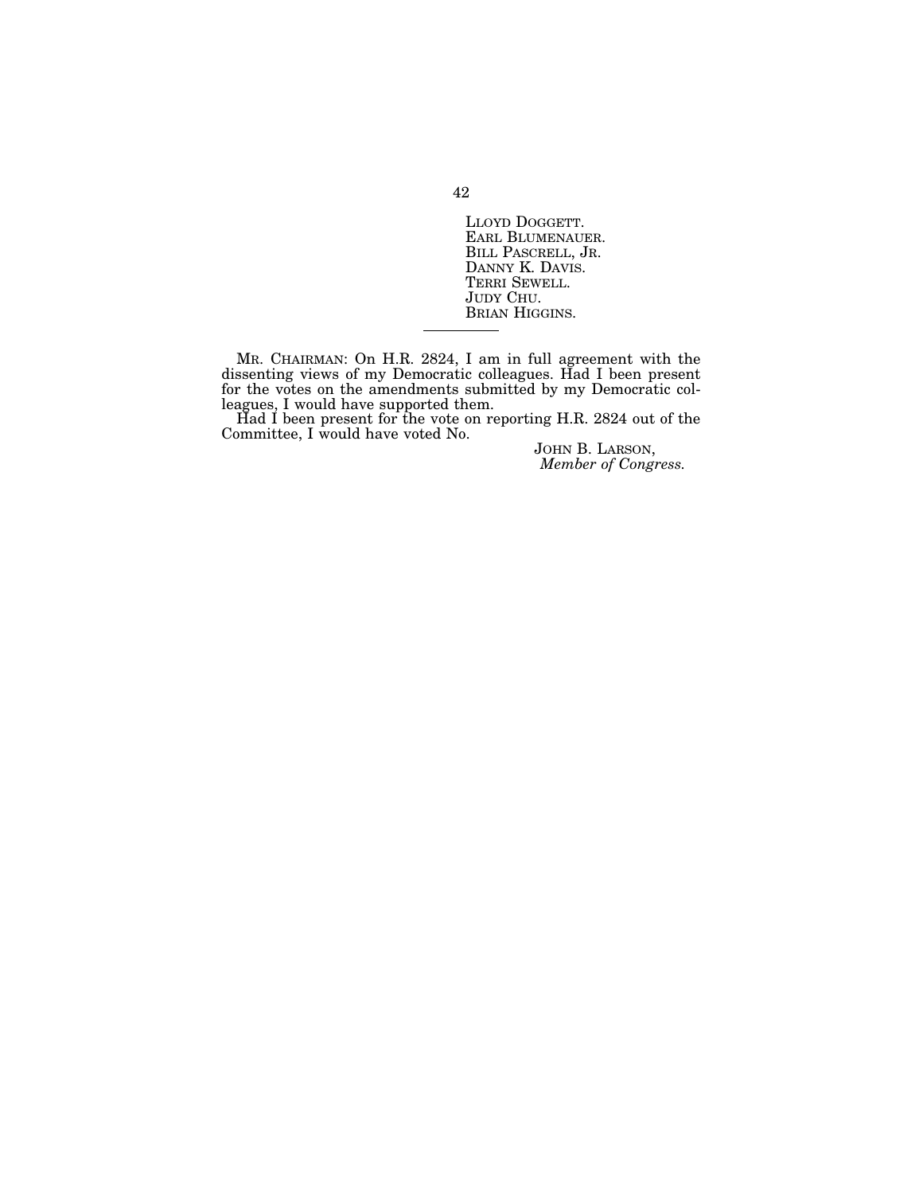LLOYD DOGGETT.<br>EARL BLUMENAUER.<br>BILL PASCRELL, JR.<br>DANNY K. DAVIS.<br>TERRI SEWELL.<br>JUDY CHU.<br>BRIAN HIGGINS.

MR. CHAIRMAN: On H.R. 2824, I am in full agreement with the dissenting views of my Democratic colleagues. Had I been present for the votes on the amendments submitted by my Democratic colleagues, I would have supported them.

Had I been present for the vote on reporting H.R. 2824 out of the Committee, I would have voted No.

JOHN B. LARSON, *Member of Congress.*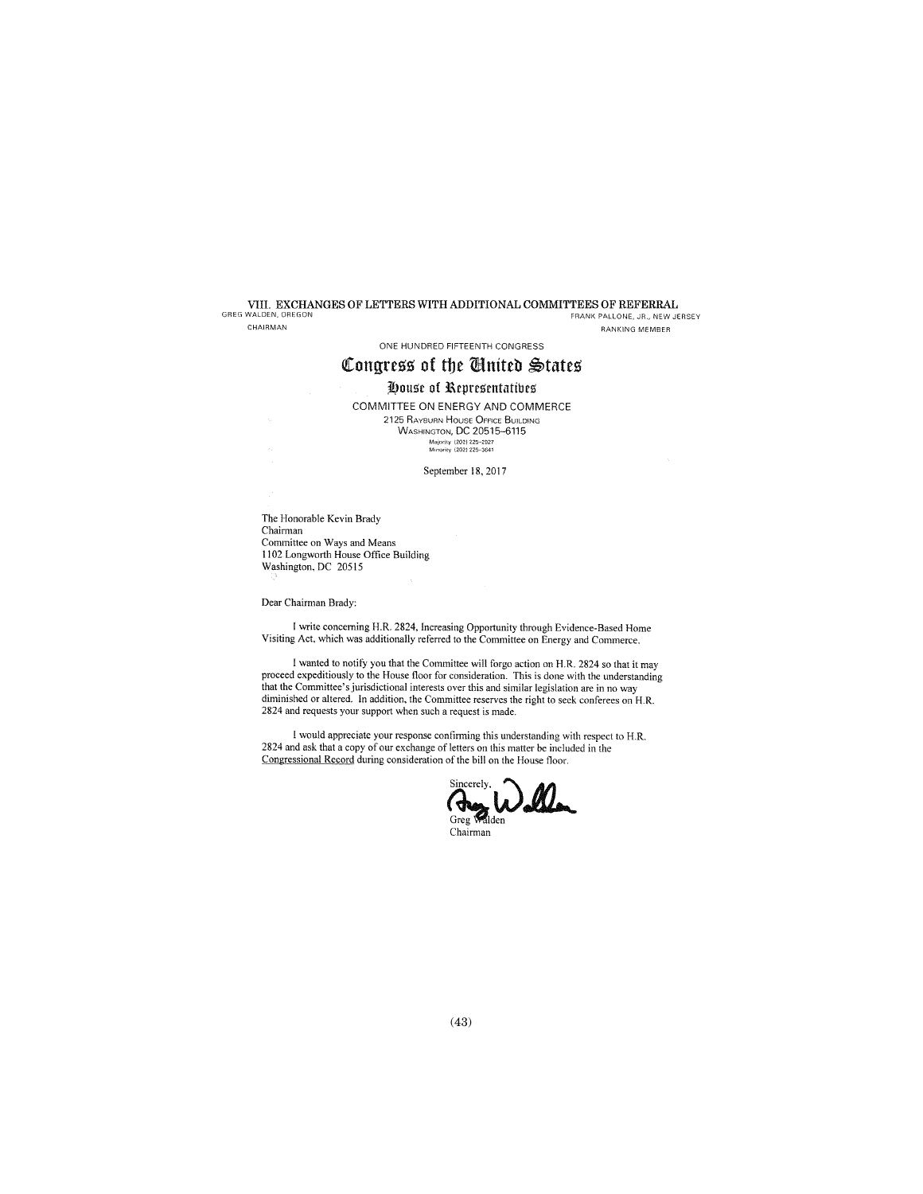VIII. EXCHANGES OF LETTERS WITH ADDITIONAL COMMITTEES OF REFERRAL<br>GREG WALDEN, OREGON FRANK PALLONE, JR., NEW JF FRANK PALLONE, JR., NEW JERSEY

CHAIRMAN

RANKING MEMBER

## ONE HUNDRED FIFTEENTH CONGRESS

# Congress of the United States

## House of Representatives

COMMITTEE ON ENERGY AND COMMERCE **2125 RAYBURN HOUSE OFFICE BUILDING** WASHINGTON, DC 20515-6115 Majority (202) 225–2927<br>Minority (202) 225–3641

September 18, 2017

The Honorable Kevin Brady Chairman Committee on Ways and Means II 02 Longworth House Office Building Washington, DC 20515

Dear Chairman Brady:

I write concerning H.R. 2824, Increasing Opportunity through Evidence-Based Home Visiting Act, which was additionally referred to the Committee on Energy and Commerce.

I wanted to notify you that the Committee will forgo action on H.R. 2824 so that it may proceed expeditiously to the House floor for consideration. This is done with the understanding that the Committee's jurisdictional interests over this and similar legislation are in no way diminished or altered. In addition, the Committee reserves the right to seck conferees on H.R. 2824 and requests your support when such a request is made.

I would appreciate your response confirming this understanding with respect to H.R. 2824 and ask that a copy of our exchange of letters on this matter be included in the Congressional Record during consideration of the bill on the House floor.



Chairman